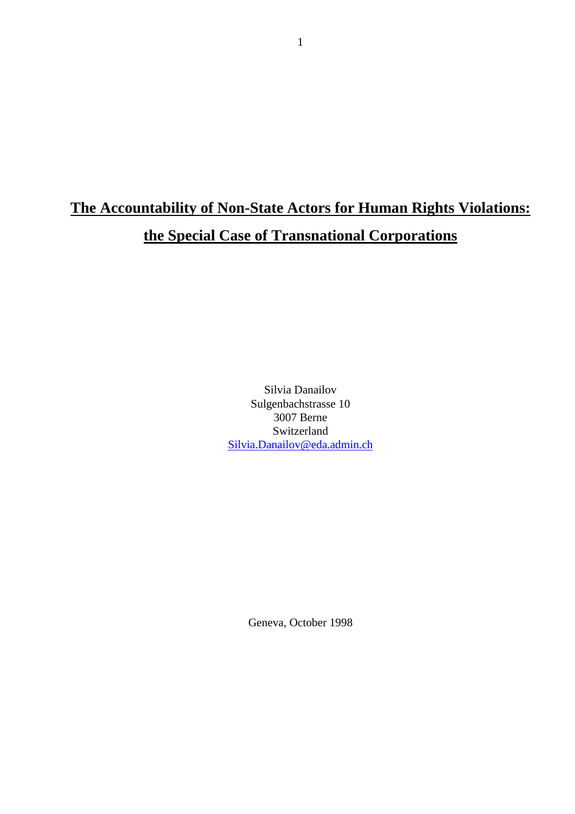# **The Accountability of Non-State Actors for Human Rights Violations: the Special Case of Transnational Corporations**

Silvia Danailov Sulgenbachstrasse 10 3007 Berne Switzerland Silvia.Danailov@eda.admin.ch

Geneva, October 1998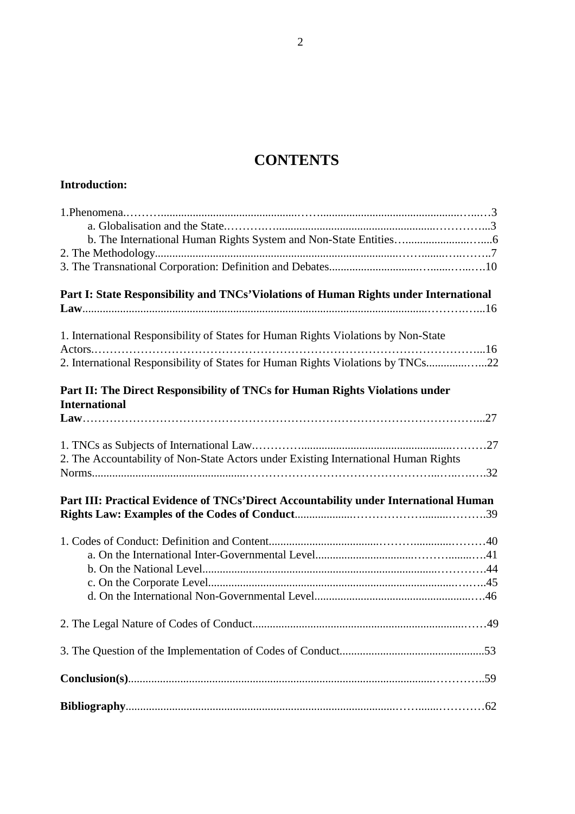# **CONTENTS**

| <b>Introduction:</b>                                                                                                                                                                                                                                  |
|-------------------------------------------------------------------------------------------------------------------------------------------------------------------------------------------------------------------------------------------------------|
|                                                                                                                                                                                                                                                       |
| Part I: State Responsibility and TNCs' Violations of Human Rights under International                                                                                                                                                                 |
| 1. International Responsibility of States for Human Rights Violations by Non-State<br>2. International Responsibility of States for Human Rights Violations by TNCs22<br>Part II: The Direct Responsibility of TNCs for Human Rights Violations under |
| <b>International</b>                                                                                                                                                                                                                                  |
| 2. The Accountability of Non-State Actors under Existing International Human Rights                                                                                                                                                                   |
| Part III: Practical Evidence of TNCs'Direct Accountability under International Human                                                                                                                                                                  |
|                                                                                                                                                                                                                                                       |
|                                                                                                                                                                                                                                                       |
|                                                                                                                                                                                                                                                       |
|                                                                                                                                                                                                                                                       |
|                                                                                                                                                                                                                                                       |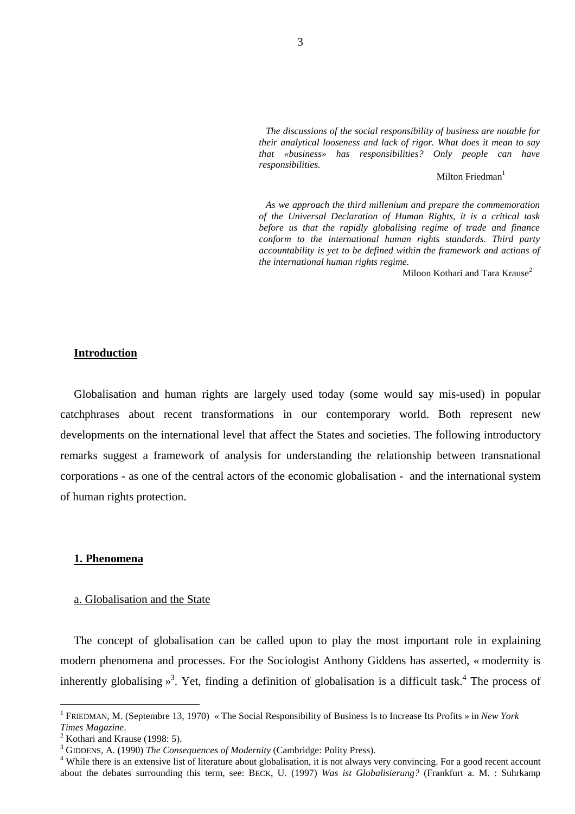*The discussions of the social responsibility of business are notable for their analytical looseness and lack of rigor. What does it mean to say that «business» has responsibilities? Only people can have responsibilities.* 

Milton Friedman<sup>1</sup>

*As we approach the third millenium and prepare the commemoration of the Universal Declaration of Human Rights, it is a critical task before us that the rapidly globalising regime of trade and finance conform to the international human rights standards. Third party accountability is yet to be defined within the framework and actions of the international human rights regime.* 

Miloon Kothari and Tara Krause<sup>2</sup>

#### **Introduction**

Globalisation and human rights are largely used today (some would say mis-used) in popular catchphrases about recent transformations in our contemporary world. Both represent new developments on the international level that affect the States and societies. The following introductory remarks suggest a framework of analysis for understanding the relationship between transnational corporations - as one of the central actors of the economic globalisation - and the international system of human rights protection.

#### **1. Phenomena**

#### a. Globalisation and the State

The concept of globalisation can be called upon to play the most important role in explaining modern phenomena and processes. For the Sociologist Anthony Giddens has asserted, « modernity is inherently globalising  $\frac{1}{2}$ . Yet, finding a definition of globalisation is a difficult task.<sup>4</sup> The process of

<sup>1</sup> FRIEDMAN, M. (Septembre 13, 1970) « The Social Responsibility of Business Is to Increase Its Profits » in *New York Times Magazine*. 2

 $2$  Kothari and Krause (1998: 5).

 $^3$  GIDDENS, A. (1990) *The Consequences of Modernity* (Cambridge: Polity Press).

<sup>&</sup>lt;sup>4</sup> While there is an extensive list of literature about globalisation, it is not always very convincing. For a good recent account about the debates surrounding this term, see: BECK, U. (1997) *Was ist Globalisierung?* (Frankfurt a. M. : Suhrkamp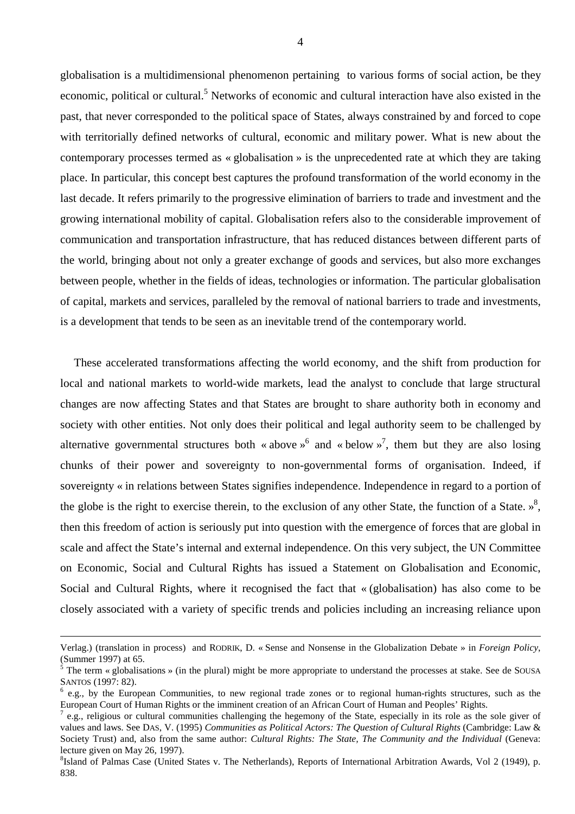globalisation is a multidimensional phenomenon pertaining to various forms of social action, be they economic, political or cultural.<sup>5</sup> Networks of economic and cultural interaction have also existed in the past, that never corresponded to the political space of States, always constrained by and forced to cope with territorially defined networks of cultural, economic and military power. What is new about the contemporary processes termed as « globalisation » is the unprecedented rate at which they are taking place. In particular, this concept best captures the profound transformation of the world economy in the last decade. It refers primarily to the progressive elimination of barriers to trade and investment and the growing international mobility of capital. Globalisation refers also to the considerable improvement of communication and transportation infrastructure, that has reduced distances between different parts of the world, bringing about not only a greater exchange of goods and services, but also more exchanges between people, whether in the fields of ideas, technologies or information. The particular globalisation of capital, markets and services, paralleled by the removal of national barriers to trade and investments, is a development that tends to be seen as an inevitable trend of the contemporary world.

These accelerated transformations affecting the world economy, and the shift from production for local and national markets to world-wide markets, lead the analyst to conclude that large structural changes are now affecting States and that States are brought to share authority both in economy and society with other entities. Not only does their political and legal authority seem to be challenged by alternative governmental structures both « above  $\phi^6$  and « below  $\phi^7$ , them but they are also losing chunks of their power and sovereignty to non-governmental forms of organisation. Indeed, if sovereignty « in relations between States signifies independence. Independence in regard to a portion of the globe is the right to exercise therein, to the exclusion of any other State, the function of a State.  $\frac{1}{2}$ , then this freedom of action is seriously put into question with the emergence of forces that are global in scale and affect the State's internal and external independence. On this very subject, the UN Committee on Economic, Social and Cultural Rights has issued a Statement on Globalisation and Economic, Social and Cultural Rights, where it recognised the fact that « (globalisation) has also come to be closely associated with a variety of specific trends and policies including an increasing reliance upon

Verlag.) (translation in process) and RODRIK, D. « Sense and Nonsense in the Globalization Debate » in *Foreign Policy*, (Summer 1997) at 65.

 $<sup>5</sup>$  The term « globalisations » (in the plural) might be more appropriate to understand the processes at stake. See de SOUSA</sup> SANTOS (1997: 82).

 $\frac{6}{3}$  e.g., by the European Communities, to new regional trade zones or to regional human-rights structures, such as the European Court of Human Rights or the imminent creation of an African Court of Human and Peoples' Rights.

<sup>7</sup> e.g., religious or cultural communities challenging the hegemony of the State, especially in its role as the sole giver of values and laws. See DAS, V. (1995) *Communities as Political Actors: The Question of Cultural Rights* (Cambridge: Law & Society Trust) and, also from the same author: *Cultural Rights: The State, The Community and the Individual* (Geneva: lecture given on May 26, 1997).

<sup>&</sup>lt;sup>8</sup>Island of Palmas Case (United States v. The Netherlands), Reports of International Arbitration Awards, Vol 2 (1949), p. 838.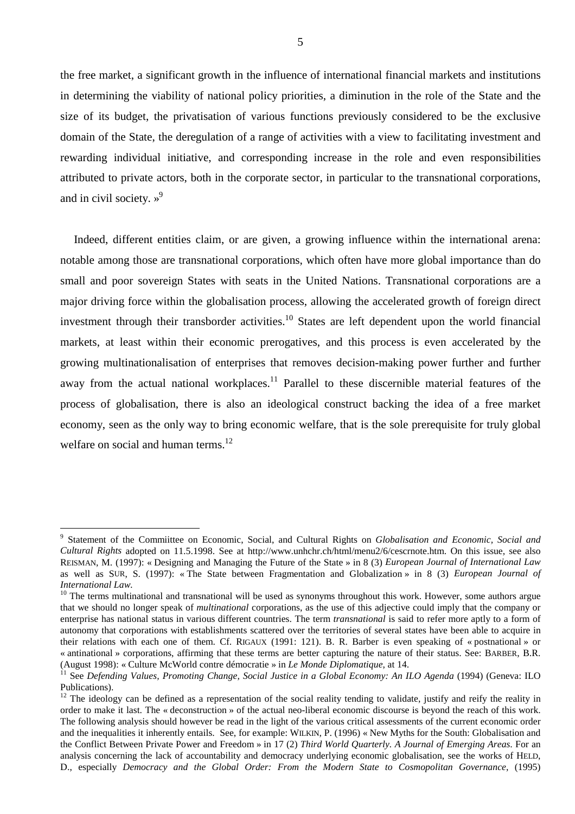the free market, a significant growth in the influence of international financial markets and institutions in determining the viability of national policy priorities, a diminution in the role of the State and the size of its budget, the privatisation of various functions previously considered to be the exclusive domain of the State, the deregulation of a range of activities with a view to facilitating investment and rewarding individual initiative, and corresponding increase in the role and even responsibilities attributed to private actors, both in the corporate sector, in particular to the transnational corporations, and in civil society.  $\mathcal{P}^9$ 

Indeed, different entities claim, or are given, a growing influence within the international arena: notable among those are transnational corporations, which often have more global importance than do small and poor sovereign States with seats in the United Nations. Transnational corporations are a major driving force within the globalisation process, allowing the accelerated growth of foreign direct investment through their transborder activities.<sup>10</sup> States are left dependent upon the world financial markets, at least within their economic prerogatives, and this process is even accelerated by the growing multinationalisation of enterprises that removes decision-making power further and further away from the actual national workplaces.<sup>11</sup> Parallel to these discernible material features of the process of globalisation, there is also an ideological construct backing the idea of a free market economy, seen as the only way to bring economic welfare, that is the sole prerequisite for truly global welfare on social and human terms. $^{12}$ 

<sup>9</sup> Statement of the Commiittee on Economic, Social, and Cultural Rights on *Globalisation and Economic, Social and Cultural Rights* adopted on 11.5.1998. See at http://www.unhchr.ch/html/menu2/6/cescrnote.htm. On this issue, see also REISMAN, M. (1997): « Designing and Managing the Future of the State » in 8 (3) *European Journal of International Law* as well as SUR, S. (1997): « The State between Fragmentation and Globalization » in 8 (3) *European Journal of International Law.*

 $10$  The terms multinational and transnational will be used as synonyms throughout this work. However, some authors argue that we should no longer speak of *multinational* corporations, as the use of this adjective could imply that the company or enterprise has national status in various different countries. The term *transnational* is said to refer more aptly to a form of autonomy that corporations with establishments scattered over the territories of several states have been able to acquire in their relations with each one of them. Cf. RIGAUX (1991: 121). B. R. Barber is even speaking of « postnational » or « antinational » corporations, affirming that these terms are better capturing the nature of their status. See: BARBER, B.R. (August 1998): « Culture McWorld contre démocratie » in *Le Monde Diplomatique*, at 14.<br><sup>11</sup> See *Defending Values, Promoting Change, Social Justice in a Global Economy: An ILO Agenda (1994) (Geneva: ILO* 

Publications).

 $12$  The ideology can be defined as a representation of the social reality tending to validate, justify and reify the reality in order to make it last. The « deconstruction » of the actual neo-liberal economic discourse is beyond the reach of this work. The following analysis should however be read in the light of the various critical assessments of the current economic order and the inequalities it inherently entails. See, for example: WILKIN, P. (1996) « New Myths for the South: Globalisation and the Conflict Between Private Power and Freedom » in 17 (2) *Third World Quarterly. A Journal of Emerging Areas*. For an analysis concerning the lack of accountability and democracy underlying economic globalisation, see the works of HELD, D., especially *Democracy and the Global Order: From the Modern State to Cosmopolitan Governance*, (1995)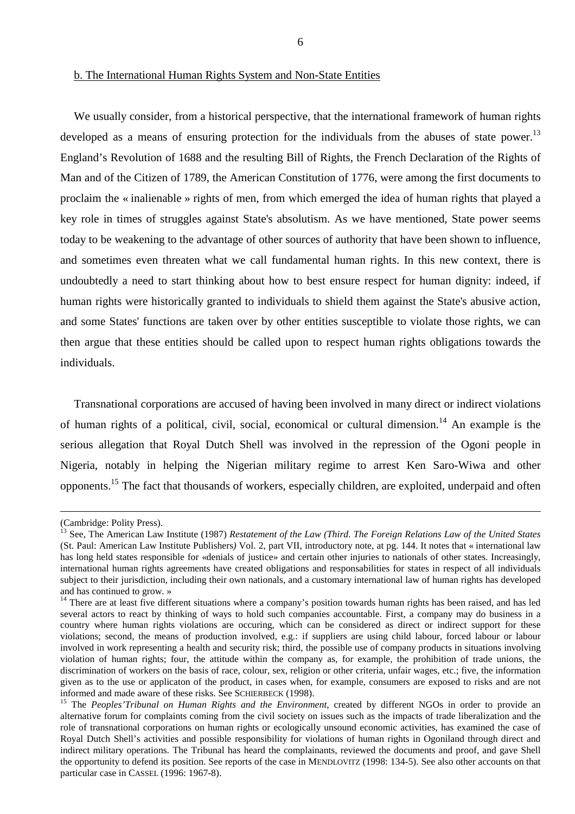We usually consider, from a historical perspective, that the international framework of human rights developed as a means of ensuring protection for the individuals from the abuses of state power.<sup>13</sup> England's Revolution of 1688 and the resulting Bill of Rights, the French Declaration of the Rights of Man and of the Citizen of 1789, the American Constitution of 1776, were among the first documents to proclaim the « inalienable » rights of men, from which emerged the idea of human rights that played a key role in times of struggles against State's absolutism. As we have mentioned, State power seems today to be weakening to the advantage of other sources of authority that have been shown to influence, and sometimes even threaten what we call fundamental human rights. In this new context, there is undoubtedly a need to start thinking about how to best ensure respect for human dignity: indeed, if human rights were historically granted to individuals to shield them against the State's abusive action, and some States' functions are taken over by other entities susceptible to violate those rights, we can then argue that these entities should be called upon to respect human rights obligations towards the individuals.

Transnational corporations are accused of having been involved in many direct or indirect violations of human rights of a political, civil, social, economical or cultural dimension.<sup>14</sup> An example is the serious allegation that Royal Dutch Shell was involved in the repression of the Ogoni people in Nigeria, notably in helping the Nigerian military regime to arrest Ken Saro-Wiwa and other opponents.15 The fact that thousands of workers, especially children, are exploited, underpaid and often

<sup>(</sup>Cambridge: Polity Press).

<sup>&</sup>lt;sup>13</sup> See, The American Law Institute (1987) *Restatement of the Law (Third. The Foreign Relations Law of the United States* (St. Paul: American Law Institute Publishers*)* Vol. 2, part VII, introductory note, at pg. 144. It notes that « international law has long held states responsible for «denials of justice» and certain other injuries to nationals of other states. Increasingly, international human rights agreements have created obligations and responsabilities for states in respect of all individuals subject to their jurisdiction, including their own nationals, and a customary international law of human rights has developed and has continued to grow. »

<sup>&</sup>lt;sup>14</sup> There are at least five different situations where a company's position towards human rights has been raised, and has led several actors to react by thinking of ways to hold such companies accountable. First, a company may do business in a country where human rights violations are occuring, which can be considered as direct or indirect support for these violations; second, the means of production involved, e.g.: if suppliers are using child labour, forced labour or labour involved in work representing a health and security risk; third, the possible use of company products in situations involving violation of human rights; four, the attitude within the company as, for example, the prohibition of trade unions, the discrimination of workers on the basis of race, colour, sex, religion or other criteria, unfair wages, etc.; five, the information given as to the use or applicaton of the product, in cases when, for example, consumers are exposed to risks and are not informed and made aware of these risks. See SCHIERBECK (1998).<br><sup>15</sup> The *Peoples'Tribunal on Human Rights and the Environment*, created by different NGOs in order to provide an

alternative forum for complaints coming from the civil society on issues such as the impacts of trade liberalization and the role of transnational corporations on human rights or ecologically unsound economic activities, has examined the case of Royal Dutch Shell's activities and possible responsibility for violations of human rights in Ogoniland through direct and indirect military operations. The Tribunal has heard the complainants, reviewed the documents and proof, and gave Shell the opportunity to defend its position. See reports of the case in MENDLOVITZ (1998: 134-5). See also other accounts on that particular case in CASSEL (1996: 1967-8).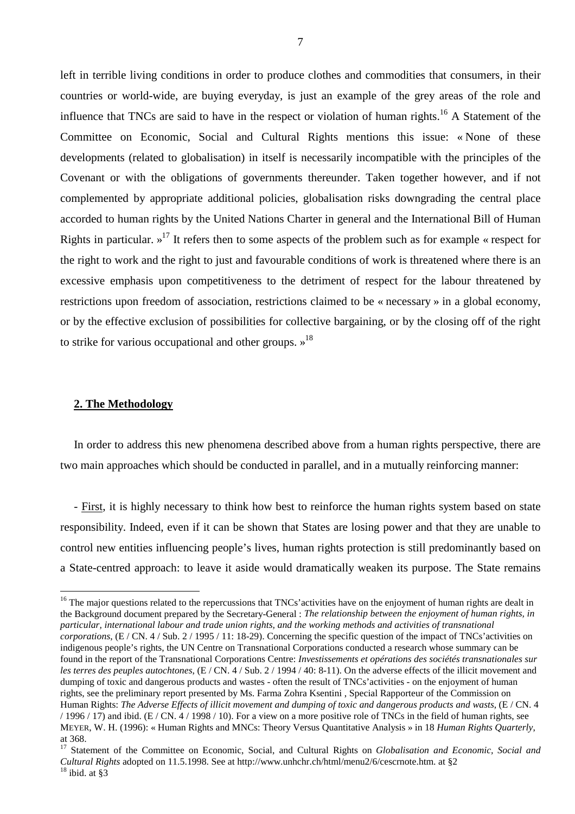left in terrible living conditions in order to produce clothes and commodities that consumers, in their countries or world-wide, are buying everyday, is just an example of the grey areas of the role and influence that TNCs are said to have in the respect or violation of human rights.<sup>16</sup> A Statement of the Committee on Economic, Social and Cultural Rights mentions this issue: « None of these developments (related to globalisation) in itself is necessarily incompatible with the principles of the Covenant or with the obligations of governments thereunder. Taken together however, and if not complemented by appropriate additional policies, globalisation risks downgrading the central place accorded to human rights by the United Nations Charter in general and the International Bill of Human Rights in particular.  $v^{17}$  It refers then to some aspects of the problem such as for example « respect for the right to work and the right to just and favourable conditions of work is threatened where there is an excessive emphasis upon competitiveness to the detriment of respect for the labour threatened by restrictions upon freedom of association, restrictions claimed to be « necessary » in a global economy, or by the effective exclusion of possibilities for collective bargaining, or by the closing off of the right to strike for various occupational and other groups.  $\frac{18}{18}$ 

#### **2. The Methodology**

 $\overline{a}$ 

In order to address this new phenomena described above from a human rights perspective, there are two main approaches which should be conducted in parallel, and in a mutually reinforcing manner:

- First, it is highly necessary to think how best to reinforce the human rights system based on state responsibility. Indeed, even if it can be shown that States are losing power and that they are unable to control new entities influencing people's lives, human rights protection is still predominantly based on a State-centred approach: to leave it aside would dramatically weaken its purpose. The State remains

<sup>&</sup>lt;sup>16</sup> The major questions related to the repercussions that TNCs' activities have on the enjoyment of human rights are dealt in the Background document prepared by the Secretary-General : *The relationship between the enjoyment of human rights, in particular, international labour and trade union rights, and the working methods and activities of transnational corporations*, (E / CN. 4 / Sub. 2 / 1995 / 11: 18-29). Concerning the specific question of the impact of TNCs' activities on indigenous people's rights, the UN Centre on Transnational Corporations conducted a research whose summary can be found in the report of the Transnational Corporations Centre: *Investissements et opérations des sociétés transnationales sur les terres des peuples autochtones*, (E / CN. 4 / Sub. 2 / 1994 / 40: 8-11). On the adverse effects of the illicit movement and dumping of toxic and dangerous products and wastes - often the result of TNCs' activities - on the enjoyment of human rights, see the preliminary report presented by Ms. Farma Zohra Ksentini , Special Rapporteur of the Commission on Human Rights: *The Adverse Effects of illicit movement and dumping of toxic and dangerous products and wasts*, (E / CN. 4 / 1996 / 17) and ibid. (E / CN. 4 / 1998 / 10). For a view on a more positive role of TNCs in the field of human rights, see MEYER, W. H. (1996): « Human Rights and MNCs: Theory Versus Quantitative Analysis » in 18 *Human Rights Quarterly*, at 368.

<sup>17</sup> Statement of the Committee on Economic, Social, and Cultural Rights on *Globalisation and Economic, Social and Cultural Rights* adopted on 11.5.1998. See at http://www.unhchr.ch/html/menu2/6/cescrnote.htm. at §2 18 ibid. at §3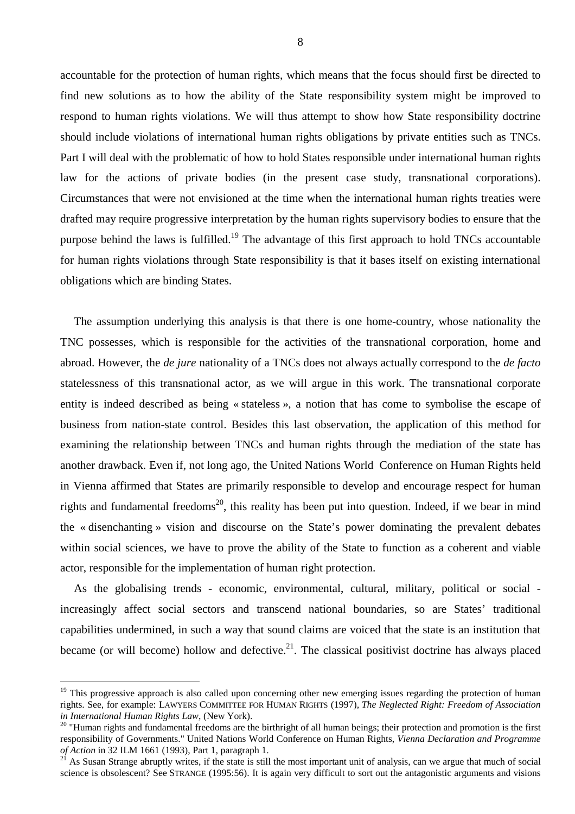accountable for the protection of human rights, which means that the focus should first be directed to find new solutions as to how the ability of the State responsibility system might be improved to respond to human rights violations. We will thus attempt to show how State responsibility doctrine should include violations of international human rights obligations by private entities such as TNCs. Part I will deal with the problematic of how to hold States responsible under international human rights law for the actions of private bodies (in the present case study, transnational corporations). Circumstances that were not envisioned at the time when the international human rights treaties were drafted may require progressive interpretation by the human rights supervisory bodies to ensure that the purpose behind the laws is fulfilled.<sup>19</sup> The advantage of this first approach to hold TNCs accountable for human rights violations through State responsibility is that it bases itself on existing international obligations which are binding States.

The assumption underlying this analysis is that there is one home-country, whose nationality the TNC possesses, which is responsible for the activities of the transnational corporation, home and abroad. However, the *de jure* nationality of a TNCs does not always actually correspond to the *de facto* statelessness of this transnational actor, as we will argue in this work. The transnational corporate entity is indeed described as being « stateless », a notion that has come to symbolise the escape of business from nation-state control. Besides this last observation, the application of this method for examining the relationship between TNCs and human rights through the mediation of the state has another drawback. Even if, not long ago, the United Nations World Conference on Human Rights held in Vienna affirmed that States are primarily responsible to develop and encourage respect for human rights and fundamental freedoms<sup>20</sup>, this reality has been put into question. Indeed, if we bear in mind the « disenchanting » vision and discourse on the State's power dominating the prevalent debates within social sciences, we have to prove the ability of the State to function as a coherent and viable actor, responsible for the implementation of human right protection.

As the globalising trends - economic, environmental, cultural, military, political or social increasingly affect social sectors and transcend national boundaries, so are States' traditional capabilities undermined, in such a way that sound claims are voiced that the state is an institution that became (or will become) hollow and defective.<sup>21</sup>. The classical positivist doctrine has always placed

<sup>&</sup>lt;sup>19</sup> This progressive approach is also called upon concerning other new emerging issues regarding the protection of human rights. See, for example: LAWYERS COMMITTEE FOR HUMAN RIGHTS (1997)*, The Neglected Right: Freedom of Association* 

<sup>&</sup>lt;sup>20</sup> "Human rights and fundamental freedoms are the birthright of all human beings; their protection and promotion is the first responsibility of Governments." United Nations World Conference on Human Rights, *Vienna Declaration and Programme* 

<sup>&</sup>lt;sup>21</sup> As Susan Strange abruptly writes, if the state is still the most important unit of analysis, can we argue that much of social science is obsolescent? See STRANGE (1995:56). It is again very difficult to sort out the antagonistic arguments and visions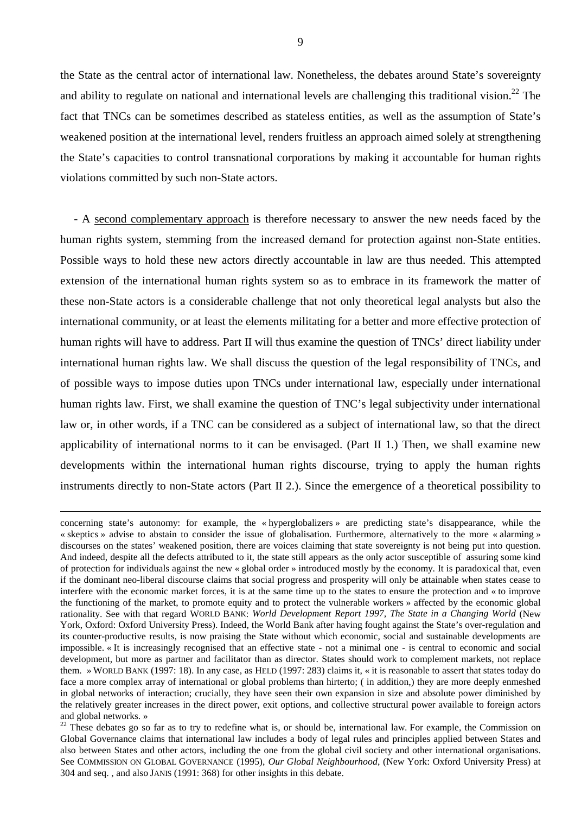the State as the central actor of international law. Nonetheless, the debates around State's sovereignty and ability to regulate on national and international levels are challenging this traditional vision.<sup>22</sup> The fact that TNCs can be sometimes described as stateless entities, as well as the assumption of State's weakened position at the international level, renders fruitless an approach aimed solely at strengthening the State's capacities to control transnational corporations by making it accountable for human rights violations committed by such non-State actors.

- A second complementary approach is therefore necessary to answer the new needs faced by the human rights system, stemming from the increased demand for protection against non-State entities. Possible ways to hold these new actors directly accountable in law are thus needed. This attempted extension of the international human rights system so as to embrace in its framework the matter of these non-State actors is a considerable challenge that not only theoretical legal analysts but also the international community, or at least the elements militating for a better and more effective protection of human rights will have to address. Part II will thus examine the question of TNCs' direct liability under international human rights law. We shall discuss the question of the legal responsibility of TNCs, and of possible ways to impose duties upon TNCs under international law, especially under international human rights law. First, we shall examine the question of TNC's legal subjectivity under international law or, in other words, if a TNC can be considered as a subject of international law, so that the direct applicability of international norms to it can be envisaged. (Part II 1.) Then, we shall examine new developments within the international human rights discourse, trying to apply the human rights instruments directly to non-State actors (Part II 2.). Since the emergence of a theoretical possibility to

concerning state's autonomy: for example, the « hyperglobalizers » are predicting state's disappearance, while the « skeptics » advise to abstain to consider the issue of globalisation. Furthermore, alternatively to the more « alarming » discourses on the states' weakened position, there are voices claiming that state sovereignty is not being put into question. And indeed, despite all the defects attributed to it, the state still appears as the only actor susceptible of assuring some kind of protection for individuals against the new « global order » introduced mostly by the economy. It is paradoxical that, even if the dominant neo-liberal discourse claims that social progress and prosperity will only be attainable when states cease to interfere with the economic market forces, it is at the same time up to the states to ensure the protection and « to improve the functioning of the market, to promote equity and to protect the vulnerable workers » affected by the economic global rationality. See with that regard WORLD BANK: *World Development Report 1997, The State in a Changing World* (New York, Oxford: Oxford University Press). Indeed, the World Bank after having fought against the State's over-regulation and its counter-productive results, is now praising the State without which economic, social and sustainable developments are impossible. « It is increasingly recognised that an effective state - not a minimal one - is central to economic and social development, but more as partner and facilitator than as director. States should work to complement markets, not replace them. » WORLD BANK (1997: 18). In any case, as HELD (1997: 283) claims it, « it is reasonable to assert that states today do face a more complex array of international or global problems than hirterto; ( in addition,) they are more deeply enmeshed in global networks of interaction; crucially, they have seen their own expansion in size and absolute power diminished by the relatively greater increases in the direct power, exit options, and collective structural power available to foreign actors and global networks. »

 $22$  These debates go so far as to try to redefine what is, or should be, international law. For example, the Commission on Global Governance claims that international law includes a body of legal rules and principles applied between States and also between States and other actors, including the one from the global civil society and other international organisations. See COMMISSION ON GLOBAL GOVERNANCE (1995), *Our Global Neighbourhood*, (New York: Oxford University Press) at 304 and seq. , and also JANIS (1991: 368) for other insights in this debate.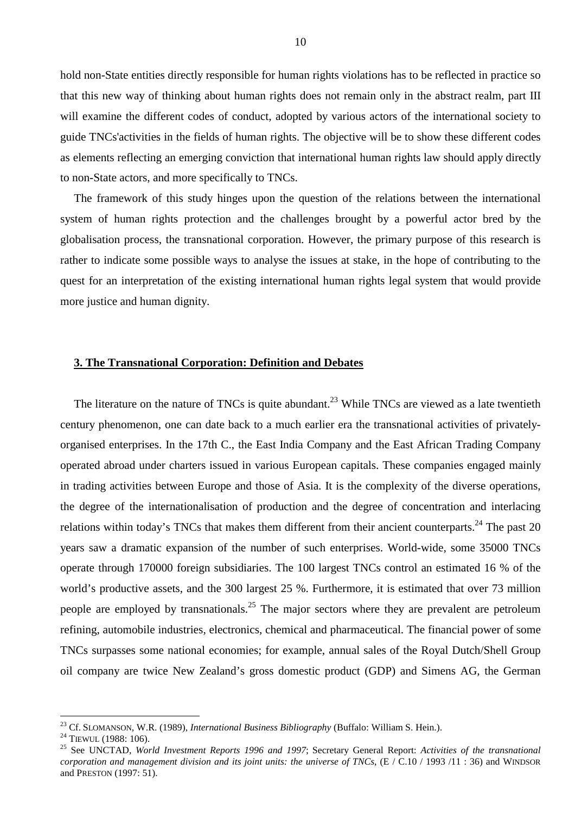hold non-State entities directly responsible for human rights violations has to be reflected in practice so that this new way of thinking about human rights does not remain only in the abstract realm, part III will examine the different codes of conduct, adopted by various actors of the international society to guide TNCs'activities in the fields of human rights. The objective will be to show these different codes as elements reflecting an emerging conviction that international human rights law should apply directly to non-State actors, and more specifically to TNCs.

The framework of this study hinges upon the question of the relations between the international system of human rights protection and the challenges brought by a powerful actor bred by the globalisation process, the transnational corporation. However, the primary purpose of this research is rather to indicate some possible ways to analyse the issues at stake, in the hope of contributing to the quest for an interpretation of the existing international human rights legal system that would provide more justice and human dignity.

#### **3. The Transnational Corporation: Definition and Debates**

The literature on the nature of TNCs is quite abundant.<sup>23</sup> While TNCs are viewed as a late twentieth century phenomenon, one can date back to a much earlier era the transnational activities of privatelyorganised enterprises. In the 17th C., the East India Company and the East African Trading Company operated abroad under charters issued in various European capitals. These companies engaged mainly in trading activities between Europe and those of Asia. It is the complexity of the diverse operations, the degree of the internationalisation of production and the degree of concentration and interlacing relations within today's TNCs that makes them different from their ancient counterparts.<sup>24</sup> The past 20 years saw a dramatic expansion of the number of such enterprises. World-wide, some 35000 TNCs operate through 170000 foreign subsidiaries. The 100 largest TNCs control an estimated 16 % of the world's productive assets, and the 300 largest 25 %. Furthermore, it is estimated that over 73 million people are employed by transnationals.<sup>25</sup> The major sectors where they are prevalent are petroleum refining, automobile industries, electronics, chemical and pharmaceutical. The financial power of some TNCs surpasses some national economies; for example, annual sales of the Royal Dutch/Shell Group oil company are twice New Zealand's gross domestic product (GDP) and Simens AG, the German

<sup>&</sup>lt;sup>23</sup> Cf. SLOMANSON, W.R. (1989), *International Business Bibliography* (Buffalo: William S. Hein.).<br><sup>24</sup> TIEWUL (1988: 106).<br><sup>25</sup> See UNCTAD, *World Investment Reports 1996 and 1997*; Secretary General Report: *Activities corporation and management division and its joint units: the universe of TNCs*, (E / C.10 / 1993 /11 : 36) and WINDSOR and PRESTON (1997: 51).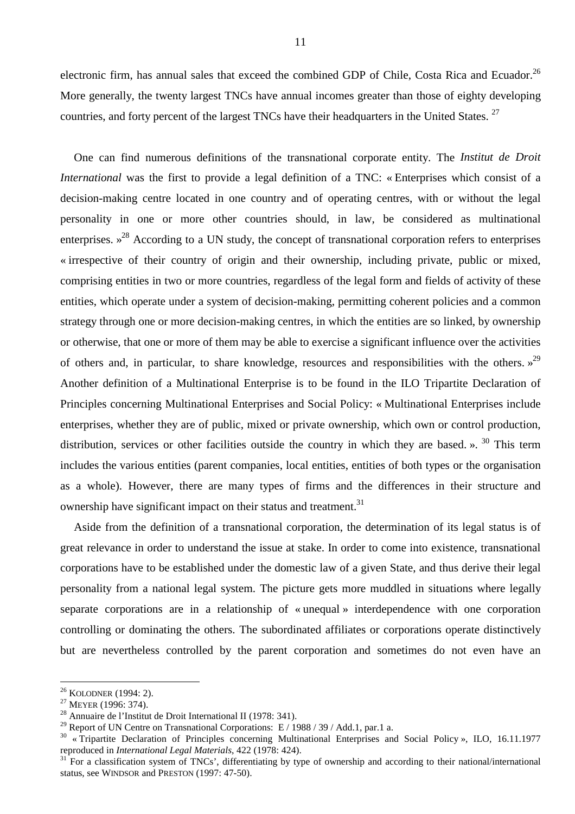electronic firm, has annual sales that exceed the combined GDP of Chile, Costa Rica and Ecuador.<sup>26</sup> More generally, the twenty largest TNCs have annual incomes greater than those of eighty developing countries, and forty percent of the largest TNCs have their headquarters in the United States. <sup>27</sup>

One can find numerous definitions of the transnational corporate entity. The *Institut de Droit International* was the first to provide a legal definition of a TNC: « Enterprises which consist of a decision-making centre located in one country and of operating centres, with or without the legal personality in one or more other countries should, in law, be considered as multinational enterprises.  $x^{28}$  According to a UN study, the concept of transnational corporation refers to enterprises « irrespective of their country of origin and their ownership, including private, public or mixed, comprising entities in two or more countries, regardless of the legal form and fields of activity of these entities, which operate under a system of decision-making, permitting coherent policies and a common strategy through one or more decision-making centres, in which the entities are so linked, by ownership or otherwise, that one or more of them may be able to exercise a significant influence over the activities of others and, in particular, to share knowledge, resources and responsibilities with the others.  $v^{29}$ Another definition of a Multinational Enterprise is to be found in the ILO Tripartite Declaration of Principles concerning Multinational Enterprises and Social Policy: « Multinational Enterprises include enterprises, whether they are of public, mixed or private ownership, which own or control production, distribution, services or other facilities outside the country in which they are based. ».  $30$  This term includes the various entities (parent companies, local entities, entities of both types or the organisation as a whole). However, there are many types of firms and the differences in their structure and ownership have significant impact on their status and treatment.<sup>31</sup>

Aside from the definition of a transnational corporation, the determination of its legal status is of great relevance in order to understand the issue at stake. In order to come into existence, transnational corporations have to be established under the domestic law of a given State, and thus derive their legal personality from a national legal system. The picture gets more muddled in situations where legally separate corporations are in a relationship of « unequal » interdependence with one corporation controlling or dominating the others. The subordinated affiliates or corporations operate distinctively but are nevertheless controlled by the parent corporation and sometimes do not even have an

<sup>&</sup>lt;sup>26</sup> KOLODNER (1994: 2).<br><sup>27</sup> MEYER (1996: 374).<br><sup>28</sup> Annuaire de l'Institut de Droit International II (1978: 341).

<sup>&</sup>lt;sup>29</sup> Report of UN Centre on Transnational Corporations: E / 1988 / 39 / Add.1, par.1 a.

 $30 \times$  Tripartite Declaration of Principles concerning Multinational Enterprises and Social Policy », ILO, 16.11.1977 reproduced in *International Legal Materials*, 422 (1978: 424).

<sup>&</sup>lt;sup>31</sup> For a classification system of TNCs', differentiating by type of ownership and according to their national/international status, see WINDSOR and PRESTON (1997: 47-50).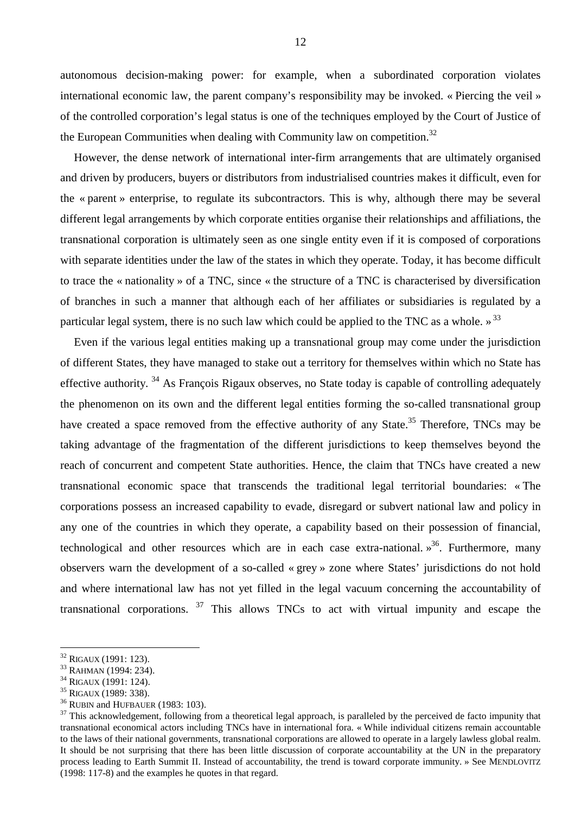autonomous decision-making power: for example, when a subordinated corporation violates international economic law, the parent company's responsibility may be invoked. « Piercing the veil » of the controlled corporation's legal status is one of the techniques employed by the Court of Justice of the European Communities when dealing with Community law on competition.<sup>32</sup>

However, the dense network of international inter-firm arrangements that are ultimately organised and driven by producers, buyers or distributors from industrialised countries makes it difficult, even for the « parent » enterprise, to regulate its subcontractors. This is why, although there may be several different legal arrangements by which corporate entities organise their relationships and affiliations, the transnational corporation is ultimately seen as one single entity even if it is composed of corporations with separate identities under the law of the states in which they operate. Today, it has become difficult to trace the « nationality » of a TNC, since « the structure of a TNC is characterised by diversification of branches in such a manner that although each of her affiliates or subsidiaries is regulated by a particular legal system, there is no such law which could be applied to the TNC as a whole.  $\frac{1}{2}$ <sup>33</sup>

Even if the various legal entities making up a transnational group may come under the jurisdiction of different States, they have managed to stake out a territory for themselves within which no State has effective authority. <sup>34</sup> As François Rigaux observes, no State today is capable of controlling adequately the phenomenon on its own and the different legal entities forming the so-called transnational group have created a space removed from the effective authority of any State.<sup>35</sup> Therefore, TNCs may be taking advantage of the fragmentation of the different jurisdictions to keep themselves beyond the reach of concurrent and competent State authorities. Hence, the claim that TNCs have created a new transnational economic space that transcends the traditional legal territorial boundaries: « The corporations possess an increased capability to evade, disregard or subvert national law and policy in any one of the countries in which they operate, a capability based on their possession of financial, technological and other resources which are in each case extra-national.  $\frac{1}{2}$ <sup>36</sup>. Furthermore, many observers warn the development of a so-called « grey » zone where States' jurisdictions do not hold and where international law has not yet filled in the legal vacuum concerning the accountability of transnational corporations.  $37$  This allows TNCs to act with virtual impunity and escape the

<sup>&</sup>lt;sup>32</sup> RIGAUX (1991: 123).<br>
<sup>33</sup> RAHMAN (1994: 234).<br>
<sup>34</sup> RIGAUX (1991: 124).<br>
<sup>35</sup> RIGAUX (1989: 338).<br>
<sup>36</sup> RUBIN and HUFBAUER (1983: 103).<br>
<sup>36</sup> RUBIN and HUFBAUER (1983: 103).<br>
<sup>37</sup> This acknowledgement, following from transnational economical actors including TNCs have in international fora. « While individual citizens remain accountable to the laws of their national governments, transnational corporations are allowed to operate in a largely lawless global realm. It should be not surprising that there has been little discussion of corporate accountability at the UN in the preparatory process leading to Earth Summit II. Instead of accountability, the trend is toward corporate immunity. » See MENDLOVITZ (1998: 117-8) and the examples he quotes in that regard.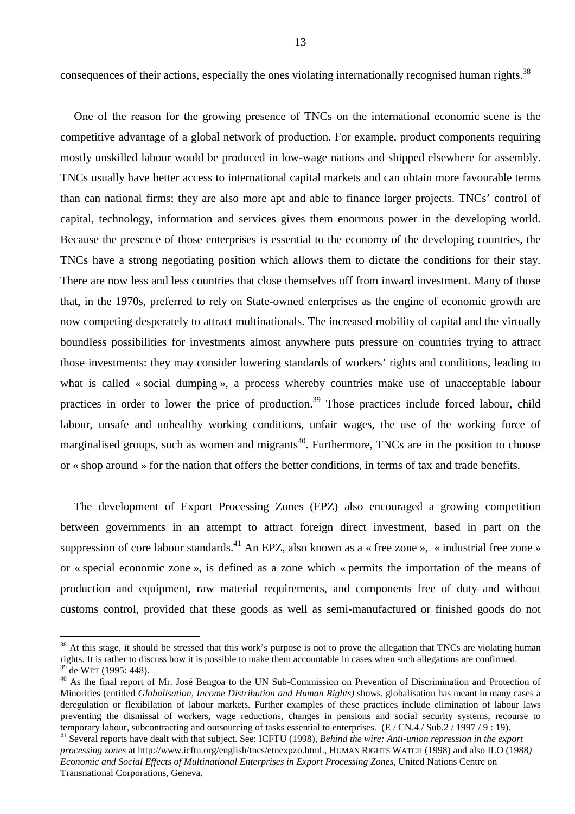consequences of their actions, especially the ones violating internationally recognised human rights.<sup>38</sup>

One of the reason for the growing presence of TNCs on the international economic scene is the competitive advantage of a global network of production. For example, product components requiring mostly unskilled labour would be produced in low-wage nations and shipped elsewhere for assembly. TNCs usually have better access to international capital markets and can obtain more favourable terms than can national firms; they are also more apt and able to finance larger projects. TNCs' control of capital, technology, information and services gives them enormous power in the developing world. Because the presence of those enterprises is essential to the economy of the developing countries, the TNCs have a strong negotiating position which allows them to dictate the conditions for their stay. There are now less and less countries that close themselves off from inward investment. Many of those that, in the 1970s, preferred to rely on State-owned enterprises as the engine of economic growth are now competing desperately to attract multinationals. The increased mobility of capital and the virtually boundless possibilities for investments almost anywhere puts pressure on countries trying to attract those investments: they may consider lowering standards of workers' rights and conditions, leading to what is called « social dumping », a process whereby countries make use of unacceptable labour practices in order to lower the price of production.<sup>39</sup> Those practices include forced labour, child labour, unsafe and unhealthy working conditions, unfair wages, the use of the working force of marginalised groups, such as women and migrants<sup>40</sup>. Furthermore, TNCs are in the position to choose or « shop around » for the nation that offers the better conditions, in terms of tax and trade benefits.

The development of Export Processing Zones (EPZ) also encouraged a growing competition between governments in an attempt to attract foreign direct investment, based in part on the suppression of core labour standards.<sup>41</sup> An EPZ, also known as a « free zone », « industrial free zone » or « special economic zone », is defined as a zone which « permits the importation of the means of production and equipment, raw material requirements, and components free of duty and without customs control, provided that these goods as well as semi-manufactured or finished goods do not

<sup>&</sup>lt;sup>38</sup> At this stage, it should be stressed that this work's purpose is not to prove the allegation that TNCs are violating human rights. It is rather to discuss how it is possible to make them accountable in cases when such allegations are confirmed.

 $^{39}$  de WET (1995: 448).<br><sup>40</sup> As the final report of Mr. José Bengoa to the UN Sub-Commission on Prevention of Discrimination and Protection of Minorities (entitled *Globalisation, Income Distribution and Human Rights)* shows, globalisation has meant in many cases a deregulation or flexibilation of labour markets. Further examples of these practices include elimination of labour laws preventing the dismissal of workers, wage reductions, changes in pensions and social security systems, recourse to temporary labour, subcontracting and outsourcing of tasks essential to enterprises.  $(E / CN.4 / Sub.2 / 1997 / 9 : 19)$ .

<sup>41</sup> Several reports have dealt with that subject. See: ICFTU (1998), *Behind the wire: Anti-union repression in the export processing zones* at http://www.icftu.org/english/tncs/etnexpzo.html., HUMAN RIGHTS WATCH (1998) and also ILO (1988*) Economic and Social Effects of Multinational Enterprises in Export Processing Zones,* United Nations Centre on Transnational Corporations, Geneva.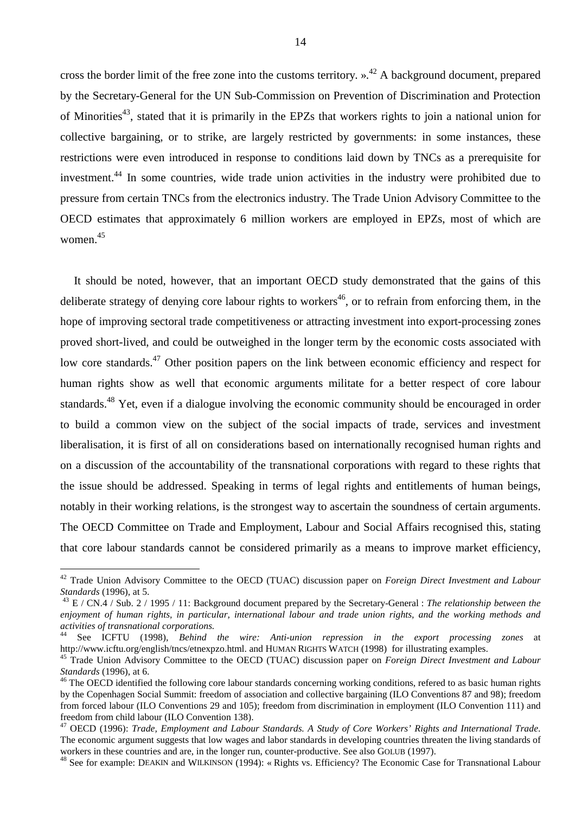cross the border limit of the free zone into the customs territory.  $\lambda^{42}$  A background document, prepared by the Secretary-General for the UN Sub-Commission on Prevention of Discrimination and Protection of Minorities<sup>43</sup>, stated that it is primarily in the EPZs that workers rights to join a national union for collective bargaining, or to strike, are largely restricted by governments: in some instances, these restrictions were even introduced in response to conditions laid down by TNCs as a prerequisite for investment.44 In some countries, wide trade union activities in the industry were prohibited due to pressure from certain TNCs from the electronics industry. The Trade Union Advisory Committee to the OECD estimates that approximately 6 million workers are employed in EPZs, most of which are women.<sup>45</sup>

It should be noted, however, that an important OECD study demonstrated that the gains of this deliberate strategy of denying core labour rights to workers<sup>46</sup>, or to refrain from enforcing them, in the hope of improving sectoral trade competitiveness or attracting investment into export-processing zones proved short-lived, and could be outweighed in the longer term by the economic costs associated with low core standards.<sup>47</sup> Other position papers on the link between economic efficiency and respect for human rights show as well that economic arguments militate for a better respect of core labour standards.<sup>48</sup> Yet, even if a dialogue involving the economic community should be encouraged in order to build a common view on the subject of the social impacts of trade, services and investment liberalisation, it is first of all on considerations based on internationally recognised human rights and on a discussion of the accountability of the transnational corporations with regard to these rights that the issue should be addressed. Speaking in terms of legal rights and entitlements of human beings, notably in their working relations, is the strongest way to ascertain the soundness of certain arguments. The OECD Committee on Trade and Employment, Labour and Social Affairs recognised this, stating that core labour standards cannot be considered primarily as a means to improve market efficiency,

<sup>42</sup> Trade Union Advisory Committee to the OECD (TUAC) discussion paper on *Foreign Direct Investment and Labour Standards* (1996), at 5. 43 E / CN.4 / Sub. 2 / 1995 / 11: Background document prepared by the Secretary-General : *The relationship between the* 

*enjoyment of human rights, in particular, international labour and trade union rights, and the working methods and activities of transnational corporations.*

<sup>44</sup> See ICFTU (1998), *Behind the wire: Anti-union repression in the export processing zones* at http://www.icftu.org/english/tncs/etnexpzo.html. and HUMAN RIGHTS WATCH (1998) for illustrating examples. 45 Trade Union Advisory Committee to the OECD (TUAC) discussion paper on *Foreign Direct Investment and Labour* 

*Standards* (1996), at 6.<br><sup>46</sup> The OECD identified the following core labour standards concerning working conditions, refered to as basic human rights

by the Copenhagen Social Summit: freedom of association and collective bargaining (ILO Conventions 87 and 98); freedom from forced labour (ILO Conventions 29 and 105); freedom from discrimination in employment (ILO Convention 111) and freedom from child labour (ILO Convention 138).

<sup>47</sup> OECD (1996): *Trade, Employment and Labour Standards. A Study of Core Workers' Rights and International Trade*. The economic argument suggests that low wages and labor standards in developing countries threaten the living standards of workers in these countries and are, in the longer run, counter-productive. See also GOLUB (1997).<br><sup>48</sup> See for example: DEAKIN and WILKINSON (1994): « Rights vs. Efficiency? The Economic Case for Transnational Labour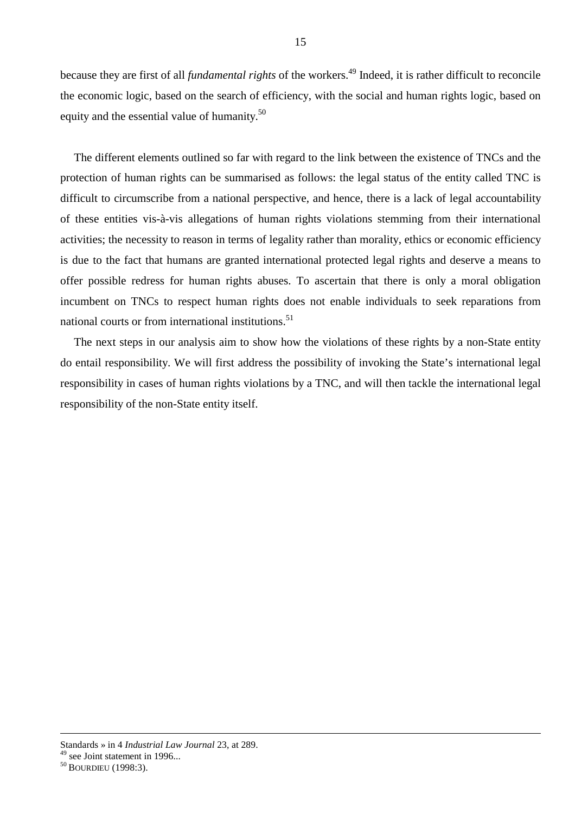because they are first of all *fundamental rights* of the workers.<sup>49</sup> Indeed, it is rather difficult to reconcile the economic logic, based on the search of efficiency, with the social and human rights logic, based on equity and the essential value of humanity.<sup>50</sup>

The different elements outlined so far with regard to the link between the existence of TNCs and the protection of human rights can be summarised as follows: the legal status of the entity called TNC is difficult to circumscribe from a national perspective, and hence, there is a lack of legal accountability of these entities vis-à-vis allegations of human rights violations stemming from their international activities; the necessity to reason in terms of legality rather than morality, ethics or economic efficiency is due to the fact that humans are granted international protected legal rights and deserve a means to offer possible redress for human rights abuses. To ascertain that there is only a moral obligation incumbent on TNCs to respect human rights does not enable individuals to seek reparations from national courts or from international institutions.<sup>51</sup>

The next steps in our analysis aim to show how the violations of these rights by a non-State entity do entail responsibility. We will first address the possibility of invoking the State's international legal responsibility in cases of human rights violations by a TNC, and will then tackle the international legal responsibility of the non-State entity itself.

Standards » in 4 *Industrial Law Journal* 23, at 289.

 $49$  see Joint statement in 1996...

<sup>&</sup>lt;sup>50</sup> BOURDIEU (1998:3).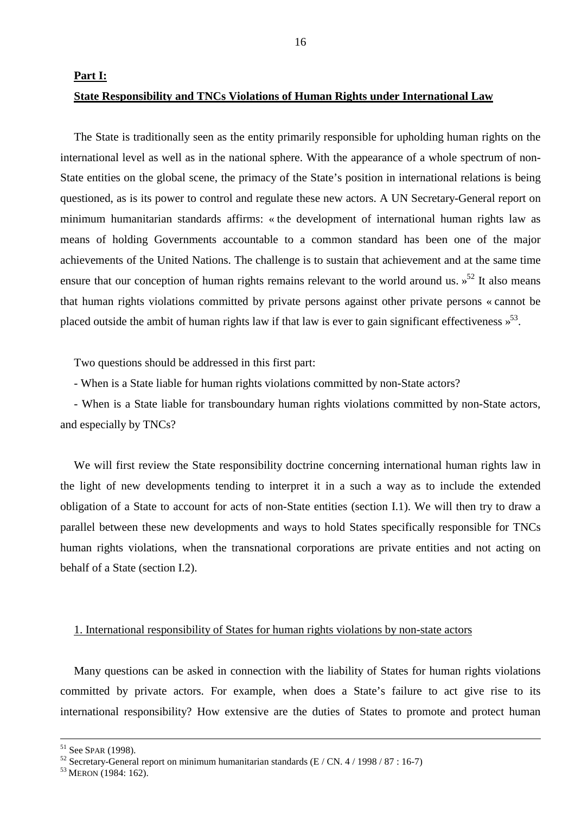**Part I:** 

## **State Responsibility and TNCs Violations of Human Rights under International Law**

The State is traditionally seen as the entity primarily responsible for upholding human rights on the international level as well as in the national sphere. With the appearance of a whole spectrum of non-State entities on the global scene, the primacy of the State's position in international relations is being questioned, as is its power to control and regulate these new actors. A UN Secretary-General report on minimum humanitarian standards affirms: « the development of international human rights law as means of holding Governments accountable to a common standard has been one of the major achievements of the United Nations. The challenge is to sustain that achievement and at the same time ensure that our conception of human rights remains relevant to the world around us.  $s^{52}$  It also means that human rights violations committed by private persons against other private persons « cannot be placed outside the ambit of human rights law if that law is ever to gain significant effectiveness  $\frac{1}{2}$ .

Two questions should be addressed in this first part:

- When is a State liable for human rights violations committed by non-State actors?

- When is a State liable for transboundary human rights violations committed by non-State actors, and especially by TNCs?

We will first review the State responsibility doctrine concerning international human rights law in the light of new developments tending to interpret it in a such a way as to include the extended obligation of a State to account for acts of non-State entities (section I.1). We will then try to draw a parallel between these new developments and ways to hold States specifically responsible for TNCs human rights violations, when the transnational corporations are private entities and not acting on behalf of a State (section I.2).

# 1. International responsibility of States for human rights violations by non-state actors

Many questions can be asked in connection with the liability of States for human rights violations committed by private actors. For example, when does a State's failure to act give rise to its international responsibility? How extensive are the duties of States to promote and protect human

<sup>&</sup>lt;sup>51</sup> See SPAR (1998).<br><sup>52</sup> Secretary-General report on minimum humanitarian standards (E / CN. 4 / 1998 / 87 : 16-7)

<sup>&</sup>lt;sup>53</sup> MERON (1984: 162).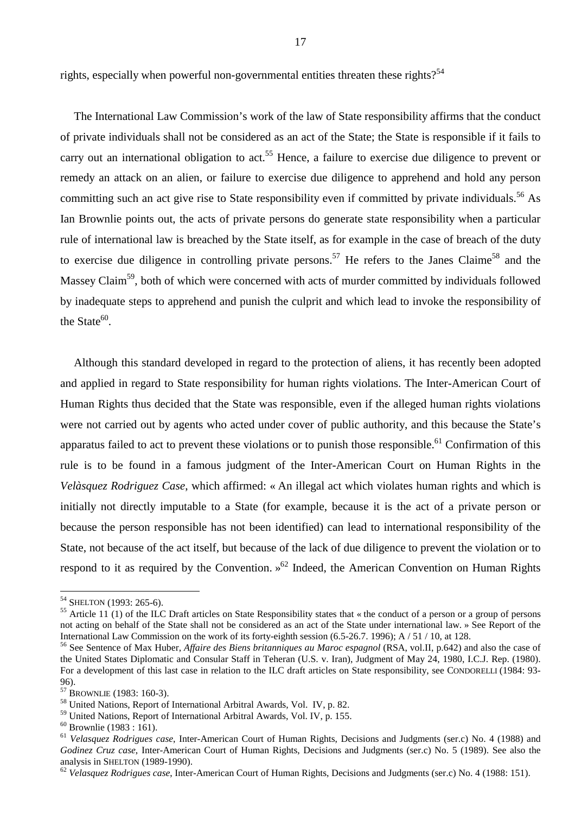rights, especially when powerful non-governmental entities threaten these rights?<sup>54</sup>

The International Law Commission's work of the law of State responsibility affirms that the conduct of private individuals shall not be considered as an act of the State; the State is responsible if it fails to carry out an international obligation to act.<sup>55</sup> Hence, a failure to exercise due diligence to prevent or remedy an attack on an alien, or failure to exercise due diligence to apprehend and hold any person committing such an act give rise to State responsibility even if committed by private individuals.<sup>56</sup> As Ian Brownlie points out, the acts of private persons do generate state responsibility when a particular rule of international law is breached by the State itself, as for example in the case of breach of the duty to exercise due diligence in controlling private persons.<sup>57</sup> He refers to the Janes Claime<sup>58</sup> and the Massey Claim<sup>59</sup>, both of which were concerned with acts of murder committed by individuals followed by inadequate steps to apprehend and punish the culprit and which lead to invoke the responsibility of the State $60$ .

Although this standard developed in regard to the protection of aliens, it has recently been adopted and applied in regard to State responsibility for human rights violations. The Inter-American Court of Human Rights thus decided that the State was responsible, even if the alleged human rights violations were not carried out by agents who acted under cover of public authority, and this because the State's apparatus failed to act to prevent these violations or to punish those responsible.<sup>61</sup> Confirmation of this rule is to be found in a famous judgment of the Inter-American Court on Human Rights in the *Velàsquez Rodriguez Case*, which affirmed: « An illegal act which violates human rights and which is initially not directly imputable to a State (for example, because it is the act of a private person or because the person responsible has not been identified) can lead to international responsibility of the State, not because of the act itself, but because of the lack of due diligence to prevent the violation or to respond to it as required by the Convention.  $\delta^2$  Indeed, the American Convention on Human Rights

<sup>&</sup>lt;sup>54</sup> SHELTON (1993: 265-6).

<sup>&</sup>lt;sup>55</sup> Article 11 (1) of the ILC Draft articles on State Responsibility states that « the conduct of a person or a group of persons not acting on behalf of the State shall not be considered as an act of the State under international law. » See Report of the International Law Commission on the work of its forty-eighth session (6.5-26.7. 1996); A / 51 / 10, at 128.

<sup>56</sup> See Sentence of Max Huber, *Affaire des Biens britanniques au Maroc espagnol* (RSA, vol.II, p.642) and also the case of the United States Diplomatic and Consular Staff in Teheran (U.S. v. Iran), Judgment of May 24, 1980, I.C.J. Rep. (1980). For a development of this last case in relation to the ILC draft articles on State responsibility, see CONDORELLI (1984: 93-96).<br><sup>57</sup> Brownlie (1983: 160-3).

<sup>&</sup>lt;sup>58</sup> United Nations, Report of International Arbitral Awards, Vol. IV, p. 82.

<sup>59</sup> United Nations, Report of International Arbitral Awards, Vol. IV, p. 155.

 $60$  Brownlie (1983 : 161).

<sup>61</sup> *Velasquez Rodrigues case*, Inter-American Court of Human Rights, Decisions and Judgments (ser.c) No. 4 (1988) and *Godinez Cruz case*, Inter-American Court of Human Rights, Decisions and Judgments (ser.c) No. 5 (1989). See also the analysis in SHELTON (1989-1990).<br><sup>62</sup> *Velasquez Rodrigues case*, Inter-American Court of Human Rights, Decisions and Judgments (ser.c) No. 4 (1988: 151).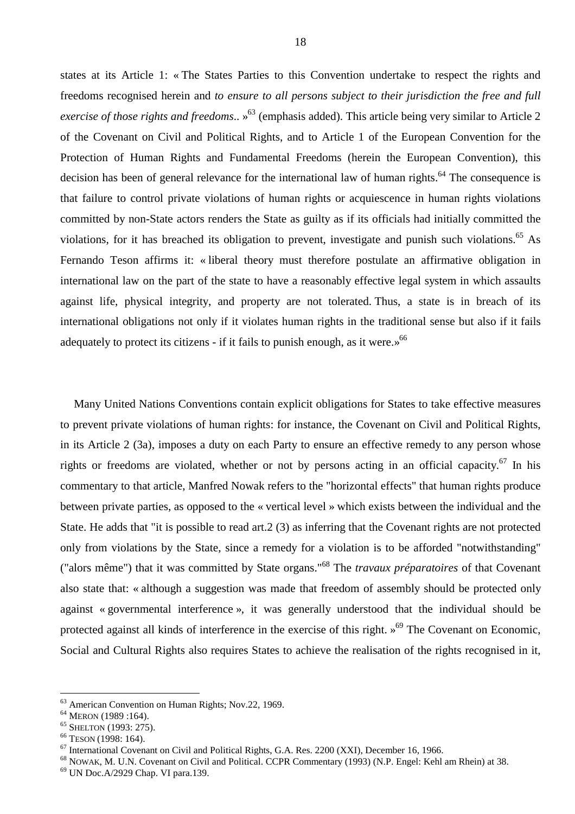states at its Article 1: « The States Parties to this Convention undertake to respect the rights and freedoms recognised herein and *to ensure to all persons subject to their jurisdiction the free and full exercise of those rights and freedoms*.. » 63 (emphasis added). This article being very similar to Article 2 of the Covenant on Civil and Political Rights, and to Article 1 of the European Convention for the Protection of Human Rights and Fundamental Freedoms (herein the European Convention), this decision has been of general relevance for the international law of human rights.<sup>64</sup> The consequence is that failure to control private violations of human rights or acquiescence in human rights violations committed by non-State actors renders the State as guilty as if its officials had initially committed the violations, for it has breached its obligation to prevent, investigate and punish such violations.<sup>65</sup> As Fernando Teson affirms it: « liberal theory must therefore postulate an affirmative obligation in international law on the part of the state to have a reasonably effective legal system in which assaults against life, physical integrity, and property are not tolerated. Thus, a state is in breach of its international obligations not only if it violates human rights in the traditional sense but also if it fails adequately to protect its citizens - if it fails to punish enough, as it were.»<sup>66</sup>

Many United Nations Conventions contain explicit obligations for States to take effective measures to prevent private violations of human rights: for instance, the Covenant on Civil and Political Rights, in its Article 2 (3a), imposes a duty on each Party to ensure an effective remedy to any person whose rights or freedoms are violated, whether or not by persons acting in an official capacity.<sup>67</sup> In his commentary to that article, Manfred Nowak refers to the "horizontal effects" that human rights produce between private parties, as opposed to the « vertical level » which exists between the individual and the State. He adds that "it is possible to read art.2 (3) as inferring that the Covenant rights are not protected only from violations by the State, since a remedy for a violation is to be afforded "notwithstanding" ("alors même") that it was committed by State organs."68 The *travaux préparatoires* of that Covenant also state that: « although a suggestion was made that freedom of assembly should be protected only against « governmental interference », it was generally understood that the individual should be protected against all kinds of interference in the exercise of this right.  $\frac{69}{9}$  The Covenant on Economic, Social and Cultural Rights also requires States to achieve the realisation of the rights recognised in it,

 $<sup>63</sup>$  American Convention on Human Rights; Nov.22, 1969.<br><sup>64</sup> MERON (1989 :164).</sup>

<sup>&</sup>lt;sup>65</sup> SHELTON (1993: 275).<br><sup>66</sup> TESON (1998: 164).<br><sup>67</sup> International Covenant on Civil and Political Rights, G.A. Res. 2200 (XXI), December 16, 1966.

 $^{68}$  NOWAK, M. U.N. Covenant on Civil and Political. CCPR Commentary (1993) (N.P. Engel: Kehl am Rhein) at 38.  $^{69}$  UN Doc.A/2929 Chap. VI para.139.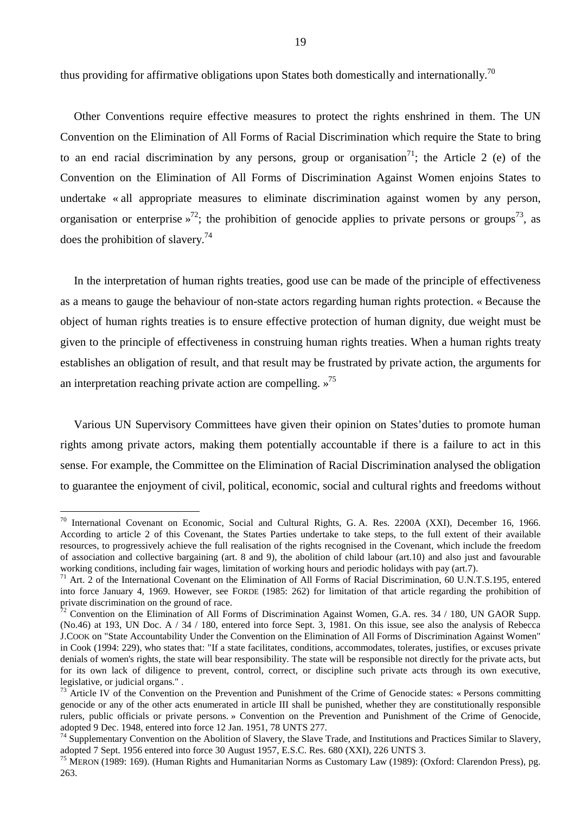thus providing for affirmative obligations upon States both domestically and internationally.<sup>70</sup>

Other Conventions require effective measures to protect the rights enshrined in them. The UN Convention on the Elimination of All Forms of Racial Discrimination which require the State to bring to an end racial discrimination by any persons, group or organisation<sup>71</sup>; the Article 2 (e) of the Convention on the Elimination of All Forms of Discrimination Against Women enjoins States to undertake « all appropriate measures to eliminate discrimination against women by any person, organisation or enterprise  $v^{72}$ ; the prohibition of genocide applies to private persons or groups<sup>73</sup>, as does the prohibition of slavery.74

In the interpretation of human rights treaties, good use can be made of the principle of effectiveness as a means to gauge the behaviour of non-state actors regarding human rights protection. « Because the object of human rights treaties is to ensure effective protection of human dignity, due weight must be given to the principle of effectiveness in construing human rights treaties. When a human rights treaty establishes an obligation of result, and that result may be frustrated by private action, the arguments for an interpretation reaching private action are compelling.  $\gamma^{75}$ 

Various UN Supervisory Committees have given their opinion on States'duties to promote human rights among private actors, making them potentially accountable if there is a failure to act in this sense. For example, the Committee on the Elimination of Racial Discrimination analysed the obligation to guarantee the enjoyment of civil, political, economic, social and cultural rights and freedoms without

<sup>&</sup>lt;sup>70</sup> International Covenant on Economic, Social and Cultural Rights, G. A. Res. 2200A (XXI), December 16, 1966. According to article 2 of this Covenant, the States Parties undertake to take steps, to the full extent of their available resources, to progressively achieve the full realisation of the rights recognised in the Covenant, which include the freedom of association and collective bargaining (art. 8 and 9), the abolition of child labour (art.10) and also just and favourable working conditions, including fair wages, limitation of working hours and periodic holidays with pay (art.7).

<sup>&</sup>lt;sup>71</sup> Art. 2 of the International Covenant on the Elimination of All Forms of Racial Discrimination, 60 U.N.T.S.195, entered into force January 4, 1969. However, see FORDE (1985: 262) for limitation of that article regarding the prohibition of private discrimination on the ground of race.

 $\frac{72}{72}$  Convention on the Elimination of All Forms of Discrimination Against Women, G.A. res. 34 / 180, UN GAOR Supp. (No.46) at 193, UN Doc. A / 34 / 180, entered into force Sept. 3, 1981. On this issue, see also the analysis of Rebecca J.COOK on "State Accountability Under the Convention on the Elimination of All Forms of Discrimination Against Women" in Cook (1994: 229), who states that: "If a state facilitates, conditions, accommodates, tolerates, justifies, or excuses private denials of women's rights, the state will bear responsibility. The state will be responsible not directly for the private acts, but for its own lack of diligence to prevent, control, correct, or discipline such private acts through its own executive, legislative, or judicial organs." .

 $^{73}$  Article IV of the Convention on the Prevention and Punishment of the Crime of Genocide states: « Persons committing genocide or any of the other acts enumerated in article III shall be punished, whether they are constitutionally responsible rulers, public officials or private persons. » Convention on the Prevention and Punishment of the Crime of Genocide, adopted 9 Dec. 1948, entered into force 12 Jan. 1951, 78 UNTS 277.

<sup>&</sup>lt;sup>74</sup> Supplementary Convention on the Abolition of Slavery, the Slave Trade, and Institutions and Practices Similar to Slavery, adopted 7 Sept. 1956 entered into force 30 August 1957, E.S.C. Res. 680 (XXI), 226 UNTS 3.

<sup>&</sup>lt;sup>75</sup> MERON (1989: 169). (Human Rights and Humanitarian Norms as Customary Law (1989): (Oxford: Clarendon Press), pg. 263.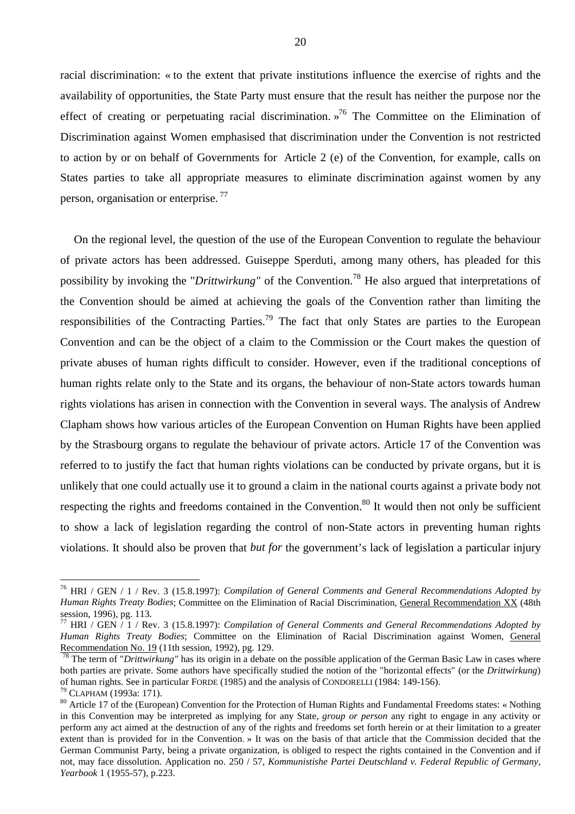racial discrimination: « to the extent that private institutions influence the exercise of rights and the availability of opportunities, the State Party must ensure that the result has neither the purpose nor the effect of creating or perpetuating racial discrimination. »<sup>76</sup> The Committee on the Elimination of Discrimination against Women emphasised that discrimination under the Convention is not restricted to action by or on behalf of Governments for Article 2 (e) of the Convention, for example, calls on States parties to take all appropriate measures to eliminate discrimination against women by any person, organisation or enterprise.<sup>77</sup>

On the regional level, the question of the use of the European Convention to regulate the behaviour of private actors has been addressed. Guiseppe Sperduti, among many others, has pleaded for this possibility by invoking the "*Drittwirkung"* of the Convention.78 He also argued that interpretations of the Convention should be aimed at achieving the goals of the Convention rather than limiting the responsibilities of the Contracting Parties.<sup>79</sup> The fact that only States are parties to the European Convention and can be the object of a claim to the Commission or the Court makes the question of private abuses of human rights difficult to consider. However, even if the traditional conceptions of human rights relate only to the State and its organs, the behaviour of non-State actors towards human rights violations has arisen in connection with the Convention in several ways. The analysis of Andrew Clapham shows how various articles of the European Convention on Human Rights have been applied by the Strasbourg organs to regulate the behaviour of private actors. Article 17 of the Convention was referred to to justify the fact that human rights violations can be conducted by private organs, but it is unlikely that one could actually use it to ground a claim in the national courts against a private body not respecting the rights and freedoms contained in the Convention.<sup>80</sup> It would then not only be sufficient to show a lack of legislation regarding the control of non-State actors in preventing human rights violations. It should also be proven that *but for* the government's lack of legislation a particular injury

<sup>76</sup> HRI / GEN / 1 / Rev. 3 (15.8.1997): *Compilation of General Comments and General Recommendations Adopted by Human Rights Treaty Bodies*; Committee on the Elimination of Racial Discrimination, General Recommendation XX (48th session, 1996), pg. 113.

<sup>77</sup> HRI / GEN / 1 / Rev. 3 (15.8.1997): *Compilation of General Comments and General Recommendations Adopted by Human Rights Treaty Bodies*; Committee on the Elimination of Racial Discrimination against Women, General Recommendation No. 19 (11th session, 1992), pg. 129.

<sup>&</sup>lt;sup>78</sup> The term of "*Drittwirkung*" has its origin in a debate on the possible application of the German Basic Law in cases where both parties are private. Some authors have specifically studied the notion of the "horizontal effects" (or the *Drittwirkung*)

<sup>&</sup>lt;sup>79</sup> CLAPHAM (1993a: 171).<br><sup>80</sup> Article 17 of the (European) Convention for the Protection of Human Rights and Fundamental Freedoms states: « Nothing in this Convention may be interpreted as implying for any State, *group or person* any right to engage in any activity or perform any act aimed at the destruction of any of the rights and freedoms set forth herein or at their limitation to a greater extent than is provided for in the Convention. » It was on the basis of that article that the Commission decided that the German Communist Party, being a private organization, is obliged to respect the rights contained in the Convention and if not, may face dissolution. Application no. 250 / 57, *Kommunistishe Partei Deutschland v. Federal Republic of Germany, Yearbook* 1 (1955-57), p.223.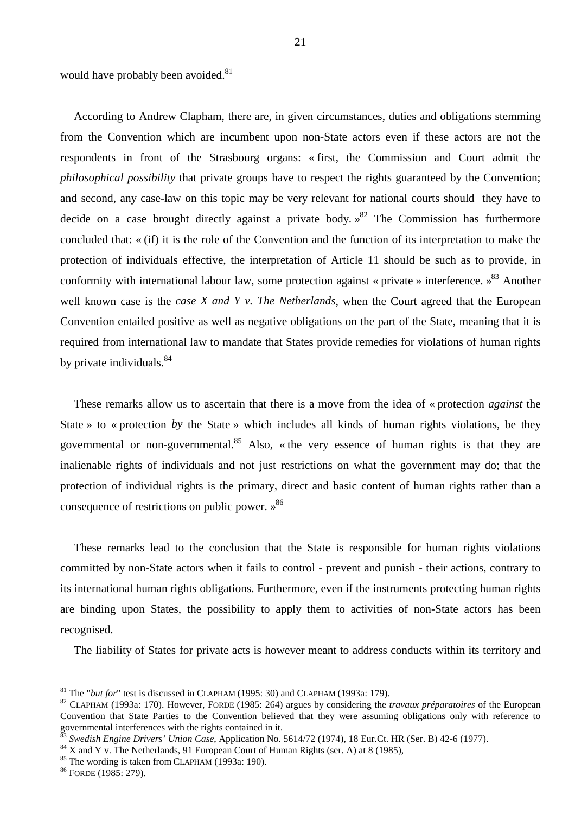would have probably been avoided.<sup>81</sup>

According to Andrew Clapham, there are, in given circumstances, duties and obligations stemming from the Convention which are incumbent upon non-State actors even if these actors are not the respondents in front of the Strasbourg organs: « first, the Commission and Court admit the *philosophical possibility* that private groups have to respect the rights guaranteed by the Convention; and second, any case-law on this topic may be very relevant for national courts should they have to decide on a case brought directly against a private body.  $\frac{82}{3}$  The Commission has furthermore concluded that: « (if) it is the role of the Convention and the function of its interpretation to make the protection of individuals effective, the interpretation of Article 11 should be such as to provide, in conformity with international labour law, some protection against « private » interference. »<sup>83</sup> Another well known case is the *case X and Y v. The Netherlands*, when the Court agreed that the European Convention entailed positive as well as negative obligations on the part of the State, meaning that it is required from international law to mandate that States provide remedies for violations of human rights by private individuals.<sup>84</sup>

These remarks allow us to ascertain that there is a move from the idea of « protection *against* the State » to « protection *by* the State » which includes all kinds of human rights violations, be they governmental or non-governmental.<sup>85</sup> Also, « the very essence of human rights is that they are inalienable rights of individuals and not just restrictions on what the government may do; that the protection of individual rights is the primary, direct and basic content of human rights rather than a consequence of restrictions on public power.  $\frac{86}{5}$ 

These remarks lead to the conclusion that the State is responsible for human rights violations committed by non-State actors when it fails to control - prevent and punish - their actions, contrary to its international human rights obligations. Furthermore, even if the instruments protecting human rights are binding upon States, the possibility to apply them to activities of non-State actors has been recognised.

The liability of States for private acts is however meant to address conducts within its territory and

 $81$  The "but for" test is discussed in CLAPHAM (1995: 30) and CLAPHAM (1993a: 179).

<sup>&</sup>lt;sup>82</sup> CLAPHAM (1993a: 170). However, FORDE (1985: 264) argues by considering the *travaux préparatoires* of the European Convention that State Parties to the Convention believed that they were assuming obligations only with reference to governmental interferences with the rights contained in it.

<sup>&</sup>lt;sup>83</sup> Swedish Engine Drivers' Union Case, Application No. 5614/72 (1974), 18 Eur.Ct. HR (Ser. B) 42-6 (1977).<br><sup>84</sup> X and Y v. The Netherlands, 91 European Court of Human Rights (ser. A) at 8 (1985),

<sup>&</sup>lt;sup>84</sup> X and Y v. The Netherlands, 91 European Court of Human Rights (ser. A) at 8 (1985), <sup>85</sup> The wording is taken from CLAPHAM (1993a: 190). <sup>86</sup> FORDE (1985: 279).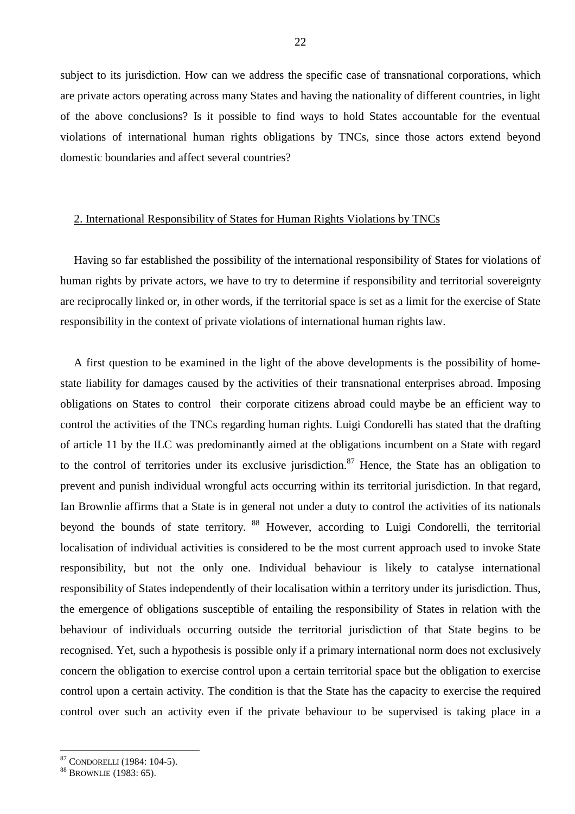subject to its jurisdiction. How can we address the specific case of transnational corporations, which are private actors operating across many States and having the nationality of different countries, in light of the above conclusions? Is it possible to find ways to hold States accountable for the eventual violations of international human rights obligations by TNCs, since those actors extend beyond domestic boundaries and affect several countries?

# 2. International Responsibility of States for Human Rights Violations by TNCs

Having so far established the possibility of the international responsibility of States for violations of human rights by private actors, we have to try to determine if responsibility and territorial sovereignty are reciprocally linked or, in other words, if the territorial space is set as a limit for the exercise of State responsibility in the context of private violations of international human rights law.

A first question to be examined in the light of the above developments is the possibility of homestate liability for damages caused by the activities of their transnational enterprises abroad. Imposing obligations on States to control their corporate citizens abroad could maybe be an efficient way to control the activities of the TNCs regarding human rights. Luigi Condorelli has stated that the drafting of article 11 by the ILC was predominantly aimed at the obligations incumbent on a State with regard to the control of territories under its exclusive jurisdiction.<sup>87</sup> Hence, the State has an obligation to prevent and punish individual wrongful acts occurring within its territorial jurisdiction. In that regard, Ian Brownlie affirms that a State is in general not under a duty to control the activities of its nationals beyond the bounds of state territory. <sup>88</sup> However, according to Luigi Condorelli, the territorial localisation of individual activities is considered to be the most current approach used to invoke State responsibility, but not the only one. Individual behaviour is likely to catalyse international responsibility of States independently of their localisation within a territory under its jurisdiction. Thus, the emergence of obligations susceptible of entailing the responsibility of States in relation with the behaviour of individuals occurring outside the territorial jurisdiction of that State begins to be recognised. Yet, such a hypothesis is possible only if a primary international norm does not exclusively concern the obligation to exercise control upon a certain territorial space but the obligation to exercise control upon a certain activity. The condition is that the State has the capacity to exercise the required control over such an activity even if the private behaviour to be supervised is taking place in a

 $87$  CONDORELLI (1984: 104-5).<br> $88$  Brownlie (1983: 65).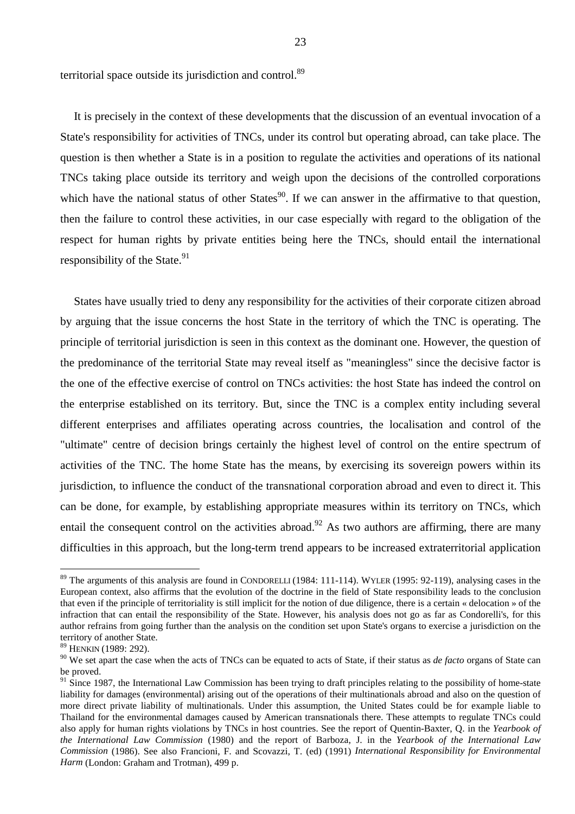territorial space outside its jurisdiction and control.89

It is precisely in the context of these developments that the discussion of an eventual invocation of a State's responsibility for activities of TNCs, under its control but operating abroad, can take place. The question is then whether a State is in a position to regulate the activities and operations of its national TNCs taking place outside its territory and weigh upon the decisions of the controlled corporations which have the national status of other States<sup>90</sup>. If we can answer in the affirmative to that question, then the failure to control these activities, in our case especially with regard to the obligation of the respect for human rights by private entities being here the TNCs, should entail the international responsibility of the State. $91$ 

States have usually tried to deny any responsibility for the activities of their corporate citizen abroad by arguing that the issue concerns the host State in the territory of which the TNC is operating. The principle of territorial jurisdiction is seen in this context as the dominant one. However, the question of the predominance of the territorial State may reveal itself as "meaningless" since the decisive factor is the one of the effective exercise of control on TNCs activities: the host State has indeed the control on the enterprise established on its territory. But, since the TNC is a complex entity including several different enterprises and affiliates operating across countries, the localisation and control of the "ultimate" centre of decision brings certainly the highest level of control on the entire spectrum of activities of the TNC. The home State has the means, by exercising its sovereign powers within its jurisdiction, to influence the conduct of the transnational corporation abroad and even to direct it. This can be done, for example, by establishing appropriate measures within its territory on TNCs, which entail the consequent control on the activities abroad.<sup>92</sup> As two authors are affirming, there are many difficulties in this approach, but the long-term trend appears to be increased extraterritorial application

<sup>&</sup>lt;sup>89</sup> The arguments of this analysis are found in CONDORELLI (1984: 111-114). WYLER (1995: 92-119), analysing cases in the European context, also affirms that the evolution of the doctrine in the field of State responsibility leads to the conclusion that even if the principle of territoriality is still implicit for the notion of due diligence, there is a certain « delocation » of the infraction that can entail the responsibility of the State. However, his analysis does not go as far as Condorelli's, for this author refrains from going further than the analysis on the condition set upon State's organs to exercise a jurisdiction on the territory of another State.

<sup>89</sup> HENKIN (1989: 292).

<sup>90</sup> We set apart the case when the acts of TNCs can be equated to acts of State, if their status as *de facto* organs of State can be proved.

 $91$  Since 1987, the International Law Commission has been trying to draft principles relating to the possibility of home-state liability for damages (environmental) arising out of the operations of their multinationals abroad and also on the question of more direct private liability of multinationals. Under this assumption, the United States could be for example liable to Thailand for the environmental damages caused by American transnationals there. These attempts to regulate TNCs could also apply for human rights violations by TNCs in host countries. See the report of Quentin-Baxter, Q. in the *Yearbook of the International Law Commission* (1980) and the report of Barboza, J. in the *Yearbook of the International Law Commission* (1986). See also Francioni, F. and Scovazzi, T. (ed) (1991) *International Responsibility for Environmental Harm* (London: Graham and Trotman), 499 p.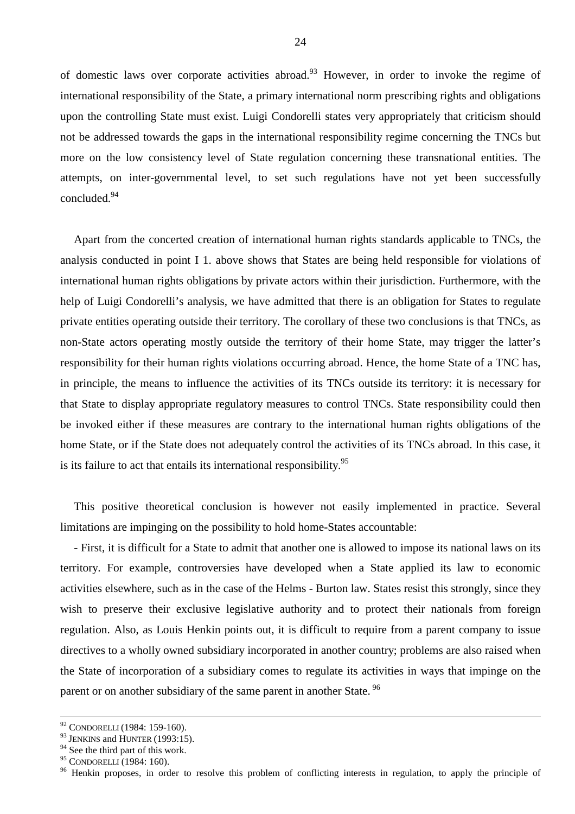of domestic laws over corporate activities abroad.<sup>93</sup> However, in order to invoke the regime of international responsibility of the State, a primary international norm prescribing rights and obligations upon the controlling State must exist. Luigi Condorelli states very appropriately that criticism should not be addressed towards the gaps in the international responsibility regime concerning the TNCs but more on the low consistency level of State regulation concerning these transnational entities. The attempts, on inter-governmental level, to set such regulations have not yet been successfully concluded.94

Apart from the concerted creation of international human rights standards applicable to TNCs, the analysis conducted in point I 1. above shows that States are being held responsible for violations of international human rights obligations by private actors within their jurisdiction. Furthermore, with the help of Luigi Condorelli's analysis, we have admitted that there is an obligation for States to regulate private entities operating outside their territory. The corollary of these two conclusions is that TNCs, as non-State actors operating mostly outside the territory of their home State, may trigger the latter's responsibility for their human rights violations occurring abroad. Hence, the home State of a TNC has, in principle, the means to influence the activities of its TNCs outside its territory: it is necessary for that State to display appropriate regulatory measures to control TNCs. State responsibility could then be invoked either if these measures are contrary to the international human rights obligations of the home State, or if the State does not adequately control the activities of its TNCs abroad. In this case, it is its failure to act that entails its international responsibility.  $95$ 

This positive theoretical conclusion is however not easily implemented in practice. Several limitations are impinging on the possibility to hold home-States accountable:

- First, it is difficult for a State to admit that another one is allowed to impose its national laws on its territory. For example, controversies have developed when a State applied its law to economic activities elsewhere, such as in the case of the Helms - Burton law. States resist this strongly, since they wish to preserve their exclusive legislative authority and to protect their nationals from foreign regulation. Also, as Louis Henkin points out, it is difficult to require from a parent company to issue directives to a wholly owned subsidiary incorporated in another country; problems are also raised when the State of incorporation of a subsidiary comes to regulate its activities in ways that impinge on the parent or on another subsidiary of the same parent in another State.<sup>96</sup>

 <sup>92</sup> CONDORELLI (1984: 159-160).

<sup>&</sup>lt;sup>93</sup> JENKINS and HUNTER (1993:15).

 $^{94}$  See the third part of this work.<br><sup>95</sup> CONDORELLI (1984: 160).

<sup>&</sup>lt;sup>96</sup> Henkin proposes, in order to resolve this problem of conflicting interests in regulation, to apply the principle of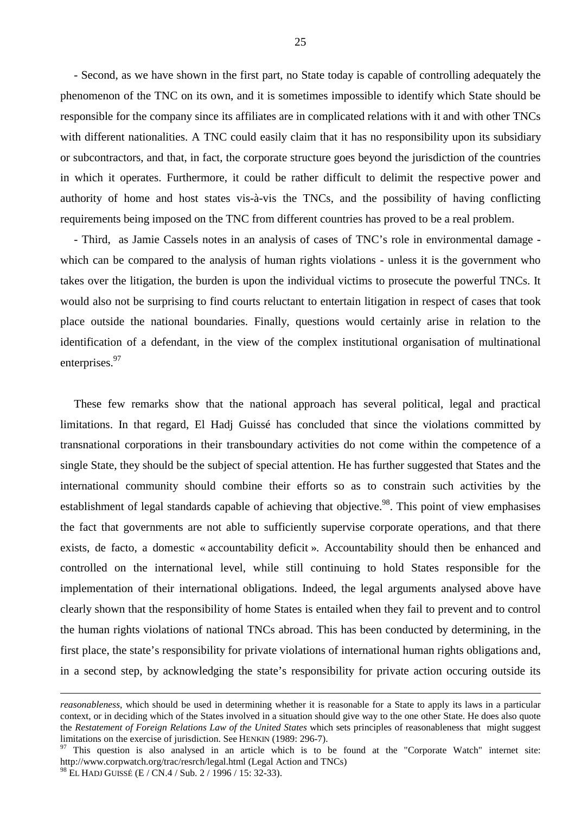- Second, as we have shown in the first part, no State today is capable of controlling adequately the phenomenon of the TNC on its own, and it is sometimes impossible to identify which State should be responsible for the company since its affiliates are in complicated relations with it and with other TNCs with different nationalities. A TNC could easily claim that it has no responsibility upon its subsidiary or subcontractors, and that, in fact, the corporate structure goes beyond the jurisdiction of the countries in which it operates. Furthermore, it could be rather difficult to delimit the respective power and authority of home and host states vis-à-vis the TNCs, and the possibility of having conflicting requirements being imposed on the TNC from different countries has proved to be a real problem.

- Third, as Jamie Cassels notes in an analysis of cases of TNC's role in environmental damage which can be compared to the analysis of human rights violations - unless it is the government who takes over the litigation, the burden is upon the individual victims to prosecute the powerful TNCs. It would also not be surprising to find courts reluctant to entertain litigation in respect of cases that took place outside the national boundaries. Finally, questions would certainly arise in relation to the identification of a defendant, in the view of the complex institutional organisation of multinational enterprises.<sup>97</sup>

These few remarks show that the national approach has several political, legal and practical limitations. In that regard, El Hadj Guissé has concluded that since the violations committed by transnational corporations in their transboundary activities do not come within the competence of a single State, they should be the subject of special attention. He has further suggested that States and the international community should combine their efforts so as to constrain such activities by the establishment of legal standards capable of achieving that objective.<sup>98</sup>. This point of view emphasises the fact that governments are not able to sufficiently supervise corporate operations, and that there exists, de facto, a domestic « accountability deficit ». Accountability should then be enhanced and controlled on the international level, while still continuing to hold States responsible for the implementation of their international obligations. Indeed, the legal arguments analysed above have clearly shown that the responsibility of home States is entailed when they fail to prevent and to control the human rights violations of national TNCs abroad. This has been conducted by determining, in the first place, the state's responsibility for private violations of international human rights obligations and, in a second step, by acknowledging the state's responsibility for private action occuring outside its

*reasonableness*, which should be used in determining whether it is reasonable for a State to apply its laws in a particular context, or in deciding which of the States involved in a situation should give way to the one other State. He does also quote the *Restatement of Foreign Relations Law of the United States* which sets principles of reasonableness that might suggest limitations on the exercise of jurisdiction. See HENKIN (1989: 296-7).<br><sup>97</sup> This question is also analysed in an article which is to be found at the "Corporate Watch" internet site:

http://www.corpwatch.org/trac/resrch/legal.html (Legal Action and TNCs)

<sup>98</sup> EL HADJ GUISSÉ (E / CN.4 / Sub. 2 / 1996 / 15: 32-33).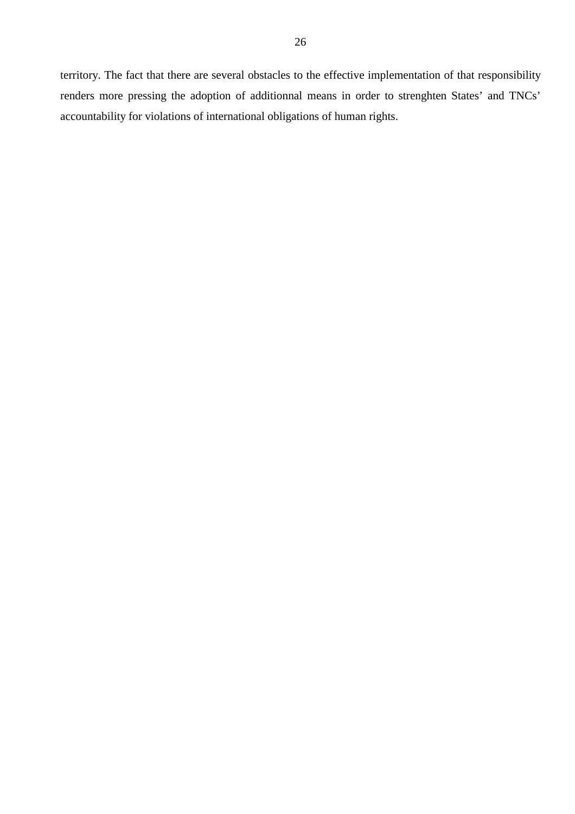territory. The fact that there are several obstacles to the effective implementation of that responsibility renders more pressing the adoption of additionnal means in order to strenghten States' and TNCs' accountability for violations of international obligations of human rights.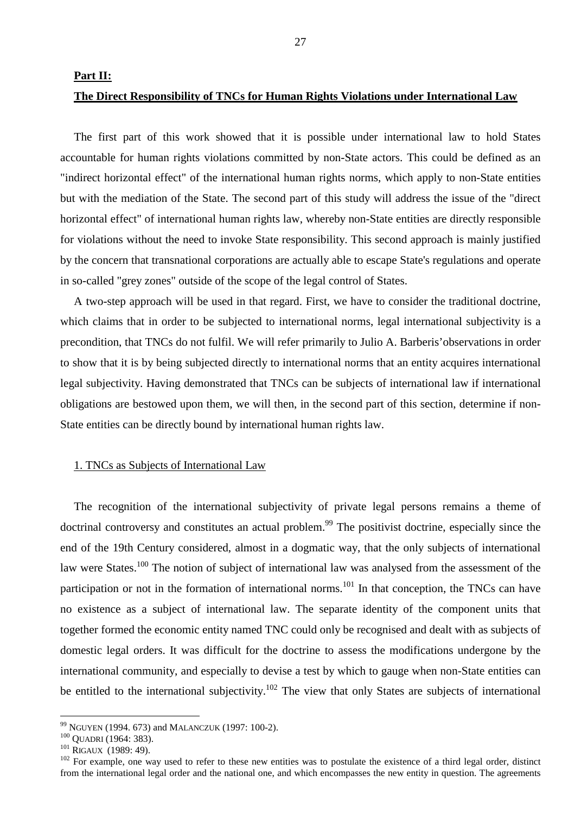#### **Part II:**

## **The Direct Responsibility of TNCs for Human Rights Violations under International Law**

The first part of this work showed that it is possible under international law to hold States accountable for human rights violations committed by non-State actors. This could be defined as an "indirect horizontal effect" of the international human rights norms, which apply to non-State entities but with the mediation of the State. The second part of this study will address the issue of the "direct horizontal effect" of international human rights law, whereby non-State entities are directly responsible for violations without the need to invoke State responsibility. This second approach is mainly justified by the concern that transnational corporations are actually able to escape State's regulations and operate in so-called "grey zones" outside of the scope of the legal control of States.

A two-step approach will be used in that regard. First, we have to consider the traditional doctrine, which claims that in order to be subjected to international norms, legal international subjectivity is a precondition, that TNCs do not fulfil. We will refer primarily to Julio A. Barberis'observations in order to show that it is by being subjected directly to international norms that an entity acquires international legal subjectivity. Having demonstrated that TNCs can be subjects of international law if international obligations are bestowed upon them, we will then, in the second part of this section, determine if non-State entities can be directly bound by international human rights law.

# 1. TNCs as Subjects of International Law

The recognition of the international subjectivity of private legal persons remains a theme of doctrinal controversy and constitutes an actual problem.<sup>99</sup> The positivist doctrine, especially since the end of the 19th Century considered, almost in a dogmatic way, that the only subjects of international law were States.<sup>100</sup> The notion of subject of international law was analysed from the assessment of the participation or not in the formation of international norms.<sup>101</sup> In that conception, the TNCs can have no existence as a subject of international law. The separate identity of the component units that together formed the economic entity named TNC could only be recognised and dealt with as subjects of domestic legal orders. It was difficult for the doctrine to assess the modifications undergone by the international community, and especially to devise a test by which to gauge when non-State entities can be entitled to the international subjectivity.<sup>102</sup> The view that only States are subjects of international

<sup>&</sup>lt;sup>99</sup> NGUYEN (1994. 673) and MALANCZUK (1997: 100-2).

<sup>&</sup>lt;sup>100</sup> QUADRI (1964: 383).<br><sup>101</sup> RIGAUX (1989: 49).<br><sup>102</sup> For example, one way used to refer to these new entities was to postulate the existence of a third legal order, distinct from the international legal order and the national one, and which encompasses the new entity in question. The agreements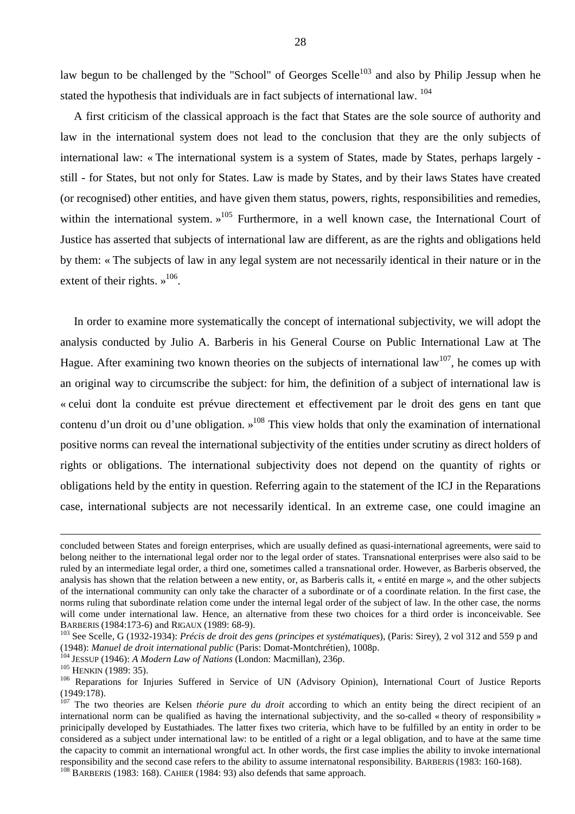law begun to be challenged by the "School" of Georges Scelle<sup>103</sup> and also by Philip Jessup when he stated the hypothesis that individuals are in fact subjects of international law. <sup>104</sup>

A first criticism of the classical approach is the fact that States are the sole source of authority and law in the international system does not lead to the conclusion that they are the only subjects of international law: « The international system is a system of States, made by States, perhaps largely still - for States, but not only for States. Law is made by States, and by their laws States have created (or recognised) other entities, and have given them status, powers, rights, responsibilities and remedies, within the international system.  $\mu^{105}$  Furthermore, in a well known case, the International Court of Justice has asserted that subjects of international law are different, as are the rights and obligations held by them: « The subjects of law in any legal system are not necessarily identical in their nature or in the extent of their rights.  $\gamma^{106}$ .

In order to examine more systematically the concept of international subjectivity, we will adopt the analysis conducted by Julio A. Barberis in his General Course on Public International Law at The Hague. After examining two known theories on the subjects of international  $law^{107}$ , he comes up with an original way to circumscribe the subject: for him, the definition of a subject of international law is « celui dont la conduite est prévue directement et effectivement par le droit des gens en tant que contenu d'un droit ou d'une obligation. »108 This view holds that only the examination of international positive norms can reveal the international subjectivity of the entities under scrutiny as direct holders of rights or obligations. The international subjectivity does not depend on the quantity of rights or obligations held by the entity in question. Referring again to the statement of the ICJ in the Reparations case, international subjects are not necessarily identical. In an extreme case, one could imagine an

concluded between States and foreign enterprises, which are usually defined as quasi-international agreements, were said to belong neither to the international legal order nor to the legal order of states. Transnational enterprises were also said to be ruled by an intermediate legal order, a third one, sometimes called a transnational order. However, as Barberis observed, the analysis has shown that the relation between a new entity, or, as Barberis calls it, « entité en marge », and the other subjects of the international community can only take the character of a subordinate or of a coordinate relation. In the first case, the norms ruling that subordinate relation come under the internal legal order of the subject of law. In the other case, the norms will come under international law. Hence, an alternative from these two choices for a third order is inconceivable. See BARBERIS (1984:173-6) and RIGAUX (1989: 68-9).<br><sup>103</sup> See Scelle, G (1932-1934): *Précis de droit des gens (principes et systématiques*), (Paris: Sirey), 2 vol 312 and 559 p and

<sup>(1948):</sup> *Manuel de droit international public* (Paris: Domat-Montchrétien), 1008p.<br>
<sup>104</sup> JESSUP (1946): *A Modern Law of Nations* (London: Macmillan), 236p.<br>
<sup>105</sup> HENKIN (1989: 35).<br>
<sup>106</sup> Reparations for Injuries Suffe

<sup>(1949:178).</sup> 

<sup>&</sup>lt;sup>107</sup> The two theories are Kelsen *théorie pure du droit* according to which an entity being the direct recipient of an international norm can be qualified as having the international subjectivity, and the so-called « theory of responsibility » prinicipally developed by Eustathiades. The latter fixes two criteria, which have to be fulfilled by an entity in order to be considered as a subject under international law: to be entitled of a right or a legal obligation, and to have at the same time the capacity to commit an international wrongful act. In other words, the first case implies the ability to invoke international responsibility and the second case refers to the ability to assume internatonal responsibility. BARBERIS (1983: 160-168). 108 BARBERIS (1983: 168). CAHIER (1984: 93) also defends that same approach.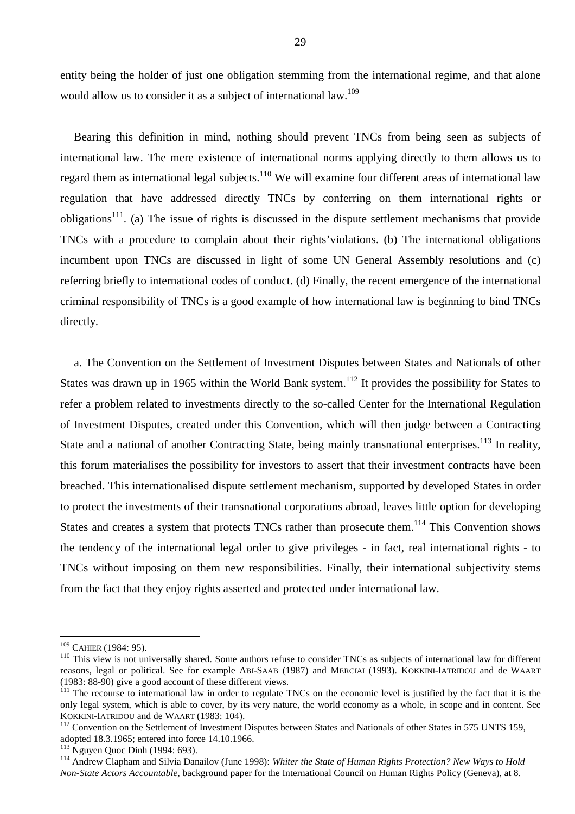entity being the holder of just one obligation stemming from the international regime, and that alone would allow us to consider it as a subject of international law.<sup>109</sup>

Bearing this definition in mind, nothing should prevent TNCs from being seen as subjects of international law. The mere existence of international norms applying directly to them allows us to regard them as international legal subjects.<sup>110</sup> We will examine four different areas of international law regulation that have addressed directly TNCs by conferring on them international rights or obligations<sup>111</sup>. (a) The issue of rights is discussed in the dispute settlement mechanisms that provide TNCs with a procedure to complain about their rights'violations. (b) The international obligations incumbent upon TNCs are discussed in light of some UN General Assembly resolutions and (c) referring briefly to international codes of conduct. (d) Finally, the recent emergence of the international criminal responsibility of TNCs is a good example of how international law is beginning to bind TNCs directly.

a. The Convention on the Settlement of Investment Disputes between States and Nationals of other States was drawn up in 1965 within the World Bank system.<sup>112</sup> It provides the possibility for States to refer a problem related to investments directly to the so-called Center for the International Regulation of Investment Disputes, created under this Convention, which will then judge between a Contracting State and a national of another Contracting State, being mainly transnational enterprises.<sup>113</sup> In reality, this forum materialises the possibility for investors to assert that their investment contracts have been breached. This internationalised dispute settlement mechanism, supported by developed States in order to protect the investments of their transnational corporations abroad, leaves little option for developing States and creates a system that protects TNCs rather than prosecute them.<sup>114</sup> This Convention shows the tendency of the international legal order to give privileges - in fact, real international rights - to TNCs without imposing on them new responsibilities. Finally, their international subjectivity stems from the fact that they enjoy rights asserted and protected under international law.

<sup>&</sup>lt;sup>109</sup> CAHIER (1984: 95).

 $110$  This view is not universally shared. Some authors refuse to consider TNCs as subjects of international law for different reasons, legal or political. See for example ABI-SAAB (1987) and MERCIAI (1993). KOKKINI-IATRIDOU and de WAART (1983: 88-90) give a good account of these different views.

 $111$  The recourse to international law in order to regulate TNCs on the economic level is justified by the fact that it is the only legal system, which is able to cover, by its very nature, the world economy as a whole, in scope and in content. See KOKKINI-LATRIDOU and de WAART (1983: 104).

 $^{112}$  Convention on the Settlement of Investment Disputes between States and Nationals of other States in 575 UNTS 159, adopted 18.3.1965; entered into force 14.10.1966.<br><sup>113</sup> Nguyen Quoc Dinh (1994: 693).

<sup>&</sup>lt;sup>114</sup> Andrew Clapham and Silvia Danailov (June 1998): *Whiter the State of Human Rights Protection? New Ways to Hold Non-State Actors Accountable*, background paper for the International Council on Human Rights Policy (Geneva), at 8.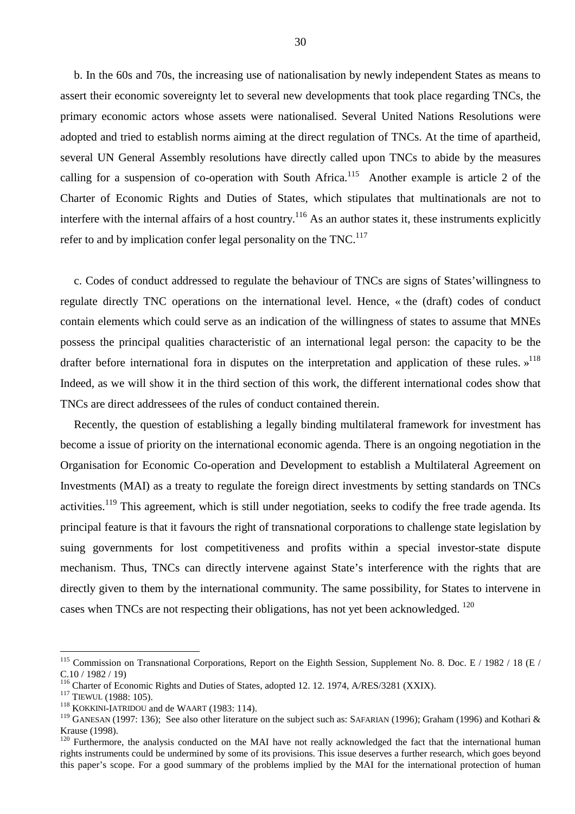b. In the 60s and 70s, the increasing use of nationalisation by newly independent States as means to assert their economic sovereignty let to several new developments that took place regarding TNCs, the primary economic actors whose assets were nationalised. Several United Nations Resolutions were adopted and tried to establish norms aiming at the direct regulation of TNCs. At the time of apartheid, several UN General Assembly resolutions have directly called upon TNCs to abide by the measures calling for a suspension of co-operation with South Africa.<sup>115</sup> Another example is article 2 of the Charter of Economic Rights and Duties of States, which stipulates that multinationals are not to interfere with the internal affairs of a host country.<sup>116</sup> As an author states it, these instruments explicitly refer to and by implication confer legal personality on the TNC.<sup>117</sup>

c. Codes of conduct addressed to regulate the behaviour of TNCs are signs of States'willingness to regulate directly TNC operations on the international level. Hence, « the (draft) codes of conduct contain elements which could serve as an indication of the willingness of states to assume that MNEs possess the principal qualities characteristic of an international legal person: the capacity to be the drafter before international fora in disputes on the interpretation and application of these rules.  $v^{118}$ Indeed, as we will show it in the third section of this work, the different international codes show that TNCs are direct addressees of the rules of conduct contained therein.

Recently, the question of establishing a legally binding multilateral framework for investment has become a issue of priority on the international economic agenda. There is an ongoing negotiation in the Organisation for Economic Co-operation and Development to establish a Multilateral Agreement on Investments (MAI) as a treaty to regulate the foreign direct investments by setting standards on TNCs activities.<sup>119</sup> This agreement, which is still under negotiation, seeks to codify the free trade agenda. Its principal feature is that it favours the right of transnational corporations to challenge state legislation by suing governments for lost competitiveness and profits within a special investor-state dispute mechanism. Thus, TNCs can directly intervene against State's interference with the rights that are directly given to them by the international community. The same possibility, for States to intervene in cases when TNCs are not respecting their obligations, has not yet been acknowledged. 120

<sup>&</sup>lt;sup>115</sup> Commission on Transnational Corporations, Report on the Eighth Session, Supplement No. 8. Doc. E / 1982 / 18 (E / C.10 / 1982 / 19)

<sup>&</sup>lt;sup>116</sup> Charter of Economic Rights and Duties of States, adopted 12. 12. 1974, A/RES/3281 (XXIX).<br><sup>117</sup> TIEWUL (1988: 105).<br><sup>118</sup> KOKKINI-IATRIDOU and de WAART (1983: 114).

<sup>&</sup>lt;sup>119</sup> GANESAN (1997: 136); See also other literature on the subject such as: SAFARIAN (1996); Graham (1996) and Kothari & Krause (1998).

 $120$  Furthermore, the analysis conducted on the MAI have not really acknowledged the fact that the international human rights instruments could be undermined by some of its provisions. This issue deserves a further research, which goes beyond this paper's scope. For a good summary of the problems implied by the MAI for the international protection of human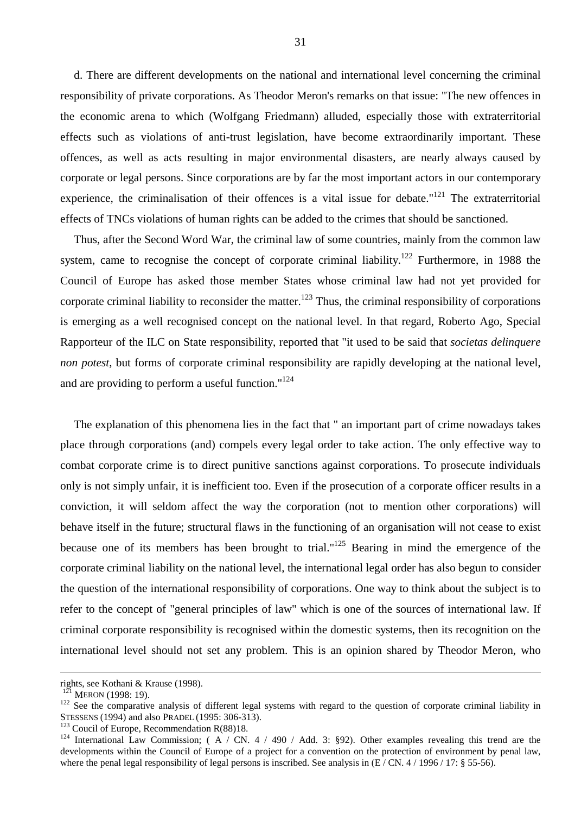d. There are different developments on the national and international level concerning the criminal responsibility of private corporations. As Theodor Meron's remarks on that issue: "The new offences in the economic arena to which (Wolfgang Friedmann) alluded, especially those with extraterritorial effects such as violations of anti-trust legislation, have become extraordinarily important. These offences, as well as acts resulting in major environmental disasters, are nearly always caused by corporate or legal persons. Since corporations are by far the most important actors in our contemporary experience, the criminalisation of their offences is a vital issue for debate."<sup>121</sup> The extraterritorial effects of TNCs violations of human rights can be added to the crimes that should be sanctioned.

Thus, after the Second Word War, the criminal law of some countries, mainly from the common law system, came to recognise the concept of corporate criminal liability.<sup>122</sup> Furthermore, in 1988 the Council of Europe has asked those member States whose criminal law had not yet provided for corporate criminal liability to reconsider the matter.<sup>123</sup> Thus, the criminal responsibility of corporations is emerging as a well recognised concept on the national level. In that regard, Roberto Ago, Special Rapporteur of the ILC on State responsibility, reported that "it used to be said that *societas delinquere non potest*, but forms of corporate criminal responsibility are rapidly developing at the national level, and are providing to perform a useful function."<sup>124</sup>

The explanation of this phenomena lies in the fact that " an important part of crime nowadays takes place through corporations (and) compels every legal order to take action. The only effective way to combat corporate crime is to direct punitive sanctions against corporations. To prosecute individuals only is not simply unfair, it is inefficient too. Even if the prosecution of a corporate officer results in a conviction, it will seldom affect the way the corporation (not to mention other corporations) will behave itself in the future; structural flaws in the functioning of an organisation will not cease to exist because one of its members has been brought to trial."125 Bearing in mind the emergence of the corporate criminal liability on the national level, the international legal order has also begun to consider the question of the international responsibility of corporations. One way to think about the subject is to refer to the concept of "general principles of law" which is one of the sources of international law. If criminal corporate responsibility is recognised within the domestic systems, then its recognition on the international level should not set any problem. This is an opinion shared by Theodor Meron, who

rights, see Kothani & Krause (1998).<br><sup>121</sup> MERON (1998: 19).

<sup>&</sup>lt;sup>122</sup> See the comparative analysis of different legal systems with regard to the question of corporate criminal liability in STESSENS (1994) and also PRADEL (1995: 306-313).

<sup>&</sup>lt;sup>123</sup> Coucil of Europe, Recommendation R(88)18.<br><sup>124</sup> International Law Commission; (A / CN. 4 / 490 / Add. 3: §92). Other examples revealing this trend are the developments within the Council of Europe of a project for a convention on the protection of environment by penal law, where the penal legal responsibility of legal persons is inscribed. See analysis in  $(E / CN. 4 / 1996 / 17: § 55-56)$ .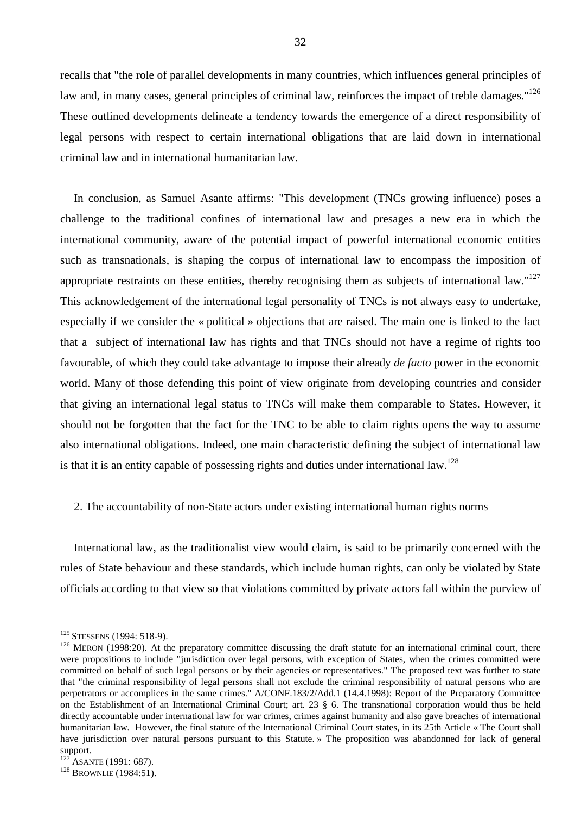recalls that "the role of parallel developments in many countries, which influences general principles of law and, in many cases, general principles of criminal law, reinforces the impact of treble damages."<sup>126</sup> These outlined developments delineate a tendency towards the emergence of a direct responsibility of legal persons with respect to certain international obligations that are laid down in international criminal law and in international humanitarian law.

In conclusion, as Samuel Asante affirms: "This development (TNCs growing influence) poses a challenge to the traditional confines of international law and presages a new era in which the international community, aware of the potential impact of powerful international economic entities such as transnationals, is shaping the corpus of international law to encompass the imposition of appropriate restraints on these entities, thereby recognising them as subjects of international law."<sup>127</sup> This acknowledgement of the international legal personality of TNCs is not always easy to undertake, especially if we consider the « political » objections that are raised. The main one is linked to the fact that a subject of international law has rights and that TNCs should not have a regime of rights too favourable, of which they could take advantage to impose their already *de facto* power in the economic world. Many of those defending this point of view originate from developing countries and consider that giving an international legal status to TNCs will make them comparable to States. However, it should not be forgotten that the fact for the TNC to be able to claim rights opens the way to assume also international obligations. Indeed, one main characteristic defining the subject of international law is that it is an entity capable of possessing rights and duties under international law.<sup>128</sup>

# 2. The accountability of non-State actors under existing international human rights norms

International law, as the traditionalist view would claim, is said to be primarily concerned with the rules of State behaviour and these standards, which include human rights, can only be violated by State officials according to that view so that violations committed by private actors fall within the purview of

<sup>&</sup>lt;sup>125</sup> STESSENS (1994: 518-9).<br><sup>126</sup> MERON (1998:20). At the preparatory committee discussing the draft statute for an international criminal court, there were propositions to include "jurisdiction over legal persons, with exception of States, when the crimes committed were committed on behalf of such legal persons or by their agencies or representatives." The proposed text was further to state that "the criminal responsibility of legal persons shall not exclude the criminal responsibility of natural persons who are perpetrators or accomplices in the same crimes." A/CONF.183/2/Add.1 (14.4.1998): Report of the Preparatory Committee on the Establishment of an International Criminal Court; art. 23 § 6. The transnational corporation would thus be held directly accountable under international law for war crimes, crimes against humanity and also gave breaches of international humanitarian law. However, the final statute of the International Criminal Court states, in its 25th Article « The Court shall have jurisdiction over natural persons pursuant to this Statute. » The proposition was abandonned for lack of general support.<br><sup>127</sup> ASANTE (1991: 687).

 $128$  BROWNLIE (1984:51).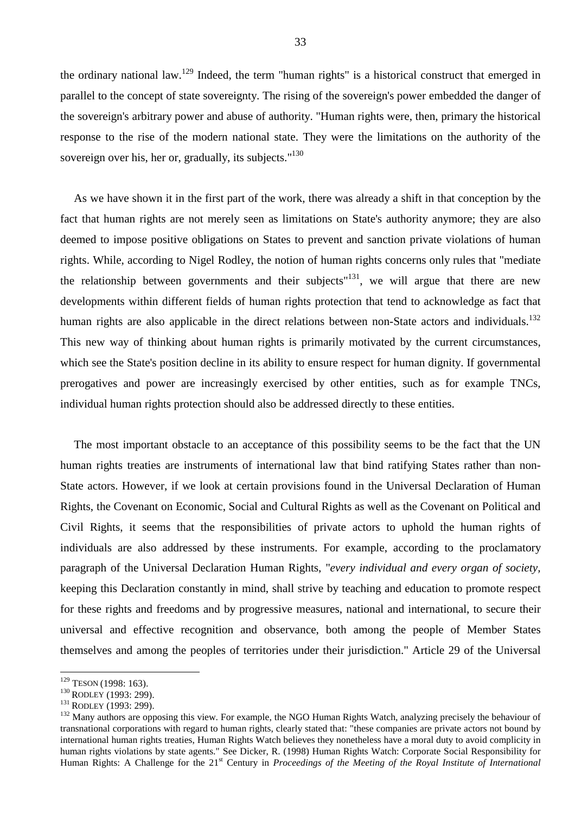the ordinary national law.129 Indeed, the term "human rights" is a historical construct that emerged in parallel to the concept of state sovereignty. The rising of the sovereign's power embedded the danger of the sovereign's arbitrary power and abuse of authority. "Human rights were, then, primary the historical response to the rise of the modern national state. They were the limitations on the authority of the sovereign over his, her or, gradually, its subjects."<sup>130</sup>

As we have shown it in the first part of the work, there was already a shift in that conception by the fact that human rights are not merely seen as limitations on State's authority anymore; they are also deemed to impose positive obligations on States to prevent and sanction private violations of human rights. While, according to Nigel Rodley, the notion of human rights concerns only rules that "mediate the relationship between governments and their subjects<sup> $n131$ </sup>, we will argue that there are new developments within different fields of human rights protection that tend to acknowledge as fact that human rights are also applicable in the direct relations between non-State actors and individuals.<sup>132</sup> This new way of thinking about human rights is primarily motivated by the current circumstances, which see the State's position decline in its ability to ensure respect for human dignity. If governmental prerogatives and power are increasingly exercised by other entities, such as for example TNCs, individual human rights protection should also be addressed directly to these entities.

The most important obstacle to an acceptance of this possibility seems to be the fact that the UN human rights treaties are instruments of international law that bind ratifying States rather than non-State actors. However, if we look at certain provisions found in the Universal Declaration of Human Rights, the Covenant on Economic, Social and Cultural Rights as well as the Covenant on Political and Civil Rights, it seems that the responsibilities of private actors to uphold the human rights of individuals are also addressed by these instruments. For example, according to the proclamatory paragraph of the Universal Declaration Human Rights, "*every individual and every organ of society,* keeping this Declaration constantly in mind, shall strive by teaching and education to promote respect for these rights and freedoms and by progressive measures, national and international, to secure their universal and effective recognition and observance, both among the people of Member States themselves and among the peoples of territories under their jurisdiction." Article 29 of the Universal

 $129$  TESON (1998: 163).

<sup>&</sup>lt;sup>130</sup> RODLEY (1993: 299).<br><sup>131</sup> RODLEY (1993: 299).<br><sup>132</sup> Many authors are opposing this view. For example, the NGO Human Rights Watch, analyzing precisely the behaviour of transnational corporations with regard to human rights, clearly stated that: "these companies are private actors not bound by international human rights treaties, Human Rights Watch believes they nonetheless have a moral duty to avoid complicity in human rights violations by state agents." See Dicker, R. (1998) Human Rights Watch: Corporate Social Responsibility for Human Rights: A Challenge for the 21st Century in *Proceedings of the Meeting of the Royal Institute of International*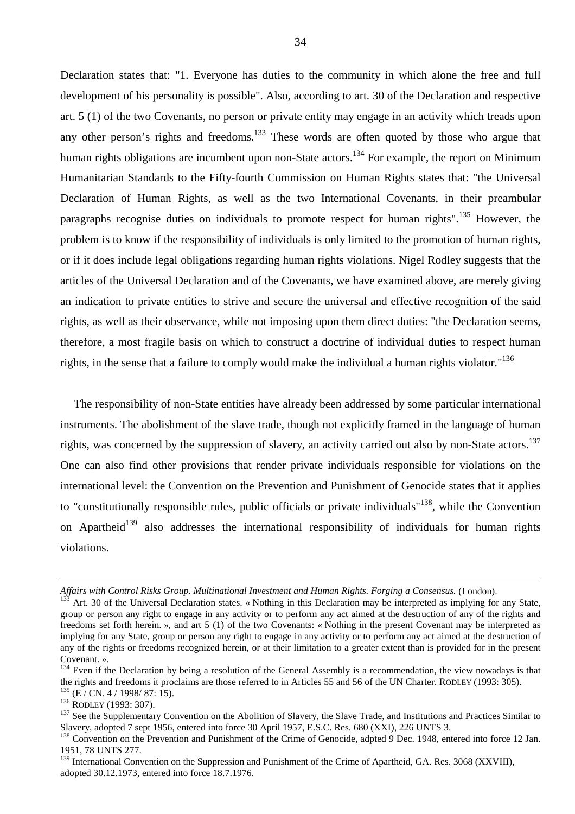Declaration states that: "1. Everyone has duties to the community in which alone the free and full development of his personality is possible". Also, according to art. 30 of the Declaration and respective art. 5 (1) of the two Covenants, no person or private entity may engage in an activity which treads upon any other person's rights and freedoms.<sup>133</sup> These words are often quoted by those who argue that human rights obligations are incumbent upon non-State actors.<sup>134</sup> For example, the report on Minimum Humanitarian Standards to the Fifty-fourth Commission on Human Rights states that: "the Universal Declaration of Human Rights, as well as the two International Covenants, in their preambular paragraphs recognise duties on individuals to promote respect for human rights".<sup>135</sup> However, the problem is to know if the responsibility of individuals is only limited to the promotion of human rights, or if it does include legal obligations regarding human rights violations. Nigel Rodley suggests that the articles of the Universal Declaration and of the Covenants, we have examined above, are merely giving an indication to private entities to strive and secure the universal and effective recognition of the said rights, as well as their observance, while not imposing upon them direct duties: "the Declaration seems, therefore, a most fragile basis on which to construct a doctrine of individual duties to respect human rights, in the sense that a failure to comply would make the individual a human rights violator."136

The responsibility of non-State entities have already been addressed by some particular international instruments. The abolishment of the slave trade, though not explicitly framed in the language of human rights, was concerned by the suppression of slavery, an activity carried out also by non-State actors.<sup>137</sup> One can also find other provisions that render private individuals responsible for violations on the international level: the Convention on the Prevention and Punishment of Genocide states that it applies to "constitutionally responsible rules, public officials or private individuals"138, while the Convention on Apartheid<sup>139</sup> also addresses the international responsibility of individuals for human rights violations.

*Affairs with Control Risks Group. Multinational Investment and Human Rights. Forging a Consensus.* (London).

<sup>133</sup> Art. 30 of the Universal Declaration states. « Nothing in this Declaration may be interpreted as implying for any State, group or person any right to engage in any activity or to perform any act aimed at the destruction of any of the rights and freedoms set forth herein. », and art 5 (1) of the two Covenants: « Nothing in the present Covenant may be interpreted as implying for any State, group or person any right to engage in any activity or to perform any act aimed at the destruction of any of the rights or freedoms recognized herein, or at their limitation to a greater extent than is provided for in the present Covenant. ».

<sup>&</sup>lt;sup>134</sup> Even if the Declaration by being a resolution of the General Assembly is a recommendation, the view nowadays is that the rights and freedoms it proclaims are those referred to in Articles 55 and 56 of the UN Charter. RODLEY (1993: 305).<br><sup>135</sup> (E / CN. 4 / 1998/ 87: 15).<br><sup>136</sup> RODLEY (1993: 307).<br><sup>136</sup> RODLEY (1993: 307).<br><sup>136</sup> See the S

Slavery, adopted 7 sept 1956, entered into force 30 April 1957, E.S.C. Res. 680 (XXI), 226 UNTS 3.

<sup>&</sup>lt;sup>138</sup> Convention on the Prevention and Punishment of the Crime of Genocide, adpted 9 Dec. 1948, entered into force 12 Jan. 1951, 78 UNTS 277.

<sup>&</sup>lt;sup>139</sup> International Convention on the Suppression and Punishment of the Crime of Apartheid, GA. Res. 3068 (XXVIII), adopted 30.12.1973, entered into force 18.7.1976.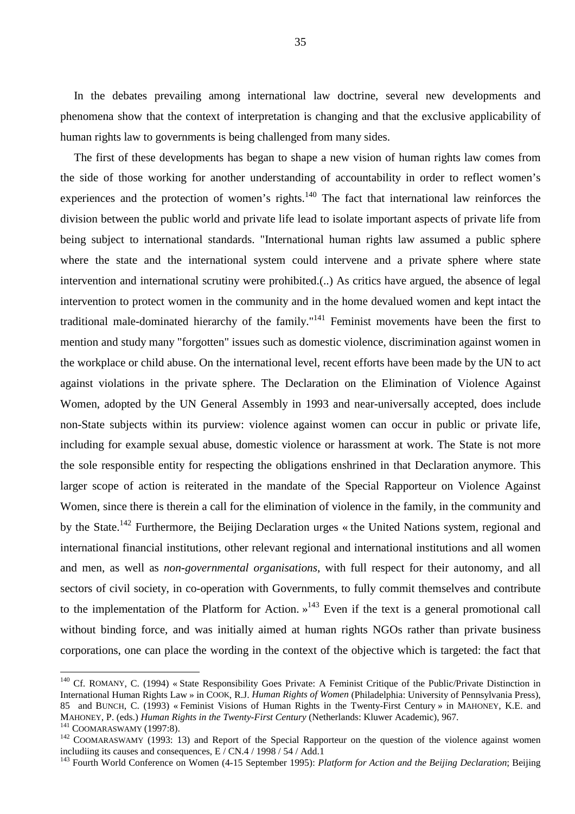In the debates prevailing among international law doctrine, several new developments and phenomena show that the context of interpretation is changing and that the exclusive applicability of human rights law to governments is being challenged from many sides.

The first of these developments has began to shape a new vision of human rights law comes from the side of those working for another understanding of accountability in order to reflect women's experiences and the protection of women's rights.<sup>140</sup> The fact that international law reinforces the division between the public world and private life lead to isolate important aspects of private life from being subject to international standards. "International human rights law assumed a public sphere where the state and the international system could intervene and a private sphere where state intervention and international scrutiny were prohibited.(..) As critics have argued, the absence of legal intervention to protect women in the community and in the home devalued women and kept intact the traditional male-dominated hierarchy of the family."141 Feminist movements have been the first to mention and study many "forgotten" issues such as domestic violence, discrimination against women in the workplace or child abuse. On the international level, recent efforts have been made by the UN to act against violations in the private sphere. The Declaration on the Elimination of Violence Against Women, adopted by the UN General Assembly in 1993 and near-universally accepted, does include non-State subjects within its purview: violence against women can occur in public or private life, including for example sexual abuse, domestic violence or harassment at work. The State is not more the sole responsible entity for respecting the obligations enshrined in that Declaration anymore. This larger scope of action is reiterated in the mandate of the Special Rapporteur on Violence Against Women, since there is therein a call for the elimination of violence in the family, in the community and by the State.<sup>142</sup> Furthermore, the Beijing Declaration urges « the United Nations system, regional and international financial institutions, other relevant regional and international institutions and all women and men, as well as *non-governmental organisations*, with full respect for their autonomy, and all sectors of civil society, in co-operation with Governments, to fully commit themselves and contribute to the implementation of the Platform for Action.  $v^{143}$  Even if the text is a general promotional call without binding force, and was initially aimed at human rights NGOs rather than private business corporations, one can place the wording in the context of the objective which is targeted: the fact that

 $140$  Cf. ROMANY, C. (1994) « State Responsibility Goes Private: A Feminist Critique of the Public/Private Distinction in International Human Rights Law » in COOK, R.J. *Human Rights of Women* (Philadelphia: University of Pennsylvania Press), 85 and BUNCH, C. (1993) « Feminist Visions of Human Rights in the Twenty-First Century » in MAHONEY, K.E. and MAHONEY, P. (eds.) Human Rights in the Twenty-First Century (Netherlands: Kluwer Academic), 967.

<sup>&</sup>lt;sup>141</sup> COOMARASWAMY (1997:8).<br><sup>142</sup> COOMARASWAMY (1993: 13) and Report of the Special Rapporteur on the question of the violence against women includiing its causes and consequences, E / CN.4 / 1998 / 54 / Add.1

<sup>&</sup>lt;sup>143</sup> Fourth World Conference on Women (4-15 September 1995): *Platform for Action and the Beijing Declaration*; Beijing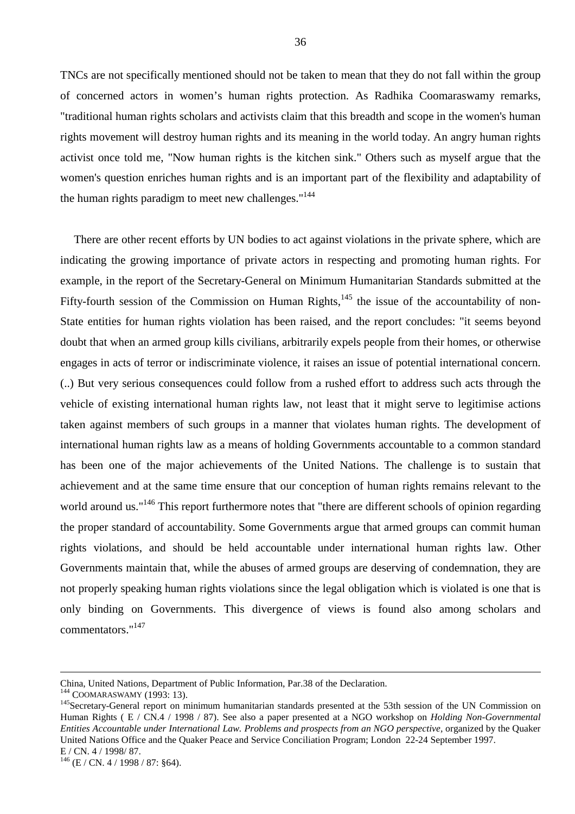TNCs are not specifically mentioned should not be taken to mean that they do not fall within the group of concerned actors in women's human rights protection. As Radhika Coomaraswamy remarks, "traditional human rights scholars and activists claim that this breadth and scope in the women's human rights movement will destroy human rights and its meaning in the world today. An angry human rights activist once told me, "Now human rights is the kitchen sink." Others such as myself argue that the women's question enriches human rights and is an important part of the flexibility and adaptability of the human rights paradigm to meet new challenges."<sup>144</sup>

There are other recent efforts by UN bodies to act against violations in the private sphere, which are indicating the growing importance of private actors in respecting and promoting human rights. For example, in the report of the Secretary-General on Minimum Humanitarian Standards submitted at the Fifty-fourth session of the Commission on Human Rights,  $145$  the issue of the accountability of non-State entities for human rights violation has been raised, and the report concludes: "it seems beyond doubt that when an armed group kills civilians, arbitrarily expels people from their homes, or otherwise engages in acts of terror or indiscriminate violence, it raises an issue of potential international concern. (..) But very serious consequences could follow from a rushed effort to address such acts through the vehicle of existing international human rights law, not least that it might serve to legitimise actions taken against members of such groups in a manner that violates human rights. The development of international human rights law as a means of holding Governments accountable to a common standard has been one of the major achievements of the United Nations. The challenge is to sustain that achievement and at the same time ensure that our conception of human rights remains relevant to the world around us."<sup>146</sup> This report furthermore notes that "there are different schools of opinion regarding the proper standard of accountability. Some Governments argue that armed groups can commit human rights violations, and should be held accountable under international human rights law. Other Governments maintain that, while the abuses of armed groups are deserving of condemnation, they are not properly speaking human rights violations since the legal obligation which is violated is one that is only binding on Governments. This divergence of views is found also among scholars and commentators."147

China, United Nations, Department of Public Information, Par.38 of the Declaration.<br><sup>144</sup> COOMARASWAMY (1993: 13).

<sup>&</sup>lt;sup>145</sup> Secretary-General report on minimum humanitarian standards presented at the 53th session of the UN Commission on Human Rights ( E / CN.4 / 1998 / 87). See also a paper presented at a NGO workshop on *Holding Non-Governmental Entities Accountable under International Law. Problems and prospects from an NGO perspective,* organized by the Quaker United Nations Office and the Quaker Peace and Service Conciliation Program; London 22-24 September 1997. E / CN. 4 / 1998/ 87.

 $^{146}$  (E / CN. 4 / 1998 / 87: §64).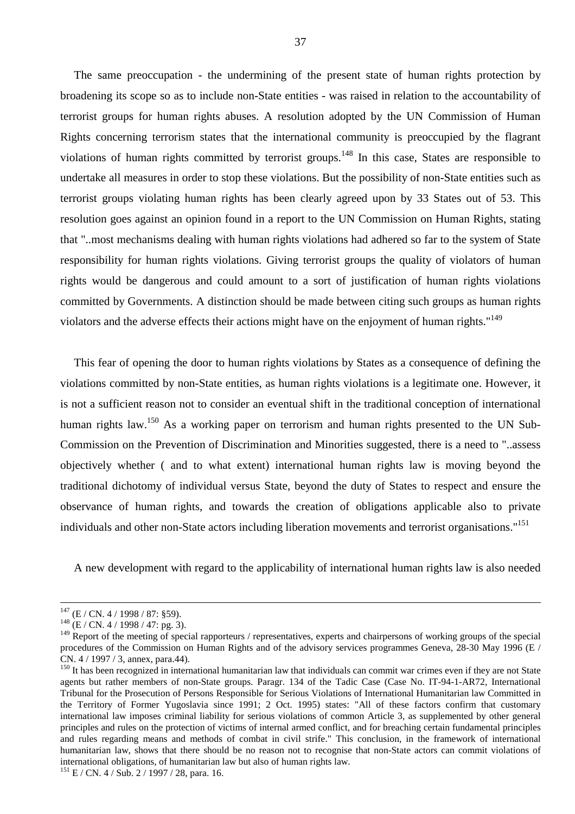The same preoccupation - the undermining of the present state of human rights protection by broadening its scope so as to include non-State entities - was raised in relation to the accountability of terrorist groups for human rights abuses. A resolution adopted by the UN Commission of Human Rights concerning terrorism states that the international community is preoccupied by the flagrant violations of human rights committed by terrorist groups.148 In this case, States are responsible to undertake all measures in order to stop these violations. But the possibility of non-State entities such as terrorist groups violating human rights has been clearly agreed upon by 33 States out of 53. This resolution goes against an opinion found in a report to the UN Commission on Human Rights, stating that "..most mechanisms dealing with human rights violations had adhered so far to the system of State responsibility for human rights violations. Giving terrorist groups the quality of violators of human rights would be dangerous and could amount to a sort of justification of human rights violations committed by Governments. A distinction should be made between citing such groups as human rights violators and the adverse effects their actions might have on the enjoyment of human rights."149

This fear of opening the door to human rights violations by States as a consequence of defining the violations committed by non-State entities, as human rights violations is a legitimate one. However, it is not a sufficient reason not to consider an eventual shift in the traditional conception of international human rights law.<sup>150</sup> As a working paper on terrorism and human rights presented to the UN Sub-Commission on the Prevention of Discrimination and Minorities suggested, there is a need to "..assess objectively whether ( and to what extent) international human rights law is moving beyond the traditional dichotomy of individual versus State, beyond the duty of States to respect and ensure the observance of human rights, and towards the creation of obligations applicable also to private individuals and other non-State actors including liberation movements and terrorist organisations."151

A new development with regard to the applicability of international human rights law is also needed

 $147$  (E / CN. 4 / 1998 / 87: §59).<br>  $148$  (E / CN. 4 / 1998 / 47: pg. 3).

<sup>&</sup>lt;sup>149</sup> Report of the meeting of special rapporteurs / representatives, experts and chairpersons of working groups of the special procedures of the Commission on Human Rights and of the advisory services programmes Geneva, 28-30 May 1996 (E / CN. 4 / 1997 / 3, annex, para.44).

 $150$  It has been recognized in international humanitarian law that individuals can commit war crimes even if they are not State agents but rather members of non-State groups. Paragr. 134 of the Tadic Case (Case No. IT-94-1-AR72, International Tribunal for the Prosecution of Persons Responsible for Serious Violations of International Humanitarian law Committed in the Territory of Former Yugoslavia since 1991; 2 Oct. 1995) states: "All of these factors confirm that customary international law imposes criminal liability for serious violations of common Article 3, as supplemented by other general principles and rules on the protection of victims of internal armed conflict, and for breaching certain fundamental principles and rules regarding means and methods of combat in civil strife." This conclusion, in the framework of international humanitarian law, shows that there should be no reason not to recognise that non-State actors can commit violations of international obligations, of humanitarian law but also of human rights law.

<sup>&</sup>lt;sup>151</sup> E / CN. 4 / Sub. 2 / 1997 / 28, para. 16.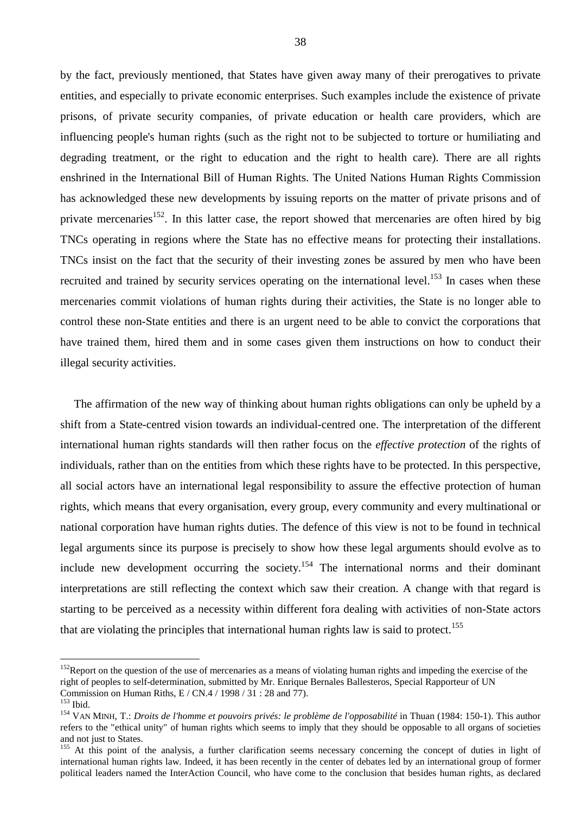by the fact, previously mentioned, that States have given away many of their prerogatives to private entities, and especially to private economic enterprises. Such examples include the existence of private prisons, of private security companies, of private education or health care providers, which are influencing people's human rights (such as the right not to be subjected to torture or humiliating and degrading treatment, or the right to education and the right to health care). There are all rights enshrined in the International Bill of Human Rights. The United Nations Human Rights Commission has acknowledged these new developments by issuing reports on the matter of private prisons and of private mercenaries<sup>152</sup>. In this latter case, the report showed that mercenaries are often hired by big TNCs operating in regions where the State has no effective means for protecting their installations. TNCs insist on the fact that the security of their investing zones be assured by men who have been recruited and trained by security services operating on the international level.<sup>153</sup> In cases when these mercenaries commit violations of human rights during their activities, the State is no longer able to control these non-State entities and there is an urgent need to be able to convict the corporations that have trained them, hired them and in some cases given them instructions on how to conduct their illegal security activities.

The affirmation of the new way of thinking about human rights obligations can only be upheld by a shift from a State-centred vision towards an individual-centred one. The interpretation of the different international human rights standards will then rather focus on the *effective protection* of the rights of individuals, rather than on the entities from which these rights have to be protected. In this perspective, all social actors have an international legal responsibility to assure the effective protection of human rights, which means that every organisation, every group, every community and every multinational or national corporation have human rights duties. The defence of this view is not to be found in technical legal arguments since its purpose is precisely to show how these legal arguments should evolve as to include new development occurring the society.<sup>154</sup> The international norms and their dominant interpretations are still reflecting the context which saw their creation. A change with that regard is starting to be perceived as a necessity within different fora dealing with activities of non-State actors that are violating the principles that international human rights law is said to protect.<sup>155</sup>

 $152$ Report on the question of the use of mercenaries as a means of violating human rights and impeding the exercise of the right of peoples to self-determination, submitted by Mr. Enrique Bernales Ballesteros, Special Rapporteur of UN Commission on Human Riths, E / CN.4 / 1998 / 31 : 28 and 77).<br><sup>153</sup> Ibid.

<sup>&</sup>lt;sup>154</sup> VAN MINH, T.: *Droits de l'homme et pouvoirs privés: le problème de l'opposabilité* in Thuan (1984: 150-1). This author refers to the "ethical unity" of human rights which seems to imply that they should be opposable to all organs of societies and not just to States.

<sup>&</sup>lt;sup>155</sup> At this point of the analysis, a further clarification seems necessary concerning the concept of duties in light of international human rights law. Indeed, it has been recently in the center of debates led by an international group of former political leaders named the InterAction Council, who have come to the conclusion that besides human rights, as declared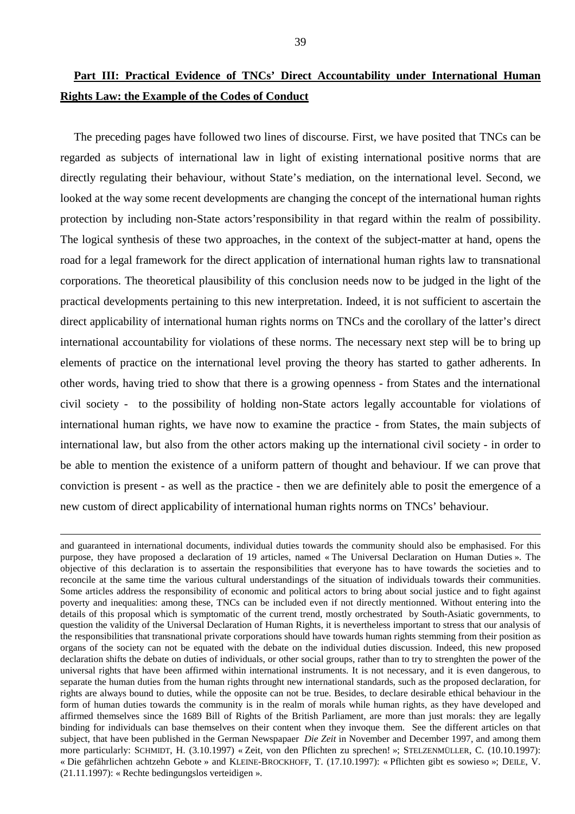# **Part III: Practical Evidence of TNCs' Direct Accountability under International Human Rights Law: the Example of the Codes of Conduct**

The preceding pages have followed two lines of discourse. First, we have posited that TNCs can be regarded as subjects of international law in light of existing international positive norms that are directly regulating their behaviour, without State's mediation, on the international level. Second, we looked at the way some recent developments are changing the concept of the international human rights protection by including non-State actors'responsibility in that regard within the realm of possibility. The logical synthesis of these two approaches, in the context of the subject-matter at hand, opens the road for a legal framework for the direct application of international human rights law to transnational corporations. The theoretical plausibility of this conclusion needs now to be judged in the light of the practical developments pertaining to this new interpretation. Indeed, it is not sufficient to ascertain the direct applicability of international human rights norms on TNCs and the corollary of the latter's direct international accountability for violations of these norms. The necessary next step will be to bring up elements of practice on the international level proving the theory has started to gather adherents. In other words, having tried to show that there is a growing openness - from States and the international civil society - to the possibility of holding non-State actors legally accountable for violations of international human rights, we have now to examine the practice - from States, the main subjects of international law, but also from the other actors making up the international civil society - in order to be able to mention the existence of a uniform pattern of thought and behaviour. If we can prove that conviction is present - as well as the practice - then we are definitely able to posit the emergence of a new custom of direct applicability of international human rights norms on TNCs' behaviour.

and guaranteed in international documents, individual duties towards the community should also be emphasised. For this purpose, they have proposed a declaration of 19 articles, named « The Universal Declaration on Human Duties ». The objective of this declaration is to assertain the responsibilities that everyone has to have towards the societies and to reconcile at the same time the various cultural understandings of the situation of individuals towards their communities. Some articles address the responsibility of economic and political actors to bring about social justice and to fight against poverty and inequalities: among these, TNCs can be included even if not directly mentionned. Without entering into the details of this proposal which is symptomatic of the current trend, mostly orchestrated by South-Asiatic governments, to question the validity of the Universal Declaration of Human Rights, it is nevertheless important to stress that our analysis of the responsibilities that transnational private corporations should have towards human rights stemming from their position as organs of the society can not be equated with the debate on the individual duties discussion. Indeed, this new proposed declaration shifts the debate on duties of individuals, or other social groups, rather than to try to strenghten the power of the universal rights that have been affirmed within international instruments. It is not necessary, and it is even dangerous, to separate the human duties from the human rights throught new international standards, such as the proposed declaration, for rights are always bound to duties, while the opposite can not be true. Besides, to declare desirable ethical behaviour in the form of human duties towards the community is in the realm of morals while human rights, as they have developed and affirmed themselves since the 1689 Bill of Rights of the British Parliament, are more than just morals: they are legally binding for individuals can base themselves on their content when they invoque them. See the different articles on that subject, that have been published in the German Newspapaer *Die Zeit* in November and December 1997, and among them more particularly: SCHMIDT, H. (3.10.1997) « Zeit, von den Pflichten zu sprechen! »; STELZENMÜLLER, C. (10.10.1997): « Die gefährlichen achtzehn Gebote » and KLEINE-BROCKHOFF, T. (17.10.1997): « Pflichten gibt es sowieso »; DEILE, V. (21.11.1997): « Rechte bedingungslos verteidigen ».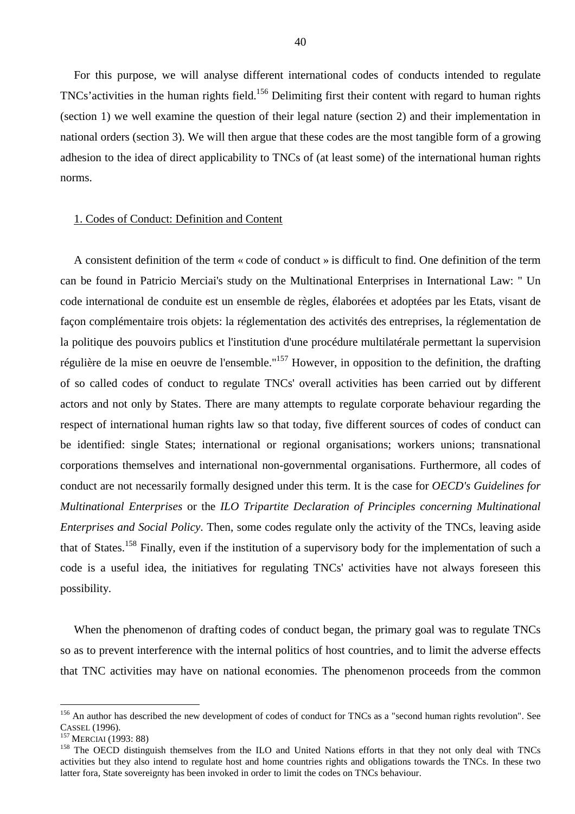For this purpose, we will analyse different international codes of conducts intended to regulate TNCs'activities in the human rights field.156 Delimiting first their content with regard to human rights (section 1) we well examine the question of their legal nature (section 2) and their implementation in national orders (section 3). We will then argue that these codes are the most tangible form of a growing adhesion to the idea of direct applicability to TNCs of (at least some) of the international human rights norms.

### 1. Codes of Conduct: Definition and Content

A consistent definition of the term « code of conduct » is difficult to find. One definition of the term can be found in Patricio Merciai's study on the Multinational Enterprises in International Law: " Un code international de conduite est un ensemble de règles, élaborées et adoptées par les Etats, visant de façon complémentaire trois objets: la réglementation des activités des entreprises, la réglementation de la politique des pouvoirs publics et l'institution d'une procédure multilatérale permettant la supervision régulière de la mise en oeuvre de l'ensemble."157 However, in opposition to the definition, the drafting of so called codes of conduct to regulate TNCs' overall activities has been carried out by different actors and not only by States. There are many attempts to regulate corporate behaviour regarding the respect of international human rights law so that today, five different sources of codes of conduct can be identified: single States; international or regional organisations; workers unions; transnational corporations themselves and international non-governmental organisations. Furthermore, all codes of conduct are not necessarily formally designed under this term. It is the case for *OECD's Guidelines for Multinational Enterprises* or the *ILO Tripartite Declaration of Principles concerning Multinational Enterprises and Social Policy*. Then, some codes regulate only the activity of the TNCs, leaving aside that of States.158 Finally, even if the institution of a supervisory body for the implementation of such a code is a useful idea, the initiatives for regulating TNCs' activities have not always foreseen this possibility.

When the phenomenon of drafting codes of conduct began, the primary goal was to regulate TNCs so as to prevent interference with the internal politics of host countries, and to limit the adverse effects that TNC activities may have on national economies. The phenomenon proceeds from the common

<sup>&</sup>lt;sup>156</sup> An author has described the new development of codes of conduct for TNCs as a "second human rights revolution". See CASSEL (1996).<br><sup>157</sup> MERCIAI (1993: 88)<br><sup>158</sup> The OECD distinguish themselves from the ILO and United Nations efforts in that they not only deal with TNCs

activities but they also intend to regulate host and home countries rights and obligations towards the TNCs. In these two latter fora, State sovereignty has been invoked in order to limit the codes on TNCs behaviour.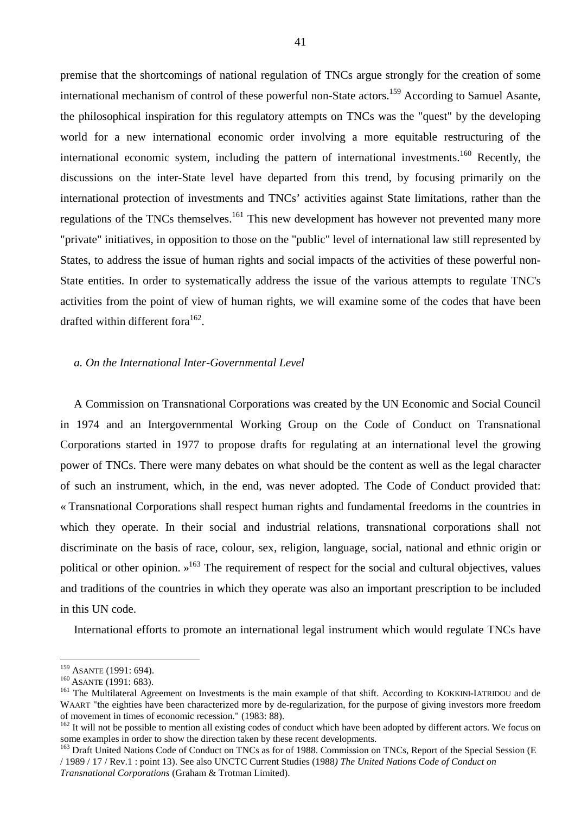premise that the shortcomings of national regulation of TNCs argue strongly for the creation of some international mechanism of control of these powerful non-State actors.<sup>159</sup> According to Samuel Asante, the philosophical inspiration for this regulatory attempts on TNCs was the "quest" by the developing world for a new international economic order involving a more equitable restructuring of the international economic system, including the pattern of international investments.<sup>160</sup> Recently, the discussions on the inter-State level have departed from this trend, by focusing primarily on the international protection of investments and TNCs' activities against State limitations, rather than the regulations of the TNCs themselves.<sup>161</sup> This new development has however not prevented many more "private" initiatives, in opposition to those on the "public" level of international law still represented by States, to address the issue of human rights and social impacts of the activities of these powerful non-State entities. In order to systematically address the issue of the various attempts to regulate TNC's activities from the point of view of human rights, we will examine some of the codes that have been drafted within different fora<sup>162</sup>.

#### *a. On the International Inter-Governmental Level*

A Commission on Transnational Corporations was created by the UN Economic and Social Council in 1974 and an Intergovernmental Working Group on the Code of Conduct on Transnational Corporations started in 1977 to propose drafts for regulating at an international level the growing power of TNCs. There were many debates on what should be the content as well as the legal character of such an instrument, which, in the end, was never adopted. The Code of Conduct provided that: « Transnational Corporations shall respect human rights and fundamental freedoms in the countries in which they operate. In their social and industrial relations, transnational corporations shall not discriminate on the basis of race, colour, sex, religion, language, social, national and ethnic origin or political or other opinion.  $\frac{163}{100}$  The requirement of respect for the social and cultural objectives, values and traditions of the countries in which they operate was also an important prescription to be included in this UN code.

International efforts to promote an international legal instrument which would regulate TNCs have

<sup>&</sup>lt;sup>159</sup> ASANTE (1991: 694).<br><sup>160</sup> ASANTE (1991: 683).<br><sup>161</sup> The Multilateral Agreement on Investments is the main example of that shift. According to KOKKINI-IATRIDOU and de WAART "the eighties have been characterized more by de-regularization, for the purpose of giving investors more freedom of movement in times of economic recession." (1983: 88).

<sup>&</sup>lt;sup>162</sup> It will not be possible to mention all existing codes of conduct which have been adopted by different actors. We focus on some examples in order to show the direction taken by these recent developments.

<sup>&</sup>lt;sup>163</sup> Draft United Nations Code of Conduct on TNCs as for of 1988. Commission on TNCs, Report of the Special Session (E / 1989 / 17 / Rev.1 : point 13). See also UNCTC Current Studies (1988*) The United Nations Code of Conduct on Transnational Corporations* (Graham & Trotman Limited).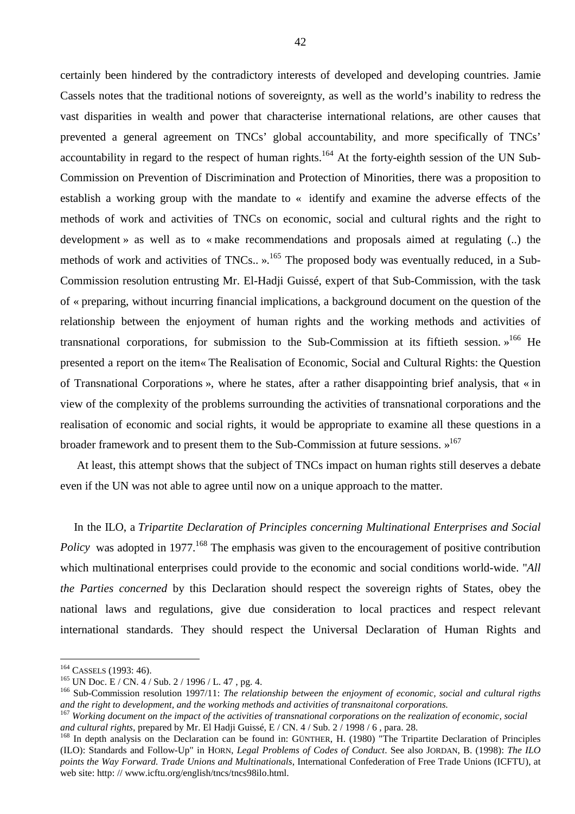certainly been hindered by the contradictory interests of developed and developing countries. Jamie Cassels notes that the traditional notions of sovereignty, as well as the world's inability to redress the vast disparities in wealth and power that characterise international relations, are other causes that prevented a general agreement on TNCs' global accountability, and more specifically of TNCs' accountability in regard to the respect of human rights.<sup>164</sup> At the forty-eighth session of the UN Sub-Commission on Prevention of Discrimination and Protection of Minorities, there was a proposition to establish a working group with the mandate to « identify and examine the adverse effects of the methods of work and activities of TNCs on economic, social and cultural rights and the right to development » as well as to « make recommendations and proposals aimed at regulating (..) the methods of work and activities of TNCs.. ».<sup>165</sup> The proposed body was eventually reduced, in a Sub-Commission resolution entrusting Mr. El-Hadji Guissé, expert of that Sub-Commission, with the task of « preparing, without incurring financial implications, a background document on the question of the relationship between the enjoyment of human rights and the working methods and activities of transnational corporations, for submission to the Sub-Commission at its fiftieth session.  $v^{166}$  He presented a report on the item« The Realisation of Economic, Social and Cultural Rights: the Question of Transnational Corporations », where he states, after a rather disappointing brief analysis, that « in view of the complexity of the problems surrounding the activities of transnational corporations and the realisation of economic and social rights, it would be appropriate to examine all these questions in a broader framework and to present them to the Sub-Commission at future sessions.  $v^{167}$ 

 At least, this attempt shows that the subject of TNCs impact on human rights still deserves a debate even if the UN was not able to agree until now on a unique approach to the matter.

In the ILO, a *Tripartite Declaration of Principles concerning Multinational Enterprises and Social Policy* was adopted in 1977<sup>168</sup> The emphasis was given to the encouragement of positive contribution which multinational enterprises could provide to the economic and social conditions world-wide. "*All the Parties concerned* by this Declaration should respect the sovereign rights of States, obey the national laws and regulations, give due consideration to local practices and respect relevant international standards. They should respect the Universal Declaration of Human Rights and

<sup>&</sup>lt;sup>164</sup> CASSELS (1993: 46).<br><sup>165</sup> UN Doc. E / CN. 4 / Sub. 2 / 1996 / L. 47, pg. 4.<br><sup>166</sup> Sub-Commission resolution 1997/11: *The relationship between the enjoyment of economic, social and cultural rigths* and the right to development, and the working methods and activities of transnaitonal corporations.<br><sup>167</sup> Working document on the impact of the activities of transnational corporations on the realization of economic, socia

*and cultural rights*, prepared by Mr. El Hadji Guissé, E / CN. 4 / Sub. 2 / 1998 / 6, para. 28.<br><sup>168</sup> In depth analysis on the Declaration can be found in: GÜNTHER, H. (1980) "The Tripartite Declaration of Principles

<sup>(</sup>ILO): Standards and Follow-Up" in HORN, *Legal Problems of Codes of Conduct*. See also JORDAN, B. (1998): *The ILO points the Way Forward. Trade Unions and Multinationals*, International Confederation of Free Trade Unions (ICFTU), at web site: http://www.icftu.org/english/tncs/tncs98ilo.html.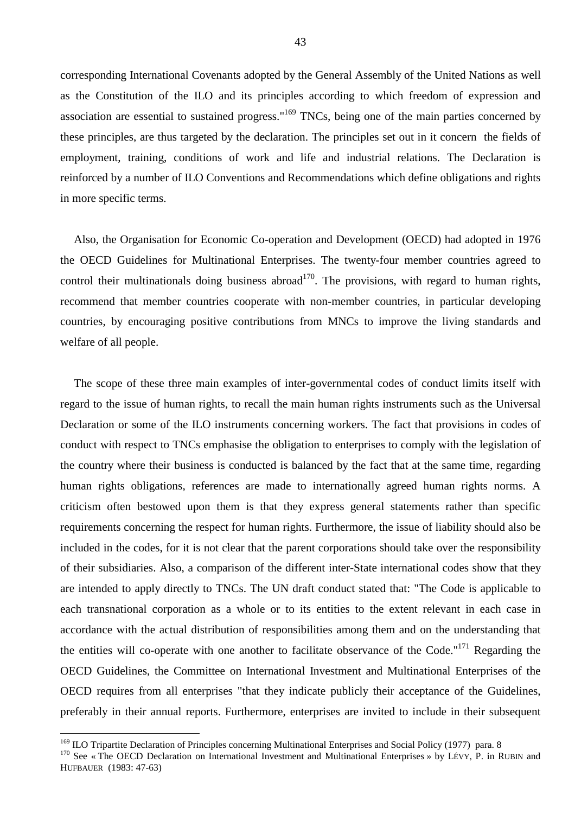corresponding International Covenants adopted by the General Assembly of the United Nations as well as the Constitution of the ILO and its principles according to which freedom of expression and association are essential to sustained progress."169 TNCs, being one of the main parties concerned by these principles, are thus targeted by the declaration. The principles set out in it concern the fields of employment, training, conditions of work and life and industrial relations. The Declaration is reinforced by a number of ILO Conventions and Recommendations which define obligations and rights in more specific terms.

Also, the Organisation for Economic Co-operation and Development (OECD) had adopted in 1976 the OECD Guidelines for Multinational Enterprises. The twenty-four member countries agreed to control their multinationals doing business abroad<sup>170</sup>. The provisions, with regard to human rights, recommend that member countries cooperate with non-member countries, in particular developing countries, by encouraging positive contributions from MNCs to improve the living standards and welfare of all people.

The scope of these three main examples of inter-governmental codes of conduct limits itself with regard to the issue of human rights, to recall the main human rights instruments such as the Universal Declaration or some of the ILO instruments concerning workers. The fact that provisions in codes of conduct with respect to TNCs emphasise the obligation to enterprises to comply with the legislation of the country where their business is conducted is balanced by the fact that at the same time, regarding human rights obligations, references are made to internationally agreed human rights norms. A criticism often bestowed upon them is that they express general statements rather than specific requirements concerning the respect for human rights. Furthermore, the issue of liability should also be included in the codes, for it is not clear that the parent corporations should take over the responsibility of their subsidiaries. Also, a comparison of the different inter-State international codes show that they are intended to apply directly to TNCs. The UN draft conduct stated that: "The Code is applicable to each transnational corporation as a whole or to its entities to the extent relevant in each case in accordance with the actual distribution of responsibilities among them and on the understanding that the entities will co-operate with one another to facilitate observance of the Code."<sup>171</sup> Regarding the OECD Guidelines, the Committee on International Investment and Multinational Enterprises of the OECD requires from all enterprises "that they indicate publicly their acceptance of the Guidelines, preferably in their annual reports. Furthermore, enterprises are invited to include in their subsequent

<sup>&</sup>lt;sup>169</sup> ILO Tripartite Declaration of Principles concerning Multinational Enterprises and Social Policy (1977) para. 8

<sup>&</sup>lt;sup>170</sup> See « The OECD Declaration on International Investment and Multinational Enterprises » by LÉVY, P. in RUBIN and HUFBAUER (1983: 47-63)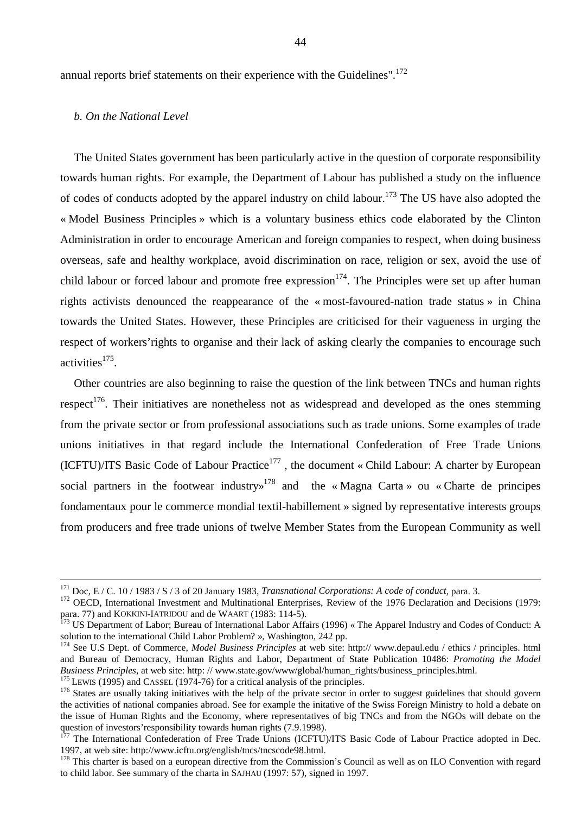annual reports brief statements on their experience with the Guidelines".<sup>172</sup>

#### *b. On the National Level*

The United States government has been particularly active in the question of corporate responsibility towards human rights. For example, the Department of Labour has published a study on the influence of codes of conducts adopted by the apparel industry on child labour.<sup>173</sup> The US have also adopted the « Model Business Principles » which is a voluntary business ethics code elaborated by the Clinton Administration in order to encourage American and foreign companies to respect, when doing business overseas, safe and healthy workplace, avoid discrimination on race, religion or sex, avoid the use of child labour or forced labour and promote free expression<sup>174</sup>. The Principles were set up after human rights activists denounced the reappearance of the « most-favoured-nation trade status » in China towards the United States. However, these Principles are criticised for their vagueness in urging the respect of workers'rights to organise and their lack of asking clearly the companies to encourage such activities $175$ .

Other countries are also beginning to raise the question of the link between TNCs and human rights respect<sup>176</sup>. Their initiatives are nonetheless not as widespread and developed as the ones stemming from the private sector or from professional associations such as trade unions. Some examples of trade unions initiatives in that regard include the International Confederation of Free Trade Unions  $(ICFTU)/ITS$  Basic Code of Labour Practice<sup>177</sup>, the document « Child Labour: A charter by European social partners in the footwear industry<sup> $178$ </sup> and the « Magna Carta » ou « Charte de principes fondamentaux pour le commerce mondial textil-habillement » signed by representative interests groups from producers and free trade unions of twelve Member States from the European Community as well

<sup>&</sup>lt;sup>171</sup> Doc, E / C. 10 / 1983 / S / 3 of 20 January 1983, *Transnational Corporations: A code of conduct*, para. 3.<br><sup>172</sup> OECD, International Investment and Multinational Enterprises, Review of the 1976 Declaration and Deci para. 77) and KOKKINI-IATRIDOU and de WAART (1983: 114-5).<br><sup>173</sup> US Department of Labor; Bureau of International Labor Affairs (1996) « The Apparel Industry and Codes of Conduct: A

solution to the international Child Labor Problem? », Washington, 242 pp.

<sup>174</sup> See U.S Dept. of Commerce, *Model Business Principles* at web site: http:// www.depaul.edu / ethics / principles. html and Bureau of Democracy, Human Rights and Labor, Department of State Publication 10486: *Promoting the Model*  Business Principles, at web site: http://www.state.gov/www/global/human\_rights/business\_principles.html.<br><sup>175</sup> LEWIS (1995) and CASSEL (1974-76) for a critical analysis of the principles.<br><sup>176</sup> States are usually taking i

the activities of national companies abroad. See for example the initative of the Swiss Foreign Ministry to hold a debate on the issue of Human Rights and the Economy, where representatives of big TNCs and from the NGOs will debate on the question of investors'responsibility towards human rights (7.9.1998).

<sup>&</sup>lt;sup>177</sup> The International Confederation of Free Trade Unions (ICFTU)/ITS Basic Code of Labour Practice adopted in Dec. 1997, at web site: http://www.icftu.org/english/tncs/tncscode98.html.

 $178$  This charter is based on a european directive from the Commission's Council as well as on ILO Convention with regard to child labor. See summary of the charta in SAJHAU (1997: 57), signed in 1997.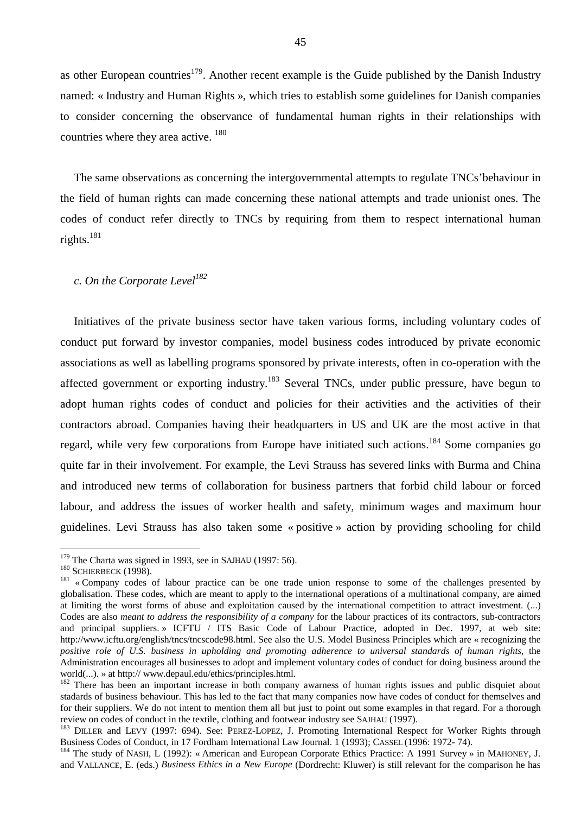as other European countries<sup>179</sup>. Another recent example is the Guide published by the Danish Industry named: « Industry and Human Rights », which tries to establish some guidelines for Danish companies to consider concerning the observance of fundamental human rights in their relationships with countries where they area active. <sup>180</sup>

The same observations as concerning the intergovernmental attempts to regulate TNCs'behaviour in the field of human rights can made concerning these national attempts and trade unionist ones. The codes of conduct refer directly to TNCs by requiring from them to respect international human rights.<sup>181</sup>

#### *c. On the Corporate Level<sup>182</sup>*

Initiatives of the private business sector have taken various forms, including voluntary codes of conduct put forward by investor companies, model business codes introduced by private economic associations as well as labelling programs sponsored by private interests, often in co-operation with the affected government or exporting industry.<sup>183</sup> Several TNCs, under public pressure, have begun to adopt human rights codes of conduct and policies for their activities and the activities of their contractors abroad. Companies having their headquarters in US and UK are the most active in that regard, while very few corporations from Europe have initiated such actions.<sup>184</sup> Some companies go quite far in their involvement. For example, the Levi Strauss has severed links with Burma and China and introduced new terms of collaboration for business partners that forbid child labour or forced labour, and address the issues of worker health and safety, minimum wages and maximum hour guidelines. Levi Strauss has also taken some « positive » action by providing schooling for child

 $179$  The Charta was signed in 1993, see in SAJHAU (1997: 56).

<sup>&</sup>lt;sup>180</sup> SCHIERBECK (1998). <sup>180</sup> SCHIERBECK (1998). <sup>181</sup> « Company codes of labour practice can be one trade union response to some of the challenges presented by globalisation. These codes, which are meant to apply to the international operations of a multinational company, are aimed at limiting the worst forms of abuse and exploitation caused by the international competition to attract investment. (...) Codes are also *meant to address the responsibility of a company* for the labour practices of its contractors, sub-contractors and principal suppliers. » ICFTU / ITS Basic Code of Labour Practice, adopted in Dec. 1997, at web site: http://www.icftu.org/english/tncs/tncscode98.html. See also the U.S. Model Business Principles which are « recognizing the *positive role of U.S. business in upholding and promoting adherence to universal standards of human rights*, the Administration encourages all businesses to adopt and implement voluntary codes of conduct for doing business around the world(...). » at http:// www.depaul.edu/ethics/principles.html.<br><sup>182</sup> There has been an important increase in both company awarness of human rights issues and public disquiet about

stadards of business behaviour. This has led to the fact that many companies now have codes of conduct for themselves and for their suppliers. We do not intent to mention them all but just to point out some examples in that regard. For a thorough

review on codes of conduct in the textile, clothing and footwear industry see SAJHAU (1997).<br><sup>183</sup> DILLER and LEVY (1997: 694). See: PEREZ-LOPEZ, J. Promoting International Respect for Worker Rights through<br>Business Codes

<sup>&</sup>lt;sup>184</sup> The study of NASH, L (1992): « American and European Corporate Ethics Practice: A 1991 Survey » in MAHONEY, J. and VALLANCE, E. (eds.) *Business Ethics in a New Europe* (Dordrecht: Kluwer) is still relevant for the comparison he has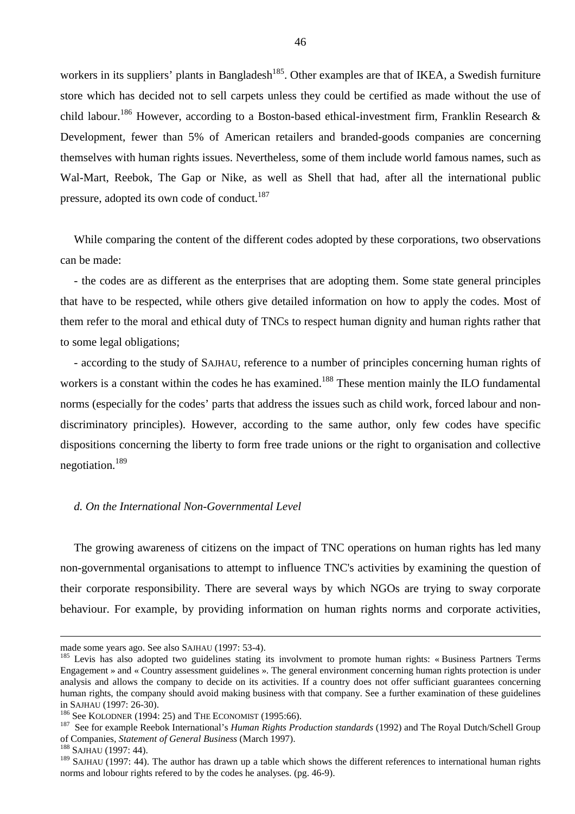workers in its suppliers' plants in Bangladesh<sup>185</sup>. Other examples are that of IKEA, a Swedish furniture store which has decided not to sell carpets unless they could be certified as made without the use of child labour.<sup>186</sup> However, according to a Boston-based ethical-investment firm, Franklin Research & Development, fewer than 5% of American retailers and branded-goods companies are concerning themselves with human rights issues. Nevertheless, some of them include world famous names, such as Wal-Mart, Reebok, The Gap or Nike, as well as Shell that had, after all the international public pressure, adopted its own code of conduct.<sup>187</sup>

While comparing the content of the different codes adopted by these corporations, two observations can be made:

- the codes are as different as the enterprises that are adopting them. Some state general principles that have to be respected, while others give detailed information on how to apply the codes. Most of them refer to the moral and ethical duty of TNCs to respect human dignity and human rights rather that to some legal obligations;

- according to the study of SAJHAU, reference to a number of principles concerning human rights of workers is a constant within the codes he has examined.<sup>188</sup> These mention mainly the ILO fundamental norms (especially for the codes' parts that address the issues such as child work, forced labour and nondiscriminatory principles). However, according to the same author, only few codes have specific dispositions concerning the liberty to form free trade unions or the right to organisation and collective negotiation.189

### *d. On the International Non-Governmental Level*

The growing awareness of citizens on the impact of TNC operations on human rights has led many non-governmental organisations to attempt to influence TNC's activities by examining the question of their corporate responsibility. There are several ways by which NGOs are trying to sway corporate behaviour. For example, by providing information on human rights norms and corporate activities,

made some years ago. See also SAJHAU (1997: 53-4).<br><sup>185</sup> Levis has also adopted two guidelines stating its involvment to promote human rights: « Business Partners Terms Engagement » and « Country assessment guidelines ». The general environment concerning human rights protection is under analysis and allows the company to decide on its activities. If a country does not offer sufficiant guarantees concerning human rights, the company should avoid making business with that company. See a further examination of these guidelines in SAJHAU (1997: 26-30). 186 See KOLODNER (1994: 25) and THE ECONOMIST (1995:66). 187 See for example Reebok International's *Human Rights Production standards* (1992) and The Royal Dutch/Schell Group

of Companies, *Statement of General Business* (March 1997). 188 SAJHAU (1997: 44).

<sup>&</sup>lt;sup>189</sup> SAJHAU (1997: 44). The author has drawn up a table which shows the different references to international human rights norms and lobour rights refered to by the codes he analyses. (pg. 46-9).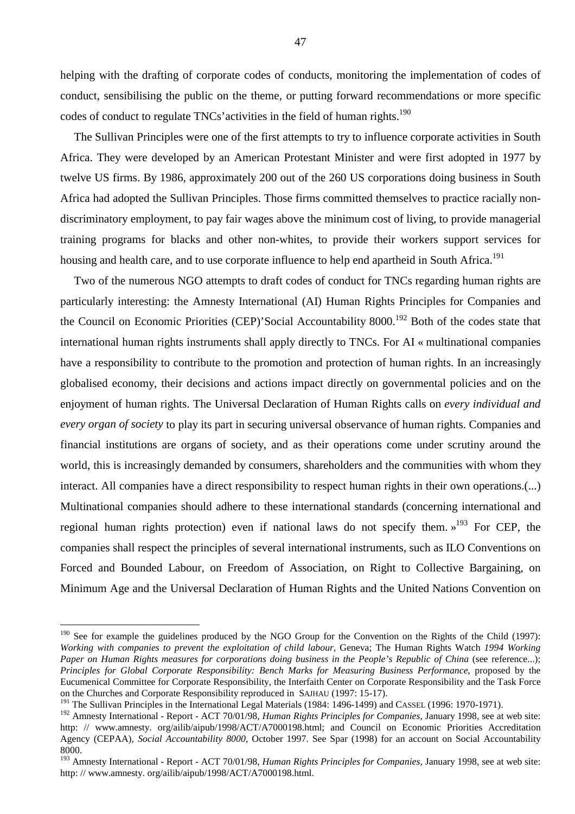helping with the drafting of corporate codes of conducts, monitoring the implementation of codes of conduct, sensibilising the public on the theme, or putting forward recommendations or more specific codes of conduct to regulate TNCs' activities in the field of human rights.<sup>190</sup>

The Sullivan Principles were one of the first attempts to try to influence corporate activities in South Africa. They were developed by an American Protestant Minister and were first adopted in 1977 by twelve US firms. By 1986, approximately 200 out of the 260 US corporations doing business in South Africa had adopted the Sullivan Principles. Those firms committed themselves to practice racially nondiscriminatory employment, to pay fair wages above the minimum cost of living, to provide managerial training programs for blacks and other non-whites, to provide their workers support services for housing and health care, and to use corporate influence to help end apartheid in South Africa.<sup>191</sup>

Two of the numerous NGO attempts to draft codes of conduct for TNCs regarding human rights are particularly interesting: the Amnesty International (AI) Human Rights Principles for Companies and the Council on Economic Priorities (CEP)'Social Accountability 8000.<sup>192</sup> Both of the codes state that international human rights instruments shall apply directly to TNCs. For AI « multinational companies have a responsibility to contribute to the promotion and protection of human rights. In an increasingly globalised economy, their decisions and actions impact directly on governmental policies and on the enjoyment of human rights. The Universal Declaration of Human Rights calls on *every individual and every organ of society* to play its part in securing universal observance of human rights. Companies and financial institutions are organs of society, and as their operations come under scrutiny around the world, this is increasingly demanded by consumers, shareholders and the communities with whom they interact. All companies have a direct responsibility to respect human rights in their own operations.(...) Multinational companies should adhere to these international standards (concerning international and regional human rights protection) even if national laws do not specify them.  $v^{193}$  For CEP, the companies shall respect the principles of several international instruments, such as ILO Conventions on Forced and Bounded Labour, on Freedom of Association, on Right to Collective Bargaining, on Minimum Age and the Universal Declaration of Human Rights and the United Nations Convention on

 $\overline{a}$ 

47

 $190$  See for example the guidelines produced by the NGO Group for the Convention on the Rights of the Child (1997): *Working with companies to prevent the exploitation of child labour*, Geneva; The Human Rights Watch *1994 Working Paper on Human Rights measures for corporations doing business in the People's Republic of China* (see reference...); *Principles for Global Corporate Responsibility: Bench Marks for Measuring Business Performance*, proposed by the Eucumenical Committee for Corporate Responsibility, the Interfaith Center on Corporate Responsibility and the Task Force on the Churches and Corporate Responsibility reproduced in SAJHAU (1997: 15-17).

<sup>&</sup>lt;sup>191</sup> The Sullivan Principles in the International Legal Materials (1984: 1496-1499) and CASSEL (1996: 1970-1971).

<sup>192</sup> Amnesty International - Report - ACT 70/01/98, *Human Rights Principles for Companies*, January 1998, see at web site: http: // www.amnesty. org/ailib/aipub/1998/ACT/A7000198.html; and Council on Economic Priorities Accreditation Agency (CEPAA), *Social Accountability 8000*, October 1997. See Spar (1998) for an account on Social Accountability 8000.

<sup>193</sup> Amnesty International - Report - ACT 70/01/98, *Human Rights Principles for Companies*, January 1998, see at web site: http: // www.amnesty. org/ailib/aipub/1998/ACT/A7000198.html.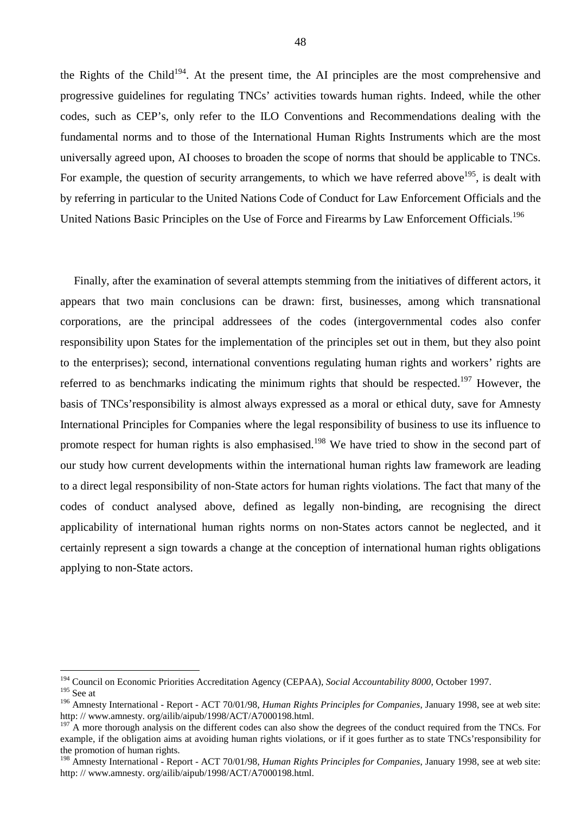the Rights of the Child<sup>194</sup>. At the present time, the AI principles are the most comprehensive and progressive guidelines for regulating TNCs' activities towards human rights. Indeed, while the other codes, such as CEP's, only refer to the ILO Conventions and Recommendations dealing with the fundamental norms and to those of the International Human Rights Instruments which are the most universally agreed upon, AI chooses to broaden the scope of norms that should be applicable to TNCs. For example, the question of security arrangements, to which we have referred above  $195$ , is dealt with by referring in particular to the United Nations Code of Conduct for Law Enforcement Officials and the United Nations Basic Principles on the Use of Force and Firearms by Law Enforcement Officials.196

Finally, after the examination of several attempts stemming from the initiatives of different actors, it appears that two main conclusions can be drawn: first, businesses, among which transnational corporations, are the principal addressees of the codes (intergovernmental codes also confer responsibility upon States for the implementation of the principles set out in them, but they also point to the enterprises); second, international conventions regulating human rights and workers' rights are referred to as benchmarks indicating the minimum rights that should be respected.<sup>197</sup> However, the basis of TNCs'responsibility is almost always expressed as a moral or ethical duty, save for Amnesty International Principles for Companies where the legal responsibility of business to use its influence to promote respect for human rights is also emphasised.<sup>198</sup> We have tried to show in the second part of our study how current developments within the international human rights law framework are leading to a direct legal responsibility of non-State actors for human rights violations. The fact that many of the codes of conduct analysed above, defined as legally non-binding, are recognising the direct applicability of international human rights norms on non-States actors cannot be neglected, and it certainly represent a sign towards a change at the conception of international human rights obligations applying to non-State actors.

<sup>194</sup> Council on Economic Priorities Accreditation Agency (CEPAA), *Social Accountability 8000*, October 1997. 195 See at

<sup>196</sup> Amnesty International - Report - ACT 70/01/98, *Human Rights Principles for Companies*, January 1998, see at web site: http: // www.amnesty. org/ailib/aipub/1998/ACT/A7000198.html.

 $197$  A more thorough analysis on the different codes can also show the degrees of the conduct required from the TNCs. For example, if the obligation aims at avoiding human rights violations, or if it goes further as to state TNCs'responsibility for the promotion of human rights.

<sup>198</sup> Amnesty International - Report - ACT 70/01/98, *Human Rights Principles for Companies*, January 1998, see at web site: http: // www.amnesty. org/ailib/aipub/1998/ACT/A7000198.html.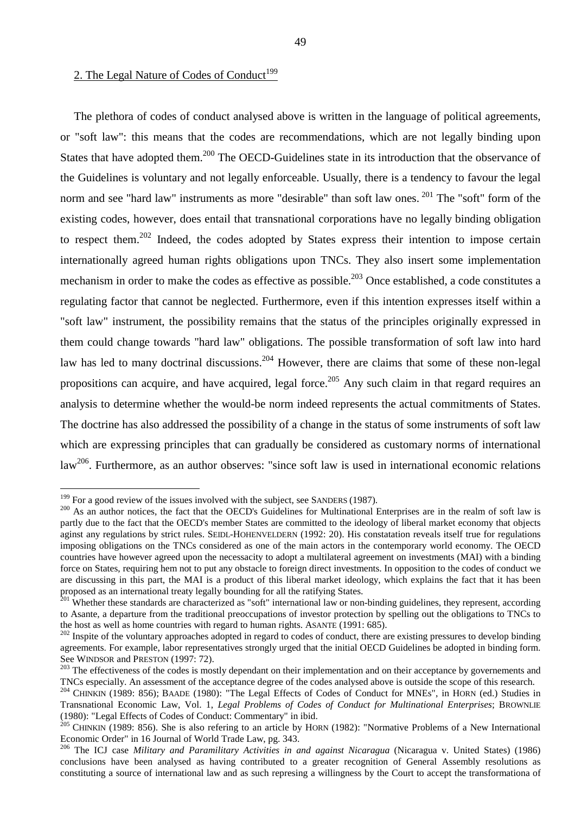## 2. The Legal Nature of Codes of Conduct<sup>199</sup>

The plethora of codes of conduct analysed above is written in the language of political agreements, or "soft law": this means that the codes are recommendations, which are not legally binding upon States that have adopted them.<sup>200</sup> The OECD-Guidelines state in its introduction that the observance of the Guidelines is voluntary and not legally enforceable. Usually, there is a tendency to favour the legal norm and see "hard law" instruments as more "desirable" than soft law ones. <sup>201</sup> The "soft" form of the existing codes, however, does entail that transnational corporations have no legally binding obligation to respect them.<sup>202</sup> Indeed, the codes adopted by States express their intention to impose certain internationally agreed human rights obligations upon TNCs. They also insert some implementation mechanism in order to make the codes as effective as possible.<sup>203</sup> Once established, a code constitutes a regulating factor that cannot be neglected. Furthermore, even if this intention expresses itself within a "soft law" instrument, the possibility remains that the status of the principles originally expressed in them could change towards "hard law" obligations. The possible transformation of soft law into hard law has led to many doctrinal discussions.<sup>204</sup> However, there are claims that some of these non-legal propositions can acquire, and have acquired, legal force.<sup>205</sup> Any such claim in that regard requires an analysis to determine whether the would-be norm indeed represents the actual commitments of States. The doctrine has also addressed the possibility of a change in the status of some instruments of soft law which are expressing principles that can gradually be considered as customary norms of international law<sup>206</sup>. Furthermore, as an author observes: "since soft law is used in international economic relations

 $199$  For a good review of the issues involved with the subject, see SANDERS (1987).

<sup>&</sup>lt;sup>200</sup> As an author notices, the fact that the OECD's Guidelines for Multinational Enterprises are in the realm of soft law is partly due to the fact that the OECD's member States are committed to the ideology of liberal market economy that objects aginst any regulations by strict rules. SEIDL-HOHENVELDERN (1992: 20). His constatation reveals itself true for regulations imposing obligations on the TNCs considered as one of the main actors in the contemporary world economy. The OECD countries have however agreed upon the necessacity to adopt a multilateral agreement on investments (MAI) with a binding force on States, requiring hem not to put any obstacle to foreign direct investments. In opposition to the codes of conduct we are discussing in this part, the MAI is a product of this liberal market ideology, which explains the fact that it has been proposed as an international treaty legally bounding for all the ratifying States.

 $^{201}$  Whether these standards are characterized as "soft" international law or non-binding guidelines, they represent, according to Asante, a departure from the traditional preoccupations of investor protection by spelling out the obligations to TNCs to the host as well as home countries with regard to human rights. ASANTE (1991: 685).<br><sup>202</sup> Inspite of the voluntary approaches adopted in regard to codes of conduct, there are existing pressures to develop binding

agreements. For example, labor representatives strongly urged that the initial OECD Guidelines be adopted in binding form. See WINDSOR and PRESTON (1997: 72).<br><sup>203</sup> The effectiveness of the codes is mostly dependant on their implementation and on their acceptance by governements and

TNCs especially. An assessment of the acceptance degree of the codes analysed above is outside the scope of this research.

<sup>&</sup>lt;sup>204</sup> CHINKIN (1989: 856); BAADE (1980): "The Legal Effects of Codes of Conduct for MNEs", in HORN (ed.) Studies in Transnational Economic Law, Vol. 1, *Legal Problems of Codes of Conduct for Multinational Enterprises*; BROWNLIE (1980): "Legal Effects of Codes of Conduct: Commentary" in ibid.

 $205$  CHINKIN (1989: 856). She is also refering to an article by HORN (1982): "Normative Problems of a New International Economic Order" in 16 Journal of World Trade Law, pg. 343.

<sup>206</sup> The ICJ case *Military and Paramilitary Activities in and against Nicaragua* (Nicaragua v. United States) (1986) conclusions have been analysed as having contributed to a greater recognition of General Assembly resolutions as constituting a source of international law and as such represing a willingness by the Court to accept the transformationa of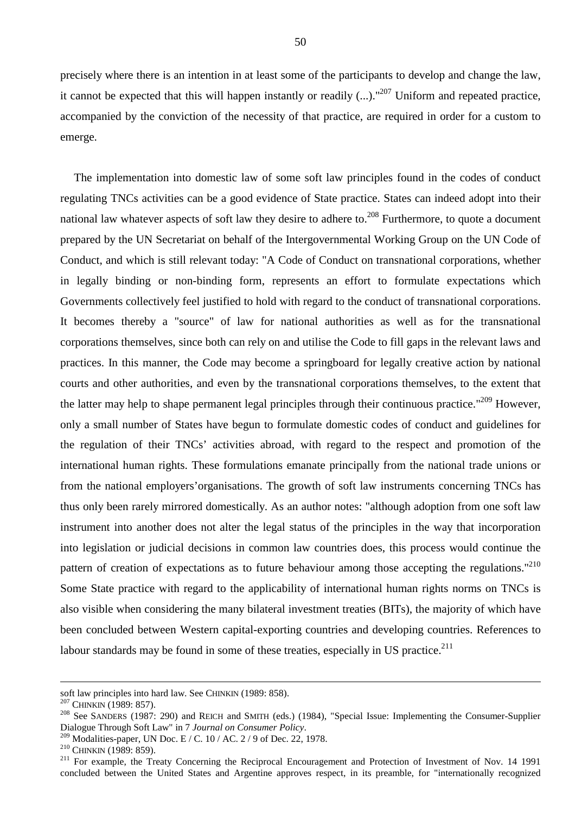precisely where there is an intention in at least some of the participants to develop and change the law, it cannot be expected that this will happen instantly or readily  $(...).$ <sup>"207</sup> Uniform and repeated practice, accompanied by the conviction of the necessity of that practice, are required in order for a custom to emerge.

The implementation into domestic law of some soft law principles found in the codes of conduct regulating TNCs activities can be a good evidence of State practice. States can indeed adopt into their national law whatever aspects of soft law they desire to adhere to.<sup>208</sup> Furthermore, to quote a document prepared by the UN Secretariat on behalf of the Intergovernmental Working Group on the UN Code of Conduct, and which is still relevant today: "A Code of Conduct on transnational corporations, whether in legally binding or non-binding form, represents an effort to formulate expectations which Governments collectively feel justified to hold with regard to the conduct of transnational corporations. It becomes thereby a "source" of law for national authorities as well as for the transnational corporations themselves, since both can rely on and utilise the Code to fill gaps in the relevant laws and practices. In this manner, the Code may become a springboard for legally creative action by national courts and other authorities, and even by the transnational corporations themselves, to the extent that the latter may help to shape permanent legal principles through their continuous practice."<sup>209</sup> However, only a small number of States have begun to formulate domestic codes of conduct and guidelines for the regulation of their TNCs' activities abroad, with regard to the respect and promotion of the international human rights. These formulations emanate principally from the national trade unions or from the national employers'organisations. The growth of soft law instruments concerning TNCs has thus only been rarely mirrored domestically. As an author notes: "although adoption from one soft law instrument into another does not alter the legal status of the principles in the way that incorporation into legislation or judicial decisions in common law countries does, this process would continue the pattern of creation of expectations as to future behaviour among those accepting the regulations."<sup>210</sup> Some State practice with regard to the applicability of international human rights norms on TNCs is also visible when considering the many bilateral investment treaties (BITs), the majority of which have been concluded between Western capital-exporting countries and developing countries. References to labour standards may be found in some of these treaties, especially in US practice. $^{211}$ 

soft law principles into hard law. See CHINKIN (1989: 858).<br><sup>207</sup> CHINKIN (1989: 857).<br><sup>208</sup> See SANDERS (1987: 290) and REICH and SMITH (eds.) (1984), "Special Issue: Implementing the Consumer-Supplier Dialogue Through Soft Law" in 7 Journal on Consumer Policy.<br>
2009 Modalities-paper, UN Doc. E / C. 10 / AC. 2 / 9 of Dec. 22, 1978.<br>
<sup>210</sup> CHINKIN (1989: 859).<br>
<sup>211</sup> For example, the Treaty Concerning the Reciprocal Enco

concluded between the United States and Argentine approves respect, in its preamble, for "internationally recognized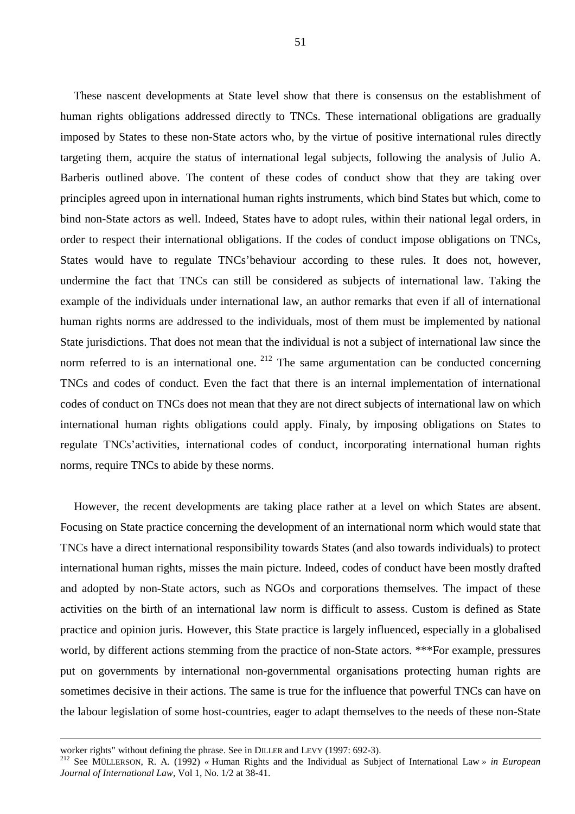These nascent developments at State level show that there is consensus on the establishment of human rights obligations addressed directly to TNCs. These international obligations are gradually imposed by States to these non-State actors who, by the virtue of positive international rules directly targeting them, acquire the status of international legal subjects, following the analysis of Julio A. Barberis outlined above. The content of these codes of conduct show that they are taking over principles agreed upon in international human rights instruments, which bind States but which, come to bind non-State actors as well. Indeed, States have to adopt rules, within their national legal orders, in order to respect their international obligations. If the codes of conduct impose obligations on TNCs, States would have to regulate TNCs'behaviour according to these rules. It does not, however, undermine the fact that TNCs can still be considered as subjects of international law. Taking the example of the individuals under international law, an author remarks that even if all of international human rights norms are addressed to the individuals, most of them must be implemented by national State jurisdictions. That does not mean that the individual is not a subject of international law since the norm referred to is an international one.  $212$  The same argumentation can be conducted concerning TNCs and codes of conduct. Even the fact that there is an internal implementation of international codes of conduct on TNCs does not mean that they are not direct subjects of international law on which international human rights obligations could apply. Finaly, by imposing obligations on States to regulate TNCs'activities, international codes of conduct, incorporating international human rights norms, require TNCs to abide by these norms.

However, the recent developments are taking place rather at a level on which States are absent. Focusing on State practice concerning the development of an international norm which would state that TNCs have a direct international responsibility towards States (and also towards individuals) to protect international human rights, misses the main picture. Indeed, codes of conduct have been mostly drafted and adopted by non-State actors, such as NGOs and corporations themselves. The impact of these activities on the birth of an international law norm is difficult to assess. Custom is defined as State practice and opinion juris. However, this State practice is largely influenced, especially in a globalised world, by different actions stemming from the practice of non-State actors. \*\*\*For example, pressures put on governments by international non-governmental organisations protecting human rights are sometimes decisive in their actions. The same is true for the influence that powerful TNCs can have on the labour legislation of some host-countries, eager to adapt themselves to the needs of these non-State

worker rights" without defining the phrase. See in DILLER and LEVY (1997: 692-3). 212 See MÜLLERSON, R. A. (1992) *«* Human Rights and the Individual as Subject of International Law *» in European Journal of International Law*, Vol 1, No. 1/2 at 38-41.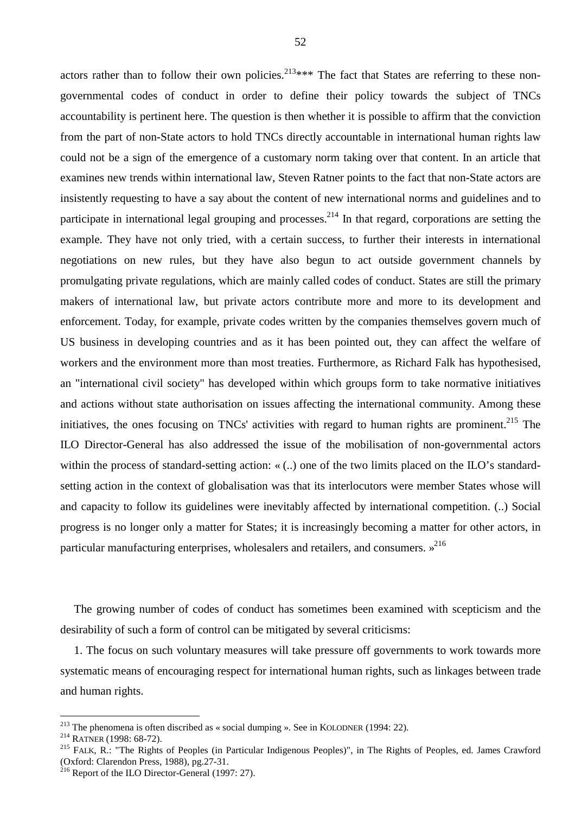actors rather than to follow their own policies.<sup>213\*\*\*</sup> The fact that States are referring to these nongovernmental codes of conduct in order to define their policy towards the subject of TNCs accountability is pertinent here. The question is then whether it is possible to affirm that the conviction from the part of non-State actors to hold TNCs directly accountable in international human rights law could not be a sign of the emergence of a customary norm taking over that content. In an article that examines new trends within international law, Steven Ratner points to the fact that non-State actors are insistently requesting to have a say about the content of new international norms and guidelines and to participate in international legal grouping and processes.<sup>214</sup> In that regard, corporations are setting the example. They have not only tried, with a certain success, to further their interests in international negotiations on new rules, but they have also begun to act outside government channels by promulgating private regulations, which are mainly called codes of conduct. States are still the primary makers of international law, but private actors contribute more and more to its development and enforcement. Today, for example, private codes written by the companies themselves govern much of US business in developing countries and as it has been pointed out, they can affect the welfare of workers and the environment more than most treaties. Furthermore, as Richard Falk has hypothesised, an "international civil society" has developed within which groups form to take normative initiatives and actions without state authorisation on issues affecting the international community. Among these initiatives, the ones focusing on TNCs' activities with regard to human rights are prominent.<sup>215</sup> The ILO Director-General has also addressed the issue of the mobilisation of non-governmental actors within the process of standard-setting action: «(..) one of the two limits placed on the ILO's standardsetting action in the context of globalisation was that its interlocutors were member States whose will and capacity to follow its guidelines were inevitably affected by international competition. (..) Social progress is no longer only a matter for States; it is increasingly becoming a matter for other actors, in particular manufacturing enterprises, wholesalers and retailers, and consumers.  $v^{216}$ 

The growing number of codes of conduct has sometimes been examined with scepticism and the desirability of such a form of control can be mitigated by several criticisms:

1. The focus on such voluntary measures will take pressure off governments to work towards more systematic means of encouraging respect for international human rights, such as linkages between trade and human rights.

 $213$  The phenomena is often discribed as « social dumping ». See in KOLODNER (1994: 22).

<sup>&</sup>lt;sup>214</sup> RATNER (1998: 68-72).<br><sup>215</sup> FALK, R.: "The Rights of Peoples (in Particular Indigenous Peoples)", in The Rights of Peoples, ed. James Crawford (Oxford: Clarendon Press, 1988), pg.27-31.

 $^{216}$  Report of the ILO Director-General (1997: 27).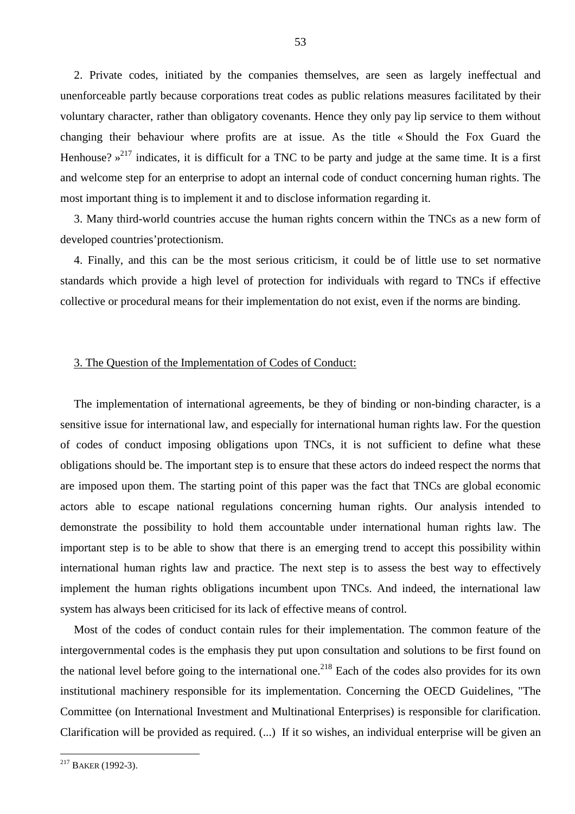2. Private codes, initiated by the companies themselves, are seen as largely ineffectual and unenforceable partly because corporations treat codes as public relations measures facilitated by their voluntary character, rather than obligatory covenants. Hence they only pay lip service to them without changing their behaviour where profits are at issue. As the title « Should the Fox Guard the Henhouse?  $\mu^{217}$  indicates, it is difficult for a TNC to be party and judge at the same time. It is a first and welcome step for an enterprise to adopt an internal code of conduct concerning human rights. The most important thing is to implement it and to disclose information regarding it.

3. Many third-world countries accuse the human rights concern within the TNCs as a new form of developed countries'protectionism.

4. Finally, and this can be the most serious criticism, it could be of little use to set normative standards which provide a high level of protection for individuals with regard to TNCs if effective collective or procedural means for their implementation do not exist, even if the norms are binding.

#### 3. The Question of the Implementation of Codes of Conduct:

The implementation of international agreements, be they of binding or non-binding character, is a sensitive issue for international law, and especially for international human rights law. For the question of codes of conduct imposing obligations upon TNCs, it is not sufficient to define what these obligations should be. The important step is to ensure that these actors do indeed respect the norms that are imposed upon them. The starting point of this paper was the fact that TNCs are global economic actors able to escape national regulations concerning human rights. Our analysis intended to demonstrate the possibility to hold them accountable under international human rights law. The important step is to be able to show that there is an emerging trend to accept this possibility within international human rights law and practice. The next step is to assess the best way to effectively implement the human rights obligations incumbent upon TNCs. And indeed, the international law system has always been criticised for its lack of effective means of control.

Most of the codes of conduct contain rules for their implementation. The common feature of the intergovernmental codes is the emphasis they put upon consultation and solutions to be first found on the national level before going to the international one.<sup>218</sup> Each of the codes also provides for its own institutional machinery responsible for its implementation. Concerning the OECD Guidelines, "The Committee (on International Investment and Multinational Enterprises) is responsible for clarification. Clarification will be provided as required. (...) If it so wishes, an individual enterprise will be given an

 $217$  BAKER (1992-3).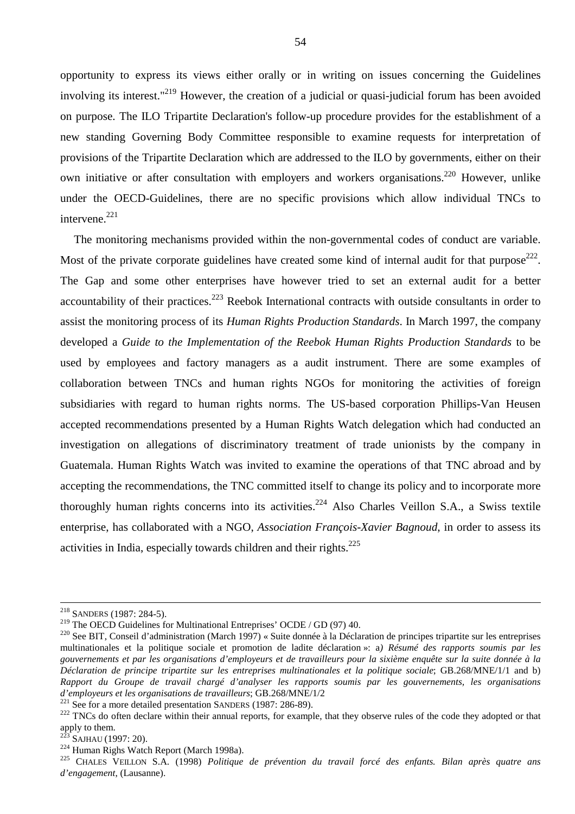opportunity to express its views either orally or in writing on issues concerning the Guidelines involving its interest."<sup>219</sup> However, the creation of a judicial or quasi-judicial forum has been avoided on purpose. The ILO Tripartite Declaration's follow-up procedure provides for the establishment of a new standing Governing Body Committee responsible to examine requests for interpretation of provisions of the Tripartite Declaration which are addressed to the ILO by governments, either on their own initiative or after consultation with employers and workers organisations.<sup>220</sup> However, unlike under the OECD-Guidelines, there are no specific provisions which allow individual TNCs to intervene. $^{221}$ 

The monitoring mechanisms provided within the non-governmental codes of conduct are variable. Most of the private corporate guidelines have created some kind of internal audit for that purpose<sup>222</sup>. The Gap and some other enterprises have however tried to set an external audit for a better accountability of their practices.<sup>223</sup> Reebok International contracts with outside consultants in order to assist the monitoring process of its *Human Rights Production Standards*. In March 1997, the company developed a *Guide to the Implementation of the Reebok Human Rights Production Standards* to be used by employees and factory managers as a audit instrument. There are some examples of collaboration between TNCs and human rights NGOs for monitoring the activities of foreign subsidiaries with regard to human rights norms. The US-based corporation Phillips-Van Heusen accepted recommendations presented by a Human Rights Watch delegation which had conducted an investigation on allegations of discriminatory treatment of trade unionists by the company in Guatemala. Human Rights Watch was invited to examine the operations of that TNC abroad and by accepting the recommendations, the TNC committed itself to change its policy and to incorporate more thoroughly human rights concerns into its activities.<sup>224</sup> Also Charles Veillon S.A., a Swiss textile enterprise, has collaborated with a NGO, *Association François-Xavier Bagnoud*, in order to assess its activities in India, especially towards children and their rights.<sup>225</sup>

<sup>&</sup>lt;sup>218</sup> SANDERS (1987: 284-5).<br><sup>219</sup> The OECD Guidelines for Multinational Entreprises' OCDE / GD (97) 40.

<sup>&</sup>lt;sup>220</sup> See BIT, Conseil d'administration (March 1997) « Suite donnée à la Déclaration de principes tripartite sur les entreprises multinationales et la politique sociale et promotion de ladite déclaration »: a*) Résumé des rapports soumis par les gouvernements et par les organisations d'employeurs et de travailleurs pour la sixième enquête sur la suite donnée à la Déclaration de principe tripartite sur les entreprises multinationales et la politique sociale*; GB.268/MNE/1/1 and b) *Rapport du Groupe de travail chargé d'analyser les rapports soumis par les gouvernements, les organisations*  d'employeurs et les organisations de travailleurs; GB.268/MNE/1/2<br><sup>221</sup> See for a more detailed presentation SANDERS (1987: 286-89).<br><sup>222</sup> TNCs do often declare within their annual reports, for example, that they observe r

apply to them.

<sup>&</sup>lt;sup>223</sup> SAJHAU (1997: 20).<br><sup>224</sup> Human Righs Watch Report (March 1998a).<br><sup>225</sup> CHALES VEILLON S.A. (1998) *Politique de prévention du travail forcé des enfants. Bilan après quatre ans d'engagement*, (Lausanne).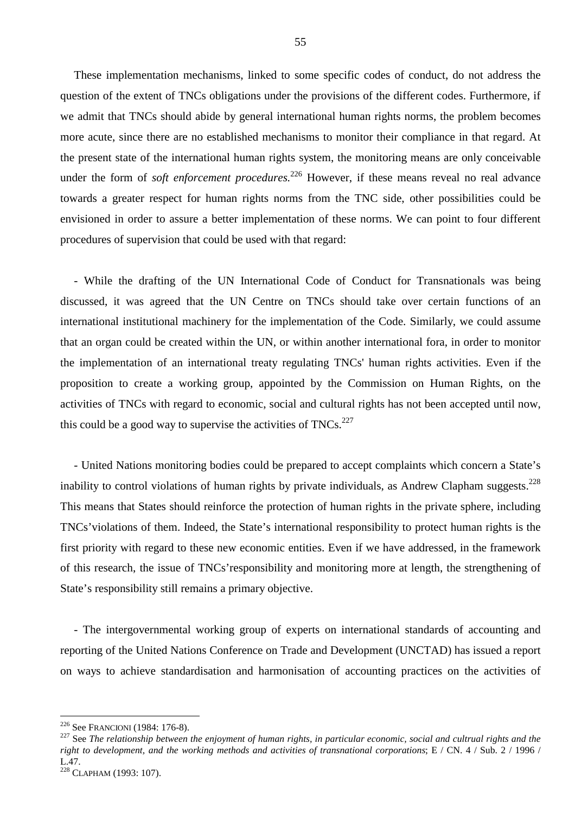These implementation mechanisms, linked to some specific codes of conduct, do not address the question of the extent of TNCs obligations under the provisions of the different codes. Furthermore, if we admit that TNCs should abide by general international human rights norms, the problem becomes more acute, since there are no established mechanisms to monitor their compliance in that regard. At the present state of the international human rights system, the monitoring means are only conceivable under the form of *soft enforcement procedures.*<sup>226</sup> However, if these means reveal no real advance towards a greater respect for human rights norms from the TNC side, other possibilities could be envisioned in order to assure a better implementation of these norms. We can point to four different procedures of supervision that could be used with that regard:

- While the drafting of the UN International Code of Conduct for Transnationals was being discussed, it was agreed that the UN Centre on TNCs should take over certain functions of an international institutional machinery for the implementation of the Code. Similarly, we could assume that an organ could be created within the UN, or within another international fora, in order to monitor the implementation of an international treaty regulating TNCs' human rights activities. Even if the proposition to create a working group, appointed by the Commission on Human Rights, on the activities of TNCs with regard to economic, social and cultural rights has not been accepted until now, this could be a good way to supervise the activities of  $TNCs$ <sup>227</sup>

- United Nations monitoring bodies could be prepared to accept complaints which concern a State's inability to control violations of human rights by private individuals, as Andrew Clapham suggests.<sup>228</sup> This means that States should reinforce the protection of human rights in the private sphere, including TNCs'violations of them. Indeed, the State's international responsibility to protect human rights is the first priority with regard to these new economic entities. Even if we have addressed, in the framework of this research, the issue of TNCs'responsibility and monitoring more at length, the strengthening of State's responsibility still remains a primary objective.

- The intergovernmental working group of experts on international standards of accounting and reporting of the United Nations Conference on Trade and Development (UNCTAD) has issued a report on ways to achieve standardisation and harmonisation of accounting practices on the activities of

 $226$  See FRANCIONI (1984: 176-8).

<sup>&</sup>lt;sup>227</sup> See The relationship between the enjoyment of human rights, in particular economic, social and cultrual rights and the *right to development, and the working methods and activities of transnational corporations*; E / CN. 4 / Sub. 2 / 1996 / L.47.

<sup>228</sup> CLAPHAM (1993: 107).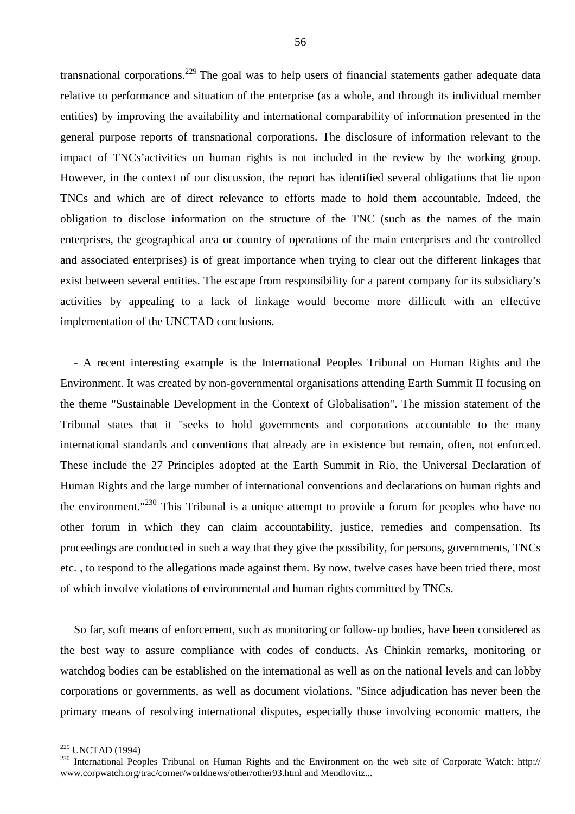transnational corporations.229 The goal was to help users of financial statements gather adequate data relative to performance and situation of the enterprise (as a whole, and through its individual member entities) by improving the availability and international comparability of information presented in the general purpose reports of transnational corporations. The disclosure of information relevant to the impact of TNCs'activities on human rights is not included in the review by the working group. However, in the context of our discussion, the report has identified several obligations that lie upon TNCs and which are of direct relevance to efforts made to hold them accountable. Indeed, the obligation to disclose information on the structure of the TNC (such as the names of the main enterprises, the geographical area or country of operations of the main enterprises and the controlled and associated enterprises) is of great importance when trying to clear out the different linkages that exist between several entities. The escape from responsibility for a parent company for its subsidiary's activities by appealing to a lack of linkage would become more difficult with an effective implementation of the UNCTAD conclusions.

- A recent interesting example is the International Peoples Tribunal on Human Rights and the Environment. It was created by non-governmental organisations attending Earth Summit II focusing on the theme "Sustainable Development in the Context of Globalisation". The mission statement of the Tribunal states that it "seeks to hold governments and corporations accountable to the many international standards and conventions that already are in existence but remain, often, not enforced. These include the 27 Principles adopted at the Earth Summit in Rio, the Universal Declaration of Human Rights and the large number of international conventions and declarations on human rights and the environment."<sup>230</sup> This Tribunal is a unique attempt to provide a forum for peoples who have no other forum in which they can claim accountability, justice, remedies and compensation. Its proceedings are conducted in such a way that they give the possibility, for persons, governments, TNCs etc. , to respond to the allegations made against them. By now, twelve cases have been tried there, most of which involve violations of environmental and human rights committed by TNCs.

So far, soft means of enforcement, such as monitoring or follow-up bodies, have been considered as the best way to assure compliance with codes of conducts. As Chinkin remarks, monitoring or watchdog bodies can be established on the international as well as on the national levels and can lobby corporations or governments, as well as document violations. "Since adjudication has never been the primary means of resolving international disputes, especially those involving economic matters, the

<sup>&</sup>lt;sup>229</sup> UNCTAD (1994)

<sup>&</sup>lt;sup>230</sup> International Peoples Tribunal on Human Rights and the Environment on the web site of Corporate Watch: http:// www.corpwatch.org/trac/corner/worldnews/other/other93.html and Mendlovitz...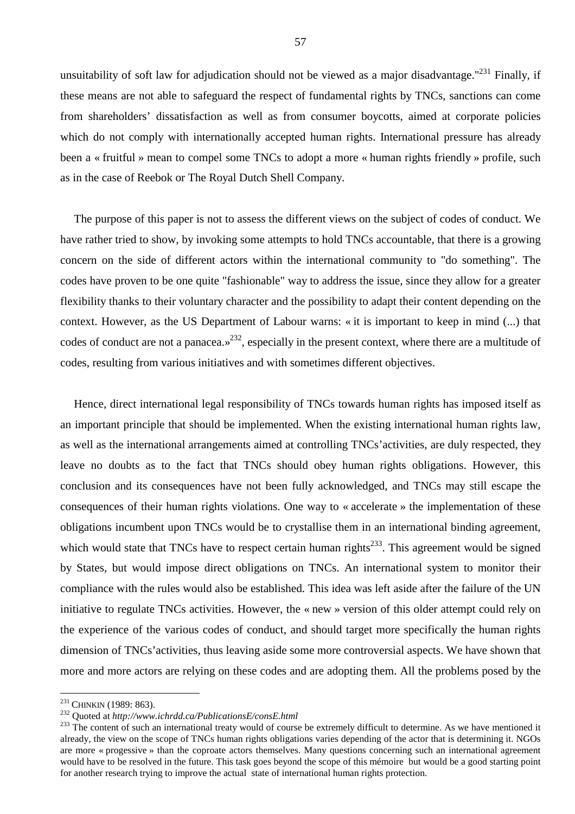unsuitability of soft law for adjudication should not be viewed as a major disadvantage."<sup>231</sup> Finally, if these means are not able to safeguard the respect of fundamental rights by TNCs, sanctions can come from shareholders' dissatisfaction as well as from consumer boycotts, aimed at corporate policies which do not comply with internationally accepted human rights. International pressure has already been a « fruitful » mean to compel some TNCs to adopt a more « human rights friendly » profile, such as in the case of Reebok or The Royal Dutch Shell Company.

The purpose of this paper is not to assess the different views on the subject of codes of conduct. We have rather tried to show, by invoking some attempts to hold TNCs accountable, that there is a growing concern on the side of different actors within the international community to "do something". The codes have proven to be one quite "fashionable" way to address the issue, since they allow for a greater flexibility thanks to their voluntary character and the possibility to adapt their content depending on the context. However, as the US Department of Labour warns: « it is important to keep in mind (...) that codes of conduct are not a panacea.»<sup>232</sup>, especially in the present context, where there are a multitude of codes, resulting from various initiatives and with sometimes different objectives.

Hence, direct international legal responsibility of TNCs towards human rights has imposed itself as an important principle that should be implemented. When the existing international human rights law, as well as the international arrangements aimed at controlling TNCs'activities, are duly respected, they leave no doubts as to the fact that TNCs should obey human rights obligations. However, this conclusion and its consequences have not been fully acknowledged, and TNCs may still escape the consequences of their human rights violations. One way to « accelerate » the implementation of these obligations incumbent upon TNCs would be to crystallise them in an international binding agreement, which would state that TNCs have to respect certain human rights<sup> $233$ </sup>. This agreement would be signed by States, but would impose direct obligations on TNCs. An international system to monitor their compliance with the rules would also be established. This idea was left aside after the failure of the UN initiative to regulate TNCs activities. However, the « new » version of this older attempt could rely on the experience of the various codes of conduct, and should target more specifically the human rights dimension of TNCs'activities, thus leaving aside some more controversial aspects. We have shown that more and more actors are relying on these codes and are adopting them. All the problems posed by the

<sup>&</sup>lt;sup>231</sup> CHINKIN (1989: 863).<br><sup>232</sup> Ouoted at *http://www.ichrdd.ca/PublicationsE/consE.html* 

<sup>&</sup>lt;sup>233</sup> The content of such an international treaty would of course be extremely difficult to determine. As we have mentioned it already, the view on the scope of TNCs human rights obligations varies depending of the actor that is determining it. NGOs are more « progessive » than the coproate actors themselves. Many questions concerning such an international agreement would have to be resolved in the future. This task goes beyond the scope of this mémoire but would be a good starting point for another research trying to improve the actual state of international human rights protection.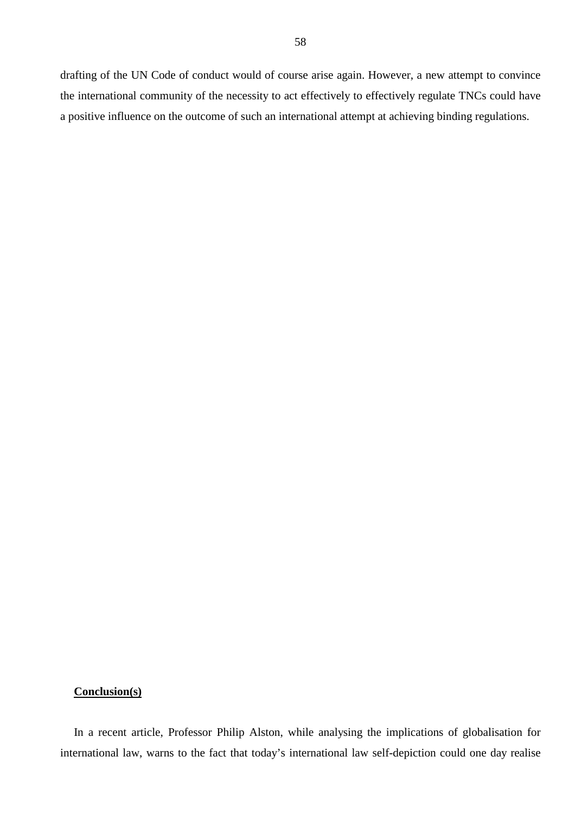drafting of the UN Code of conduct would of course arise again. However, a new attempt to convince the international community of the necessity to act effectively to effectively regulate TNCs could have a positive influence on the outcome of such an international attempt at achieving binding regulations.

### **Conclusion(s)**

In a recent article, Professor Philip Alston, while analysing the implications of globalisation for international law, warns to the fact that today's international law self-depiction could one day realise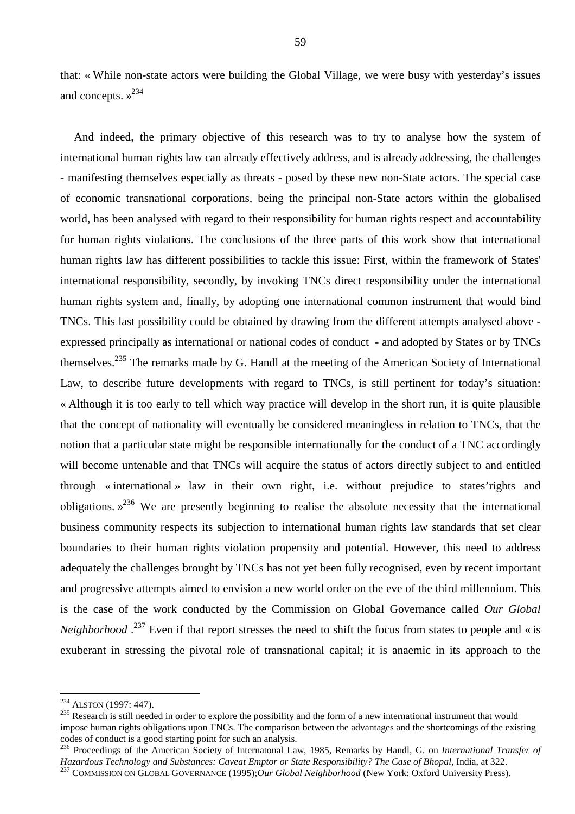that: « While non-state actors were building the Global Village, we were busy with yesterday's issues and concepts.  $\frac{234}{2}$ 

And indeed, the primary objective of this research was to try to analyse how the system of international human rights law can already effectively address, and is already addressing, the challenges - manifesting themselves especially as threats - posed by these new non-State actors. The special case of economic transnational corporations, being the principal non-State actors within the globalised world, has been analysed with regard to their responsibility for human rights respect and accountability for human rights violations. The conclusions of the three parts of this work show that international human rights law has different possibilities to tackle this issue: First, within the framework of States' international responsibility, secondly, by invoking TNCs direct responsibility under the international human rights system and, finally, by adopting one international common instrument that would bind TNCs. This last possibility could be obtained by drawing from the different attempts analysed above expressed principally as international or national codes of conduct - and adopted by States or by TNCs themselves.<sup>235</sup> The remarks made by G. Handl at the meeting of the American Society of International Law, to describe future developments with regard to TNCs, is still pertinent for today's situation: « Although it is too early to tell which way practice will develop in the short run, it is quite plausible that the concept of nationality will eventually be considered meaningless in relation to TNCs, that the notion that a particular state might be responsible internationally for the conduct of a TNC accordingly will become untenable and that TNCs will acquire the status of actors directly subject to and entitled through « international » law in their own right, i.e. without prejudice to states'rights and obligations. »236 We are presently beginning to realise the absolute necessity that the international business community respects its subjection to international human rights law standards that set clear boundaries to their human rights violation propensity and potential. However, this need to address adequately the challenges brought by TNCs has not yet been fully recognised, even by recent important and progressive attempts aimed to envision a new world order on the eve of the third millennium. This is the case of the work conducted by the Commission on Global Governance called *Our Global Neighborhood*.<sup>237</sup> Even if that report stresses the need to shift the focus from states to people and « is exuberant in stressing the pivotal role of transnational capital; it is anaemic in its approach to the

<sup>&</sup>lt;sup>234</sup> ALSTON (1997: 447).<br><sup>235</sup> Research is still needed in order to explore the possibility and the form of a new international instrument that would impose human rights obligations upon TNCs. The comparison between the advantages and the shortcomings of the existing codes of conduct is a good starting point for such an analysis.

<sup>236</sup> Proceedings of the American Society of Internatonal Law, 1985, Remarks by Handl, G. on *International Transfer of*  Hazardous Technology and Substances: Caveat Emptor or State Responsibility? The Case of Bhopal, India, at 322.<br><sup>237</sup> COMMISSION ON GLOBAL GOVERNANCE (1995);Our Global Neighborhood (New York: Oxford University Press).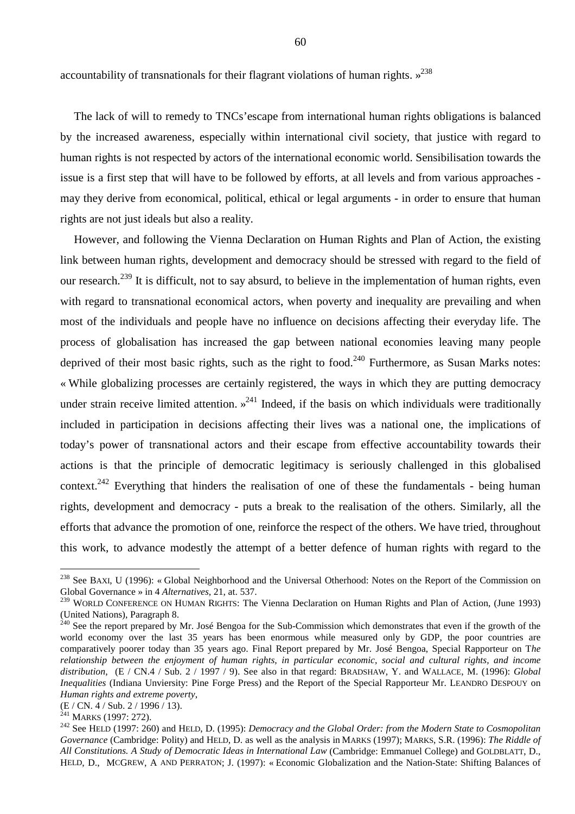accountability of transnationals for their flagrant violations of human rights.  $\frac{238}{9}$ 

The lack of will to remedy to TNCs'escape from international human rights obligations is balanced by the increased awareness, especially within international civil society, that justice with regard to human rights is not respected by actors of the international economic world. Sensibilisation towards the issue is a first step that will have to be followed by efforts, at all levels and from various approaches may they derive from economical, political, ethical or legal arguments - in order to ensure that human rights are not just ideals but also a reality.

However, and following the Vienna Declaration on Human Rights and Plan of Action, the existing link between human rights, development and democracy should be stressed with regard to the field of our research.<sup>239</sup> It is difficult, not to say absurd, to believe in the implementation of human rights, even with regard to transnational economical actors, when poverty and inequality are prevailing and when most of the individuals and people have no influence on decisions affecting their everyday life. The process of globalisation has increased the gap between national economies leaving many people deprived of their most basic rights, such as the right to food.<sup>240</sup> Furthermore, as Susan Marks notes: « While globalizing processes are certainly registered, the ways in which they are putting democracy under strain receive limited attention.  $x^{241}$  Indeed, if the basis on which individuals were traditionally included in participation in decisions affecting their lives was a national one, the implications of today's power of transnational actors and their escape from effective accountability towards their actions is that the principle of democratic legitimacy is seriously challenged in this globalised context.<sup>242</sup> Everything that hinders the realisation of one of these the fundamentals - being human rights, development and democracy - puts a break to the realisation of the others. Similarly, all the efforts that advance the promotion of one, reinforce the respect of the others. We have tried, throughout this work, to advance modestly the attempt of a better defence of human rights with regard to the

<sup>&</sup>lt;sup>238</sup> See BAXI, U (1996): «Global Neighborhood and the Universal Otherhood: Notes on the Report of the Commission on Global Governance » in 4 *Alternatives*, 21, at. 537.

<sup>239</sup> WORLD CONFERENCE ON HUMAN RIGHTS: The Vienna Declaration on Human Rights and Plan of Action, (June 1993) (United Nations), Paragraph 8.

<sup>&</sup>lt;sup>240</sup> See the report prepared by Mr. José Bengoa for the Sub-Commission which demonstrates that even if the growth of the world economy over the last 35 years has been enormous while measured only by GDP, the poor countries are comparatively poorer today than 35 years ago. Final Report prepared by Mr. José Bengoa, Special Rapporteur on T*he relationship between the enjoyment of human rights, in particular economic, social and cultural rights, and income distribution*, (E / CN.4 / Sub. 2 / 1997 / 9). See also in that regard: BRADSHAW, Y. and WALLACE, M. (1996): *Global Inequalities* (Indiana Unviersity: Pine Forge Press) and the Report of the Special Rapporteur Mr. LEANDRO DESPOUY on *Human rights and extreme poverty*,

<sup>(</sup>E / CN. 4 / Sub. 2 / 1996 / 13).<br><sup>241</sup> MARKS (1997: 272).

<sup>&</sup>lt;sup>242</sup> See HELD (1997: 260) and HELD, D. (1995): *Democracy and the Global Order: from the Modern State to Cosmopolitan Governance* (Cambridge: Polity) and HELD, D. as well as the analysis in MARKS (1997); MARKS, S.R. (1996): *The Riddle of All Constitutions. A Study of Democratic Ideas in International Law* (Cambridge: Emmanuel College) and GOLDBLATT, D., HELD, D., MCGREW, A AND PERRATON; J. (1997): « Economic Globalization and the Nation-State: Shifting Balances of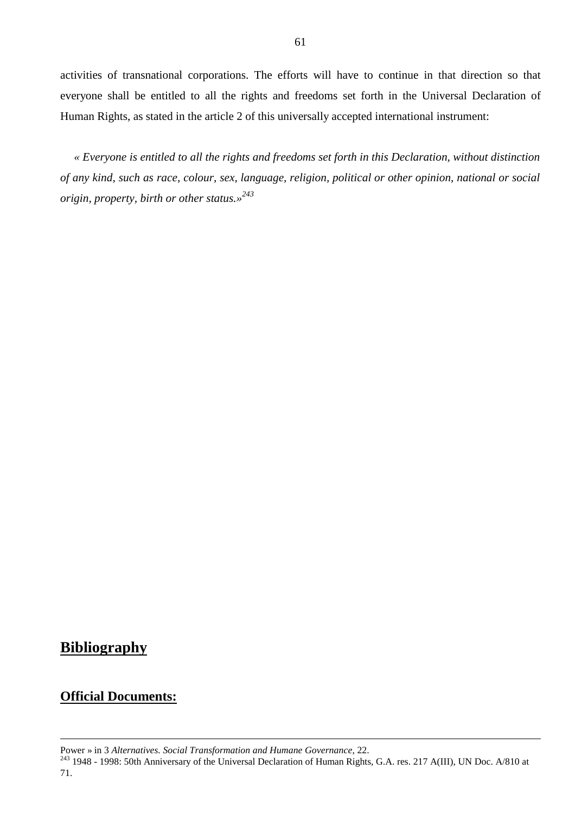activities of transnational corporations. The efforts will have to continue in that direction so that everyone shall be entitled to all the rights and freedoms set forth in the Universal Declaration of Human Rights, as stated in the article 2 of this universally accepted international instrument:

*« Everyone is entitled to all the rights and freedoms set forth in this Declaration, without distinction of any kind, such as race, colour, sex, language, religion, political or other opinion, national or social origin, property, birth or other status.»<sup>243</sup>*

## **Bibliography**

## **Official Documents:**

 $\overline{a}$ 

Power » in 3 *Alternatives. Social Transformation and Humane Governance*, 22.<br><sup>243</sup> 1948 - 1998: 50th Anniversary of the Universal Declaration of Human Rights, G.A. res. 217 A(III), UN Doc. A/810 at 71.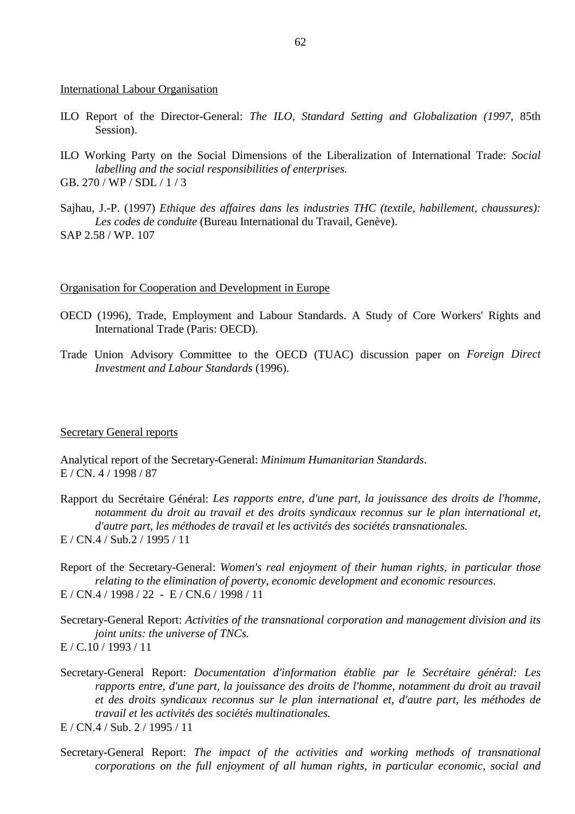#### International Labour Organisation

- ILO Report of the Director-General: *The ILO, Standard Setting and Globalization (1997,* 85th Session).
- ILO Working Party on the Social Dimensions of the Liberalization of International Trade: *Social labelling and the social responsibilities of enterprises.* GB. 270 / WP / SDL / 1 / 3
- 
- Sajhau, J.-P. (1997) *Ethique des affaires dans les industries THC (textile, habillement, chaussures): Les codes de conduite* (Bureau International du Travail, Genève). SAP 2.58 / WP. 107

#### Organisation for Cooperation and Development in Europe

- OECD (1996), Trade, Employment and Labour Standards. A Study of Core Workers' Rights and International Trade (Paris: OECD).
- Trade Union Advisory Committee to the OECD (TUAC) discussion paper on *Foreign Direct Investment and Labour Standards* (1996).

#### Secretary General reports

Analytical report of the Secretary-General: *Minimum Humanitarian Standards*. E / CN. 4 / 1998 / 87

Rapport du Secrétaire Général: *Les rapports entre, d'une part, la jouissance des droits de l'homme, notamment du droit au travail et des droits syndicaux reconnus sur le plan international et, d'autre part, les méthodes de travail et les activités des sociétés transnationales.* E / CN.4 / Sub.2 / 1995 / 11

Report of the Secretary-General: *Women's real enjoyment of their human rights, in particular those relating to the elimination of poverty, economic development and economic resources.* E / CN.4 / 1998 / 22 - E / CN.6 / 1998 / 11

Secretary-General Report: *Activities of the transnational corporation and management division and its joint units: the universe of TNCs.* E / C.10 / 1993 / 11

Secretary-General Report: *Documentation d'information établie par le Secrétaire général: Les rapports entre, d'une part, la jouissance des droits de l'homme, notamment du droit au travail et des droits syndicaux reconnus sur le plan international et, d'autre part, les méthodes de travail et les activités des sociétés multinationales.*

E / CN.4 / Sub. 2 / 1995 / 11

Secretary-General Report: *The impact of the activities and working methods of transnational corporations on the full enjoyment of all human rights, in particular economic, social and*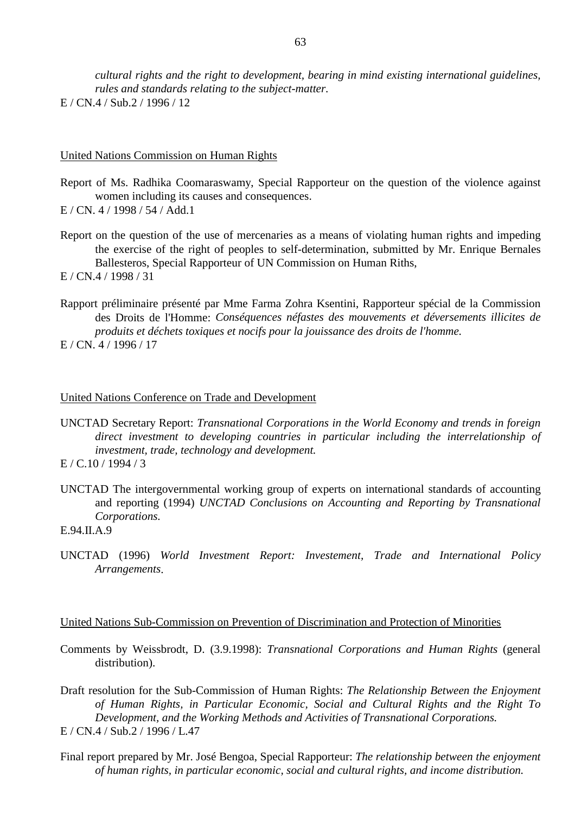*cultural rights and the right to development, bearing in mind existing international guidelines, rules and standards relating to the subject-matter.*  $E / CN.4 / Sub.2 / 1996 / 12$ 

#### United Nations Commission on Human Rights

- Report of Ms. Radhika Coomaraswamy, Special Rapporteur on the question of the violence against women including its causes and consequences.
- E / CN. 4 / 1998 / 54 / Add.1
- Report on the question of the use of mercenaries as a means of violating human rights and impeding the exercise of the right of peoples to self-determination, submitted by Mr. Enrique Bernales Ballesteros, Special Rapporteur of UN Commission on Human Riths,
- E / CN.4 / 1998 / 31
- Rapport préliminaire présenté par Mme Farma Zohra Ksentini, Rapporteur spécial de la Commission des Droits de l'Homme: *Conséquences néfastes des mouvements et déversements illicites de produits et déchets toxiques et nocifs pour la jouissance des droits de l'homme.* E / CN. 4 / 1996 / 17

#### United Nations Conference on Trade and Development

- UNCTAD Secretary Report: *Transnational Corporations in the World Economy and trends in foreign direct investment to developing countries in particular including the interrelationship of investment, trade, technology and development.*  $E / C.10 / 1994 / 3$
- UNCTAD The intergovernmental working group of experts on international standards of accounting and reporting (1994) *UNCTAD Conclusions on Accounting and Reporting by Transnational Corporations.*

UNCTAD (1996) *World Investment Report: Investement, Trade and International Policy Arrangements*.

#### United Nations Sub-Commission on Prevention of Discrimination and Protection of Minorities

Comments by Weissbrodt, D. (3.9.1998): *Transnational Corporations and Human Rights* (general distribution).

Draft resolution for the Sub-Commission of Human Rights: *The Relationship Between the Enjoyment of Human Rights, in Particular Economic, Social and Cultural Rights and the Right To Development, and the Working Methods and Activities of Transnational Corporations.* E / CN.4 / Sub.2 / 1996 / L.47

Final report prepared by Mr. José Bengoa, Special Rapporteur: *The relationship between the enjoyment of human rights, in particular economic, social and cultural rights, and income distribution.*

E.94.II.A.9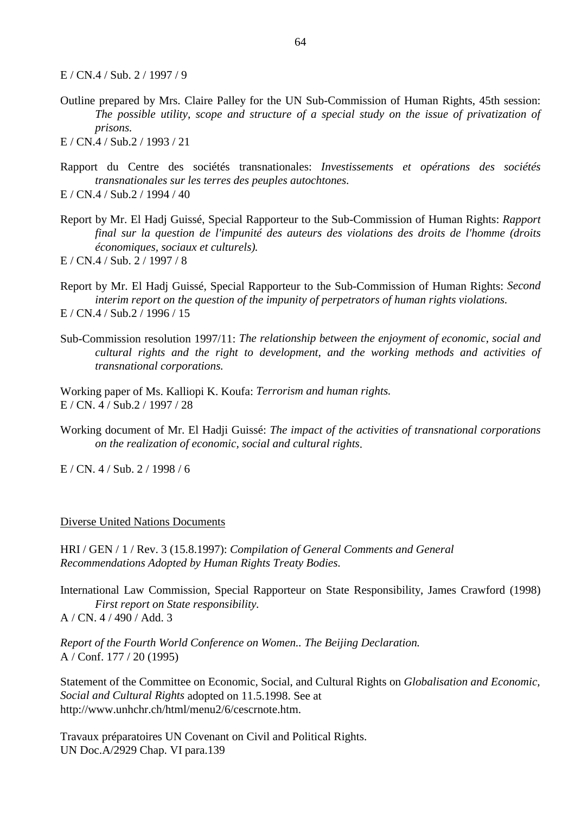E / CN.4 / Sub. 2 / 1997 / 9

Outline prepared by Mrs. Claire Palley for the UN Sub-Commission of Human Rights, 45th session: *The possible utility, scope and structure of a special study on the issue of privatization of prisons.*

E / CN.4 / Sub.2 / 1993 / 21

- Rapport du Centre des sociétés transnationales: *Investissements et opérations des sociétés transnationales sur les terres des peuples autochtones.* E / CN.4 / Sub.2 / 1994 / 40
- Report by Mr. El Hadj Guissé, Special Rapporteur to the Sub-Commission of Human Rights: *Rapport final sur la question de l'impunité des auteurs des violations des droits de l'homme (droits économiques, sociaux et culturels).*
- E / CN.4 / Sub. 2 / 1997 / 8
- Report by Mr. El Hadj Guissé, Special Rapporteur to the Sub-Commission of Human Rights: *Second interim report on the question of the impunity of perpetrators of human rights violations.* E / CN.4 / Sub.2 / 1996 / 15
- Sub-Commission resolution 1997/11: *The relationship between the enjoyment of economic, social and cultural rights and the right to development, and the working methods and activities of transnational corporations.*

Working paper of Ms. Kalliopi K. Koufa: *Terrorism and human rights.* E / CN. 4 / Sub.2 / 1997 / 28

Working document of Mr. El Hadji Guissé: *The impact of the activities of transnational corporations on the realization of economic, social and cultural rights*.

 $E / CN. 4 / Sub. 2 / 1998 / 6$ 

#### Diverse United Nations Documents

HRI / GEN / 1 / Rev. 3 (15.8.1997): *Compilation of General Comments and General Recommendations Adopted by Human Rights Treaty Bodies.* 

International Law Commission, Special Rapporteur on State Responsibility, James Crawford (1998) *First report on State responsibility.* A / CN. 4 / 490 / Add. 3

*Report of the Fourth World Conference on Women.. The Beijing Declaration.* A / Conf. 177 / 20 (1995)

Statement of the Committee on Economic, Social, and Cultural Rights on *Globalisation and Economic, Social and Cultural Rights* adopted on 11.5.1998. See at http://www.unhchr.ch/html/menu2/6/cescrnote.htm.

Travaux préparatoires UN Covenant on Civil and Political Rights. UN Doc.A/2929 Chap. VI para.139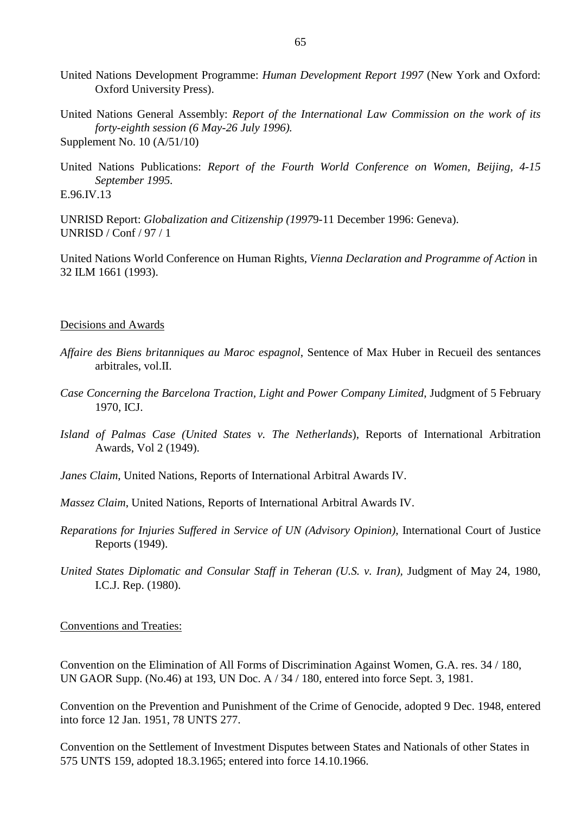- United Nations Development Programme: *Human Development Report 1997* (New York and Oxford: Oxford University Press).
- United Nations General Assembly: *Report of the International Law Commission on the work of its forty-eighth session (6 May-26 July 1996).* Supplement No. 10 (A/51/10)
- United Nations Publications: *Report of the Fourth World Conference on Women, Beijing, 4-15 September 1995.* E.96.IV.13

UNRISD Report: *Globalization and Citizenship (1997*9-11 December 1996: Geneva). UNRISD / Conf / 97 / 1

United Nations World Conference on Human Rights, *Vienna Declaration and Programme of Action* in 32 ILM 1661 (1993).

#### Decisions and Awards

- *Affaire des Biens britanniques au Maroc espagnol*, Sentence of Max Huber in Recueil des sentances arbitrales, vol.II.
- *Case Concerning the Barcelona Traction, Light and Power Company Limited*, Judgment of 5 February 1970, ICJ.
- *Island of Palmas Case (United States v. The Netherlands*), Reports of International Arbitration Awards, Vol 2 (1949).

*Janes Claim*, United Nations, Reports of International Arbitral Awards IV.

- *Massez Claim*, United Nations, Reports of International Arbitral Awards IV.
- *Reparations for Injuries Suffered in Service of UN (Advisory Opinion)*, International Court of Justice Reports (1949).
- *United States Diplomatic and Consular Staff in Teheran (U.S. v. Iran),* Judgment of May 24, 1980, I.C.J. Rep. (1980).

#### Conventions and Treaties:

Convention on the Elimination of All Forms of Discrimination Against Women, G.A. res. 34 / 180, UN GAOR Supp. (No.46) at 193, UN Doc. A / 34 / 180, entered into force Sept. 3, 1981.

Convention on the Prevention and Punishment of the Crime of Genocide, adopted 9 Dec. 1948, entered into force 12 Jan. 1951, 78 UNTS 277.

Convention on the Settlement of Investment Disputes between States and Nationals of other States in 575 UNTS 159, adopted 18.3.1965; entered into force 14.10.1966.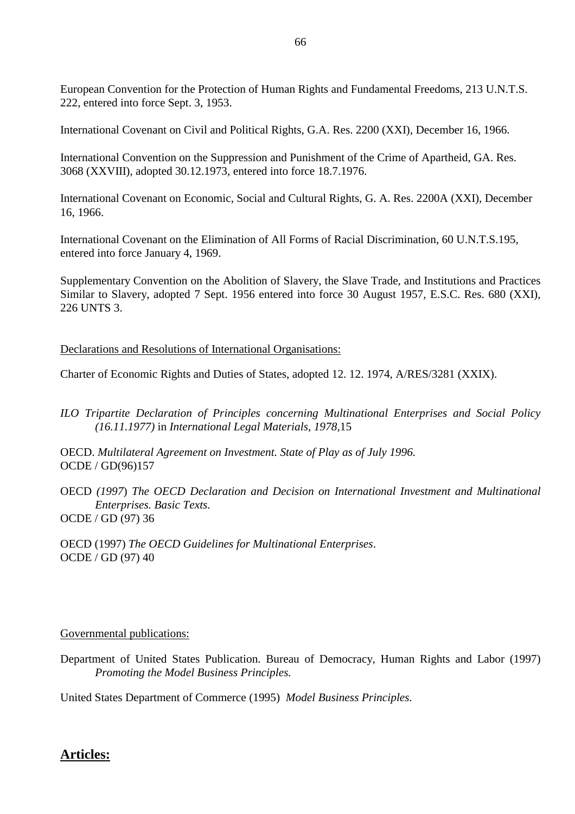European Convention for the Protection of Human Rights and Fundamental Freedoms, 213 U.N.T.S. 222, entered into force Sept. 3, 1953.

International Covenant on Civil and Political Rights, G.A. Res. 2200 (XXI), December 16, 1966.

International Convention on the Suppression and Punishment of the Crime of Apartheid, GA. Res. 3068 (XXVIII), adopted 30.12.1973, entered into force 18.7.1976.

International Covenant on Economic, Social and Cultural Rights, G. A. Res. 2200A (XXI), December 16, 1966.

International Covenant on the Elimination of All Forms of Racial Discrimination, 60 U.N.T.S.195, entered into force January 4, 1969.

Supplementary Convention on the Abolition of Slavery, the Slave Trade, and Institutions and Practices Similar to Slavery, adopted 7 Sept. 1956 entered into force 30 August 1957, E.S.C. Res. 680 (XXI), 226 UNTS 3.

Declarations and Resolutions of International Organisations:

Charter of Economic Rights and Duties of States, adopted 12. 12. 1974, A/RES/3281 (XXIX).

*ILO Tripartite Declaration of Principles concerning Multinational Enterprises and Social Policy (16.11.1977)* in *International Legal Materials, 1978,*15

OECD. *Multilateral Agreement on Investment. State of Play as of July 1996.* OCDE / GD(96)157

OECD *(1997*) *The OECD Declaration and Decision on International Investment and Multinational Enterprises. Basic Texts.* OCDE / GD (97) 36

OECD (1997) *The OECD Guidelines for Multinational Enterprises*. OCDE / GD (97) 40

## Governmental publications:

Department of United States Publication. Bureau of Democracy, Human Rights and Labor (1997) *Promoting the Model Business Principles.*

United States Department of Commerce (1995) *Model Business Principles.* 

# **Articles:**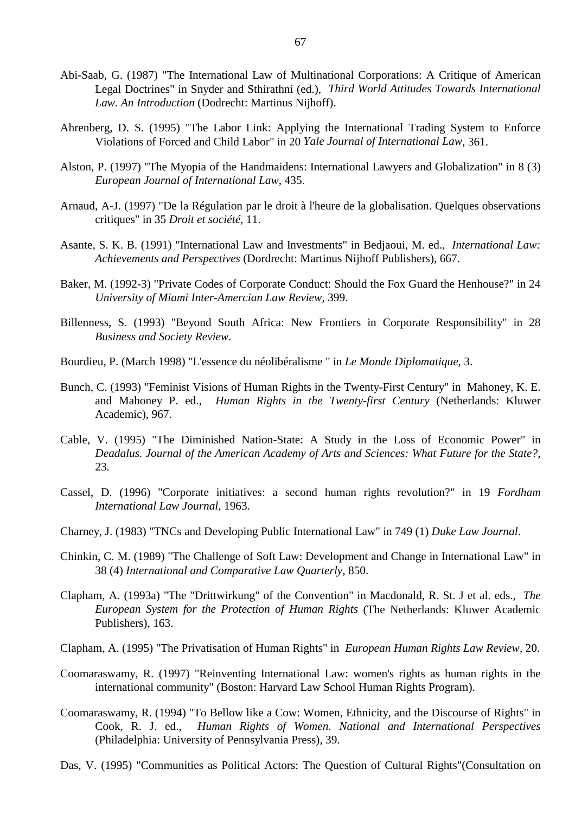- Abi-Saab, G. (1987) "The International Law of Multinational Corporations: A Critique of American Legal Doctrines" in Snyder and Sthirathni (ed.), *Third World Attitudes Towards International Law. An Introduction* (Dodrecht: Martinus Nijhoff).
- Ahrenberg, D. S. (1995) "The Labor Link: Applying the International Trading System to Enforce Violations of Forced and Child Labor" in 20 *Yale Journal of International Law*, 361.
- Alston, P. (1997) "The Myopia of the Handmaidens: International Lawyers and Globalization" in 8 (3) *European Journal of International Law*, 435.
- Arnaud, A-J. (1997) "De la Régulation par le droit à l'heure de la globalisation. Quelques observations critiques" in 35 *Droit et société*, 11.
- Asante, S. K. B. (1991) "International Law and Investments" in Bedjaoui, M. ed., *International Law: Achievements and Perspectives* (Dordrecht: Martinus Nijhoff Publishers), 667.
- Baker, M. (1992-3) "Private Codes of Corporate Conduct: Should the Fox Guard the Henhouse?" in 24 *University of Miami Inter-Amercian Law Review*, 399.
- Billenness, S. (1993) "Beyond South Africa: New Frontiers in Corporate Responsibility" in 28 *Business and Society Review*.
- Bourdieu, P. (March 1998) "L'essence du néolibéralisme " in *Le Monde Diplomatique*, 3.
- Bunch, C. (1993) "Feminist Visions of Human Rights in the Twenty-First Century" in Mahoney, K. E. and Mahoney P. ed., *Human Rights in the Twenty-first Century* (Netherlands: Kluwer Academic), 967.
- Cable, V. (1995) "The Diminished Nation-State: A Study in the Loss of Economic Power" in *Deadalus. Journal of the American Academy of Arts and Sciences: What Future for the State?*, 23.
- Cassel, D. (1996) "Corporate initiatives: a second human rights revolution?" in 19 *Fordham International Law Journal*, 1963.
- Charney, J. (1983) "TNCs and Developing Public International Law" in 749 (1) *Duke Law Journal*.
- Chinkin, C. M. (1989) "The Challenge of Soft Law: Development and Change in International Law" in 38 (4) *International and Comparative Law Quarterly*, 850.
- Clapham, A. (1993a) "The "Drittwirkung" of the Convention" in Macdonald, R. St. J et al. eds., *The European System for the Protection of Human Rights* (The Netherlands: Kluwer Academic Publishers), 163.
- Clapham, A. (1995) "The Privatisation of Human Rights" in *European Human Rights Law Review*, 20.
- Coomaraswamy, R. (1997) "Reinventing International Law: women's rights as human rights in the international community" (Boston: Harvard Law School Human Rights Program).
- Coomaraswamy, R. (1994) "To Bellow like a Cow: Women, Ethnicity, and the Discourse of Rights" in Cook, R. J. ed., *Human Rights of Women. National and International Perspectives* (Philadelphia: University of Pennsylvania Press), 39.
- Das, V. (1995) "Communities as Political Actors: The Question of Cultural Rights"(Consultation on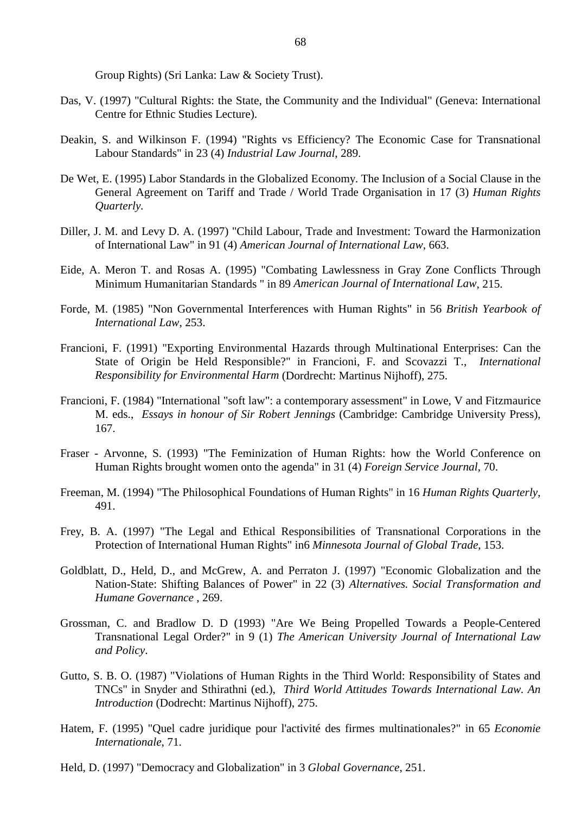Group Rights) (Sri Lanka: Law & Society Trust).

- Das, V. (1997) "Cultural Rights: the State, the Community and the Individual" (Geneva: International Centre for Ethnic Studies Lecture).
- Deakin, S. and Wilkinson F. (1994) "Rights vs Efficiency? The Economic Case for Transnational Labour Standards" in 23 (4) *Industrial Law Journal*, 289.
- De Wet, E. (1995) Labor Standards in the Globalized Economy. The Inclusion of a Social Clause in the General Agreement on Tariff and Trade / World Trade Organisation in 17 (3) *Human Rights Quarterly.*
- Diller, J. M. and Levy D. A. (1997) "Child Labour, Trade and Investment: Toward the Harmonization of International Law" in 91 (4) *American Journal of International Law*, 663.
- Eide, A. Meron T. and Rosas A. (1995) "Combating Lawlessness in Gray Zone Conflicts Through Minimum Humanitarian Standards " in 89 *American Journal of International Law*, 215.
- Forde, M. (1985) "Non Governmental Interferences with Human Rights" in 56 *British Yearbook of International Law*, 253.
- Francioni, F. (1991) "Exporting Environmental Hazards through Multinational Enterprises: Can the State of Origin be Held Responsible?" in Francioni, F. and Scovazzi T., *International Responsibility for Environmental Harm* (Dordrecht: Martinus Nijhoff), 275.
- Francioni, F. (1984) "International "soft law": a contemporary assessment" in Lowe, V and Fitzmaurice M. eds., *Essays in honour of Sir Robert Jennings* (Cambridge: Cambridge University Press), 167.
- Fraser Arvonne, S. (1993) "The Feminization of Human Rights: how the World Conference on Human Rights brought women onto the agenda" in 31 (4) *Foreign Service Journal*, 70.
- Freeman, M. (1994) "The Philosophical Foundations of Human Rights" in 16 *Human Rights Quarterly*, 491.
- Frey, B. A. (1997) "The Legal and Ethical Responsibilities of Transnational Corporations in the Protection of International Human Rights" in6 *Minnesota Journal of Global Trade*, 153.
- Goldblatt, D., Held, D., and McGrew, A. and Perraton J. (1997) "Economic Globalization and the Nation-State: Shifting Balances of Power" in 22 (3) *Alternatives. Social Transformation and Humane Governance* , 269.
- Grossman, C. and Bradlow D. D (1993) "Are We Being Propelled Towards a People-Centered Transnational Legal Order?" in 9 (1) *The American University Journal of International Law and Policy*.
- Gutto, S. B. O. (1987) "Violations of Human Rights in the Third World: Responsibility of States and TNCs" in Snyder and Sthirathni (ed.), *Third World Attitudes Towards International Law. An Introduction* (Dodrecht: Martinus Nijhoff), 275.
- Hatem, F. (1995) "Quel cadre juridique pour l'activité des firmes multinationales?" in 65 *Economie Internationale*, 71.
- Held, D. (1997) "Democracy and Globalization" in 3 *Global Governance*, 251.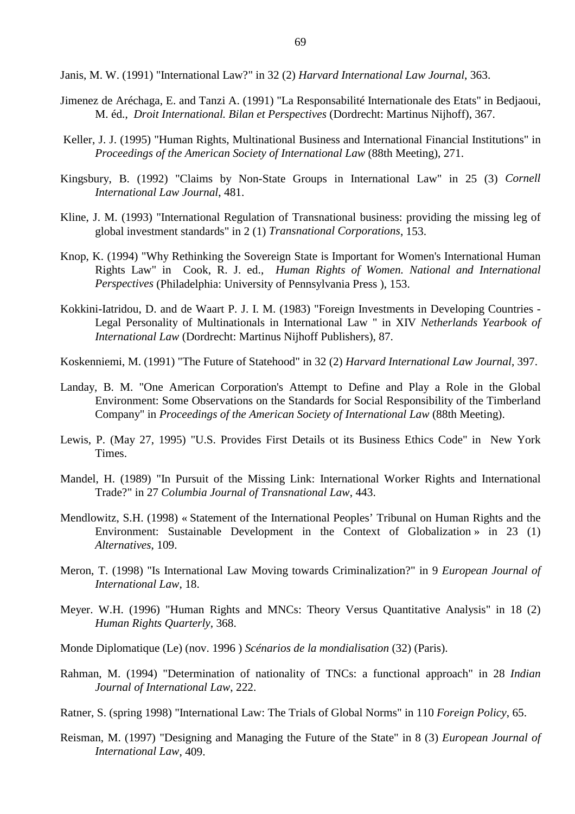Janis, M. W. (1991) "International Law?" in 32 (2) *Harvard International Law Journal*, 363.

- Jimenez de Aréchaga, E. and Tanzi A. (1991) "La Responsabilité Internationale des Etats" in Bedjaoui, M. éd., *Droit International. Bilan et Perspectives* (Dordrecht: Martinus Nijhoff), 367.
- Keller, J. J. (1995) "Human Rights, Multinational Business and International Financial Institutions" in *Proceedings of the American Society of International Law* (88th Meeting), 271.
- Kingsbury, B. (1992) "Claims by Non-State Groups in International Law" in 25 (3) *Cornell International Law Journal*, 481.
- Kline, J. M. (1993) "International Regulation of Transnational business: providing the missing leg of global investment standards" in 2 (1) *Transnational Corporations*, 153.
- Knop, K. (1994) "Why Rethinking the Sovereign State is Important for Women's International Human Rights Law" in Cook, R. J. ed., *Human Rights of Women. National and International Perspectives* (Philadelphia: University of Pennsylvania Press ), 153.
- Kokkini-Iatridou, D. and de Waart P. J. I. M. (1983) "Foreign Investments in Developing Countries Legal Personality of Multinationals in International Law " in XIV *Netherlands Yearbook of International Law* (Dordrecht: Martinus Nijhoff Publishers), 87.
- Koskenniemi, M. (1991) "The Future of Statehood" in 32 (2) *Harvard International Law Journal*, 397.
- Landay, B. M. "One American Corporation's Attempt to Define and Play a Role in the Global Environment: Some Observations on the Standards for Social Responsibility of the Timberland Company" in *Proceedings of the American Society of International Law* (88th Meeting).
- Lewis, P. (May 27, 1995) "U.S. Provides First Details ot its Business Ethics Code" in New York Times.
- Mandel, H. (1989) "In Pursuit of the Missing Link: International Worker Rights and International Trade?" in 27 *Columbia Journal of Transnational Law*, 443.
- Mendlowitz, S.H. (1998) « Statement of the International Peoples' Tribunal on Human Rights and the Environment: Sustainable Development in the Context of Globalization » in 23 (1) *Alternatives*, 109.
- Meron, T. (1998) "Is International Law Moving towards Criminalization?" in 9 *European Journal of International Law*, 18.
- Meyer. W.H. (1996) "Human Rights and MNCs: Theory Versus Quantitative Analysis" in 18 (2) *Human Rights Quarterly*, 368.
- Monde Diplomatique (Le) (nov. 1996 ) *Scénarios de la mondialisation* (32) (Paris).
- Rahman, M. (1994) "Determination of nationality of TNCs: a functional approach" in 28 *Indian Journal of International Law*, 222.
- Ratner, S. (spring 1998) "International Law: The Trials of Global Norms" in 110 *Foreign Policy*, 65.
- Reisman, M. (1997) "Designing and Managing the Future of the State" in 8 (3) *European Journal of International Law*, 409.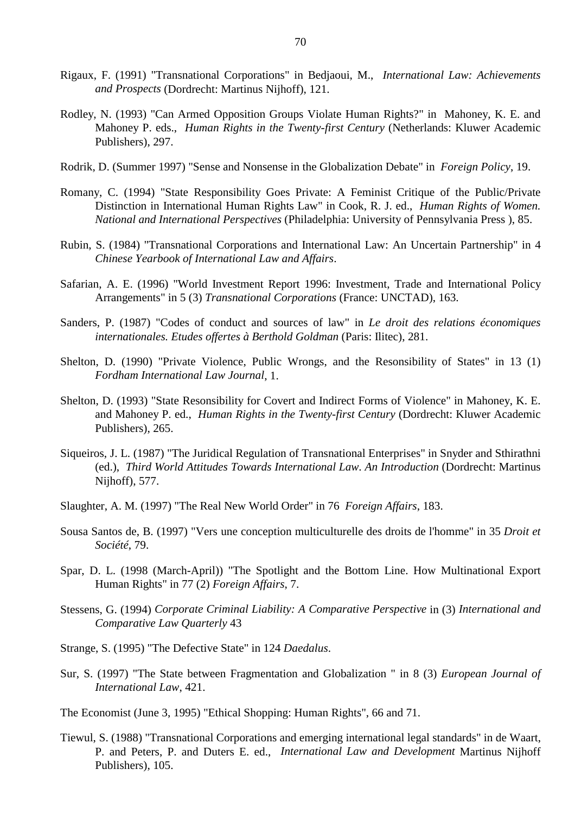- Rigaux, F. (1991) "Transnational Corporations" in Bedjaoui, M., *International Law: Achievements and Prospects* (Dordrecht: Martinus Nijhoff), 121.
- Rodley, N. (1993) "Can Armed Opposition Groups Violate Human Rights?" in Mahoney, K. E. and Mahoney P. eds., *Human Rights in the Twenty-first Century* (Netherlands: Kluwer Academic Publishers), 297.
- Rodrik, D. (Summer 1997) "Sense and Nonsense in the Globalization Debate" in *Foreign Policy*, 19.
- Romany, C. (1994) "State Responsibility Goes Private: A Feminist Critique of the Public/Private Distinction in International Human Rights Law" in Cook, R. J. ed., *Human Rights of Women. National and International Perspectives* (Philadelphia: University of Pennsylvania Press ), 85.
- Rubin, S. (1984) "Transnational Corporations and International Law: An Uncertain Partnership" in 4 *Chinese Yearbook of International Law and Affairs*.
- Safarian, A. E. (1996) "World Investment Report 1996: Investment, Trade and International Policy Arrangements" in 5 (3) *Transnational Corporations* (France: UNCTAD), 163.
- Sanders, P. (1987) "Codes of conduct and sources of law" in *Le droit des relations économiques internationales. Etudes offertes à Berthold Goldman* (Paris: Ilitec), 281.
- Shelton, D. (1990) "Private Violence, Public Wrongs, and the Resonsibility of States" in 13 (1) *Fordham International Law Journal*, 1.
- Shelton, D. (1993) "State Resonsibility for Covert and Indirect Forms of Violence" in Mahoney, K. E. and Mahoney P. ed., *Human Rights in the Twenty-first Century* (Dordrecht: Kluwer Academic Publishers), 265.
- Siqueiros, J. L. (1987) "The Juridical Regulation of Transnational Enterprises" in Snyder and Sthirathni (ed.), *Third World Attitudes Towards International Law. An Introduction* (Dordrecht: Martinus Nijhoff), 577.
- Slaughter, A. M. (1997) "The Real New World Order" in 76 *Foreign Affairs*, 183.
- Sousa Santos de, B. (1997) "Vers une conception multiculturelle des droits de l'homme" in 35 *Droit et Société*, 79.
- Spar, D. L. (1998 (March-April)) "The Spotlight and the Bottom Line. How Multinational Export Human Rights" in 77 (2) *Foreign Affairs*, 7.
- Stessens, G. (1994) *Corporate Criminal Liability: A Comparative Perspective* in (3) *International and Comparative Law Quarterly* 43
- Strange, S. (1995) "The Defective State" in 124 *Daedalus*.
- Sur, S. (1997) "The State between Fragmentation and Globalization " in 8 (3) *European Journal of International Law*, 421.

The Economist (June 3, 1995) "Ethical Shopping: Human Rights", 66 and 71.

Tiewul, S. (1988) "Transnational Corporations and emerging international legal standards" in de Waart, P. and Peters, P. and Duters E. ed., *International Law and Development* Martinus Nijhoff Publishers), 105.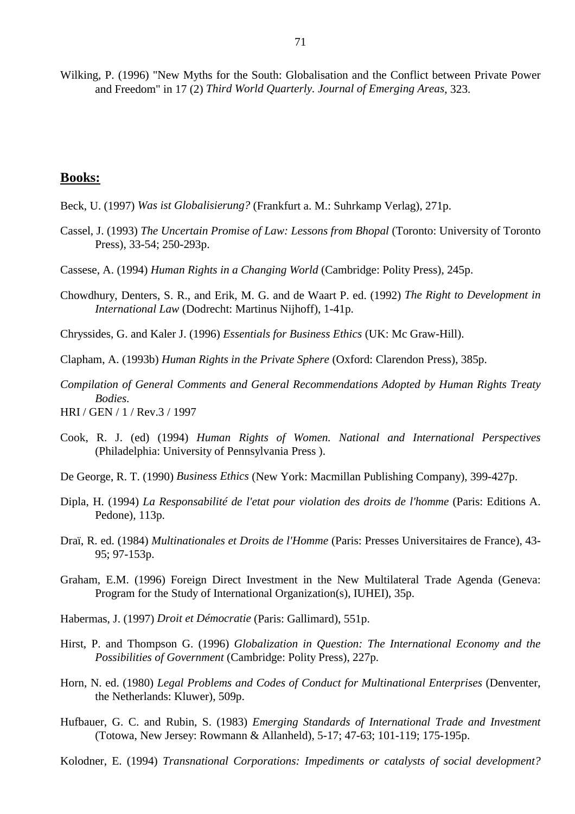Wilking, P. (1996) "New Myths for the South: Globalisation and the Conflict between Private Power and Freedom" in 17 (2) *Third World Quarterly. Journal of Emerging Areas*, 323.

## **Books:**

- Beck, U. (1997) *Was ist Globalisierung?* (Frankfurt a. M.: Suhrkamp Verlag), 271p.
- Cassel, J. (1993) *The Uncertain Promise of Law: Lessons from Bhopal* (Toronto: University of Toronto Press), 33-54; 250-293p.
- Cassese, A. (1994) *Human Rights in a Changing World* (Cambridge: Polity Press), 245p.
- Chowdhury, Denters, S. R., and Erik, M. G. and de Waart P. ed. (1992) *The Right to Development in International Law* (Dodrecht: Martinus Nijhoff), 1-41p.
- Chryssides, G. and Kaler J. (1996) *Essentials for Business Ethics* (UK: Mc Graw-Hill).
- Clapham, A. (1993b) *Human Rights in the Private Sphere* (Oxford: Clarendon Press), 385p.
- *Compilation of General Comments and General Recommendations Adopted by Human Rights Treaty Bodies.*
- HRI / GEN / 1 / Rev.3 / 1997
- Cook, R. J. (ed) (1994) *Human Rights of Women. National and International Perspectives* (Philadelphia: University of Pennsylvania Press ).
- De George, R. T. (1990) *Business Ethics* (New York: Macmillan Publishing Company), 399-427p.
- Dipla, H. (1994) *La Responsabilité de l'etat pour violation des droits de l'homme* (Paris: Editions A. Pedone), 113p.
- Draï, R. ed. (1984) *Multinationales et Droits de l'Homme* (Paris: Presses Universitaires de France), 43- 95; 97-153p.
- Graham, E.M. (1996) Foreign Direct Investment in the New Multilateral Trade Agenda (Geneva: Program for the Study of International Organization(s), IUHEI), 35p.
- Habermas, J. (1997) *Droit et Démocratie* (Paris: Gallimard), 551p.
- Hirst, P. and Thompson G. (1996) *Globalization in Question: The International Economy and the Possibilities of Government* (Cambridge: Polity Press), 227p.
- Horn, N. ed. (1980) *Legal Problems and Codes of Conduct for Multinational Enterprises* (Denventer, the Netherlands: Kluwer), 509p.
- Hufbauer, G. C. and Rubin, S. (1983) *Emerging Standards of International Trade and Investment* (Totowa, New Jersey: Rowmann & Allanheld), 5-17; 47-63; 101-119; 175-195p.
- Kolodner, E. (1994) *Transnational Corporations: Impediments or catalysts of social development?*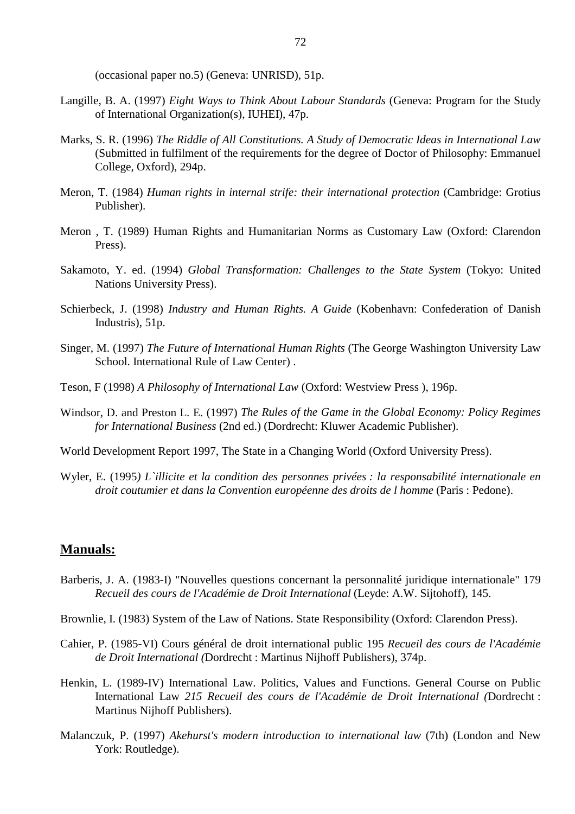(occasional paper no.5) (Geneva: UNRISD), 51p.

- Langille, B. A. (1997) *Eight Ways to Think About Labour Standards* (Geneva: Program for the Study of International Organization(s), IUHEI), 47p.
- Marks, S. R. (1996) *The Riddle of All Constitutions. A Study of Democratic Ideas in International Law* (Submitted in fulfilment of the requirements for the degree of Doctor of Philosophy: Emmanuel College, Oxford), 294p.
- Meron, T. (1984) *Human rights in internal strife: their international protection* (Cambridge: Grotius Publisher).
- Meron , T. (1989) Human Rights and Humanitarian Norms as Customary Law (Oxford: Clarendon Press).
- Sakamoto, Y. ed. (1994) *Global Transformation: Challenges to the State System* (Tokyo: United Nations University Press).
- Schierbeck, J. (1998) *Industry and Human Rights. A Guide* (Kobenhavn: Confederation of Danish Industris), 51p.
- Singer, M. (1997) *The Future of International Human Rights* (The George Washington University Law School. International Rule of Law Center) .
- Teson, F (1998) *A Philosophy of International Law* (Oxford: Westview Press ), 196p.
- Windsor, D. and Preston L. E. (1997) *The Rules of the Game in the Global Economy: Policy Regimes for International Business* (2nd ed.) (Dordrecht: Kluwer Academic Publisher).
- World Development Report 1997, The State in a Changing World (Oxford University Press).
- Wyler, E. (1995*) L`illicite et la condition des personnes privées : la responsabilité internationale en droit coutumier et dans la Convention européenne des droits de l homme* (Paris : Pedone).

## **Manuals:**

- Barberis, J. A. (1983-I) "Nouvelles questions concernant la personnalité juridique internationale" 179 *Recueil des cours de l'Académie de Droit International* (Leyde: A.W. Sijtohoff), 145.
- Brownlie, I. (1983) System of the Law of Nations. State Responsibility (Oxford: Clarendon Press).
- Cahier, P. (1985-VI) Cours général de droit international public 195 *Recueil des cours de l'Académie de Droit International (*Dordrecht : Martinus Nijhoff Publishers), 374p.
- Henkin, L. (1989-IV) International Law. Politics, Values and Functions. General Course on Public International Law *215 Recueil des cours de l'Académie de Droit International (*Dordrecht : Martinus Nijhoff Publishers).
- Malanczuk, P. (1997) *Akehurst's modern introduction to international law* (7th) (London and New York: Routledge).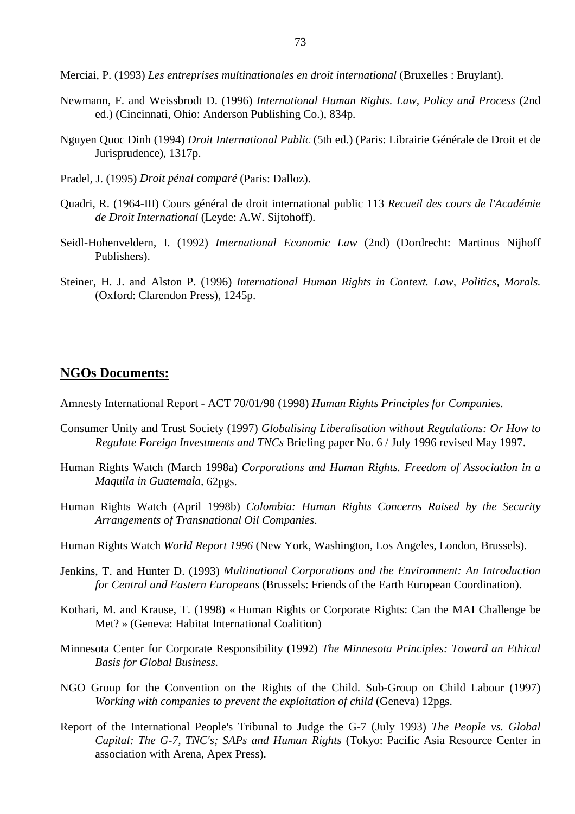Merciai, P. (1993) *Les entreprises multinationales en droit international* (Bruxelles : Bruylant).

- Newmann, F. and Weissbrodt D. (1996) *International Human Rights. Law, Policy and Process* (2nd ed.) (Cincinnati, Ohio: Anderson Publishing Co.), 834p.
- Nguyen Quoc Dinh (1994) *Droit International Public* (5th ed.) (Paris: Librairie Générale de Droit et de Jurisprudence), 1317p.
- Pradel, J. (1995) *Droit pénal comparé* (Paris: Dalloz).
- Quadri, R. (1964-III) Cours général de droit international public 113 *Recueil des cours de l'Académie de Droit International* (Leyde: A.W. Sijtohoff).
- Seidl-Hohenveldern, I. (1992) *International Economic Law* (2nd) (Dordrecht: Martinus Nijhoff Publishers).
- Steiner, H. J. and Alston P. (1996) *International Human Rights in Context. Law, Politics, Morals.* (Oxford: Clarendon Press), 1245p.

## **NGOs Documents:**

Amnesty International Report - ACT 70/01/98 (1998) *Human Rights Principles for Companies.*

- Consumer Unity and Trust Society (1997) *Globalising Liberalisation without Regulations: Or How to Regulate Foreign Investments and TNCs* Briefing paper No. 6 / July 1996 revised May 1997.
- Human Rights Watch (March 1998a) *Corporations and Human Rights. Freedom of Association in a Maquila in Guatemala,* 62pgs.
- Human Rights Watch (April 1998b) *Colombia: Human Rights Concerns Raised by the Security Arrangements of Transnational Oil Companies*.
- Human Rights Watch *World Report 1996* (New York, Washington, Los Angeles, London, Brussels).
- Jenkins, T. and Hunter D. (1993) *Multinational Corporations and the Environment: An Introduction for Central and Eastern Europeans* (Brussels: Friends of the Earth European Coordination).
- Kothari, M. and Krause, T. (1998) « Human Rights or Corporate Rights: Can the MAI Challenge be Met? » (Geneva: Habitat International Coalition)
- Minnesota Center for Corporate Responsibility (1992) *The Minnesota Principles: Toward an Ethical Basis for Global Business.*
- NGO Group for the Convention on the Rights of the Child. Sub-Group on Child Labour (1997) *Working with companies to prevent the exploitation of child* (Geneva) 12pgs.
- Report of the International People's Tribunal to Judge the G-7 (July 1993) *The People vs. Global Capital: The G-7, TNC's; SAPs and Human Rights* (Tokyo: Pacific Asia Resource Center in association with Arena, Apex Press).